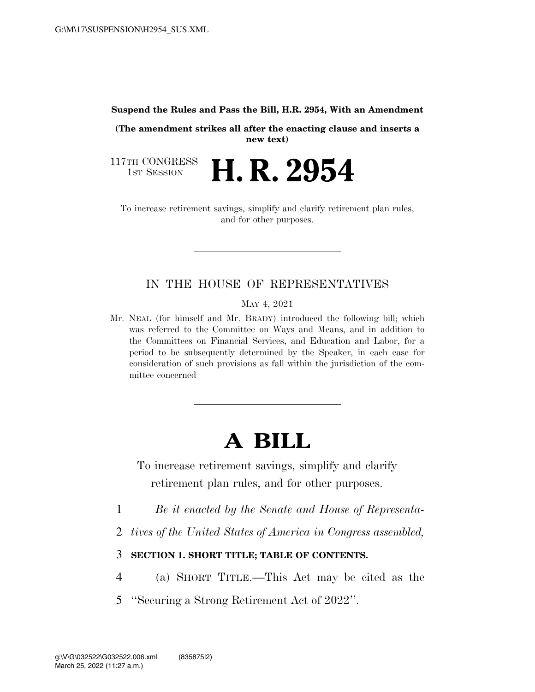#### **Suspend the Rules and Pass the Bill, H.R. 2954, With an Amendment**

**(The amendment strikes all after the enacting clause and inserts a new text)** 

117TH CONGRESS<br>1st Session **H. R. 2954** 

To increase retirement savings, simplify and clarify retirement plan rules, and for other purposes.

### IN THE HOUSE OF REPRESENTATIVES

MAY 4, 2021

Mr. NEAL (for himself and Mr. BRADY) introduced the following bill; which was referred to the Committee on Ways and Means, and in addition to the Committees on Financial Services, and Education and Labor, for a period to be subsequently determined by the Speaker, in each case for consideration of such provisions as fall within the jurisdiction of the committee concerned

# **A BILL**

To increase retirement savings, simplify and clarify retirement plan rules, and for other purposes.

- 1 *Be it enacted by the Senate and House of Representa-*
- 2 *tives of the United States of America in Congress assembled,*
- 3 **SECTION 1. SHORT TITLE; TABLE OF CONTENTS.**
- 4 (a) SHORT TITLE.—This Act may be cited as the
- 5 ''Securing a Strong Retirement Act of 2022''.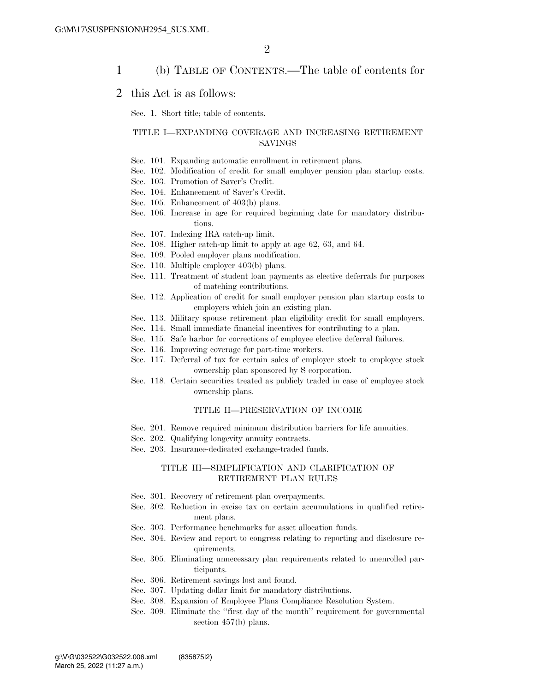### 1 (b) TABLE OF CONTENTS.—The table of contents for

### 2 this Act is as follows:

Sec. 1. Short title; table of contents.

#### TITLE I—EXPANDING COVERAGE AND INCREASING RETIREMENT SAVINGS

- Sec. 101. Expanding automatic enrollment in retirement plans.
- Sec. 102. Modification of credit for small employer pension plan startup costs.
- Sec. 103. Promotion of Saver's Credit.
- Sec. 104. Enhancement of Saver's Credit.
- Sec. 105. Enhancement of 403(b) plans.
- Sec. 106. Increase in age for required beginning date for mandatory distributions.
- Sec. 107. Indexing IRA catch-up limit.
- Sec. 108. Higher catch-up limit to apply at age 62, 63, and 64.
- Sec. 109. Pooled employer plans modification.
- Sec. 110. Multiple employer 403(b) plans.
- Sec. 111. Treatment of student loan payments as elective deferrals for purposes of matching contributions.
- Sec. 112. Application of credit for small employer pension plan startup costs to employers which join an existing plan.
- Sec. 113. Military spouse retirement plan eligibility credit for small employers.
- Sec. 114. Small immediate financial incentives for contributing to a plan.
- Sec. 115. Safe harbor for corrections of employee elective deferral failures.
- Sec. 116. Improving coverage for part-time workers.
- Sec. 117. Deferral of tax for certain sales of employer stock to employee stock ownership plan sponsored by S corporation.
- Sec. 118. Certain securities treated as publicly traded in case of employee stock ownership plans.

#### TITLE II—PRESERVATION OF INCOME

- Sec. 201. Remove required minimum distribution barriers for life annuities.
- Sec. 202. Qualifying longevity annuity contracts.
- Sec. 203. Insurance-dedicated exchange-traded funds.

#### TITLE III—SIMPLIFICATION AND CLARIFICATION OF RETIREMENT PLAN RULES

- Sec. 301. Recovery of retirement plan overpayments.
- Sec. 302. Reduction in excise tax on certain accumulations in qualified retirement plans.
- Sec. 303. Performance benchmarks for asset allocation funds.
- Sec. 304. Review and report to congress relating to reporting and disclosure requirements.
- Sec. 305. Eliminating unnecessary plan requirements related to unenrolled participants.
- Sec. 306. Retirement savings lost and found.
- Sec. 307. Updating dollar limit for mandatory distributions.
- Sec. 308. Expansion of Employee Plans Compliance Resolution System.
- Sec. 309. Eliminate the ''first day of the month'' requirement for governmental section 457(b) plans.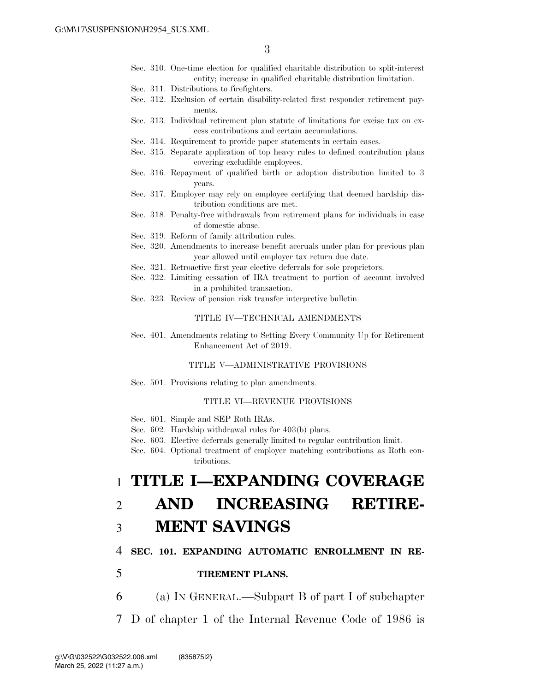- Sec. 310. One-time election for qualified charitable distribution to split-interest entity; increase in qualified charitable distribution limitation.
- Sec. 311. Distributions to firefighters.
- Sec. 312. Exclusion of certain disability-related first responder retirement payments.
- Sec. 313. Individual retirement plan statute of limitations for excise tax on excess contributions and certain accumulations.
- Sec. 314. Requirement to provide paper statements in certain cases.
- Sec. 315. Separate application of top heavy rules to defined contribution plans covering excludible employees.
- Sec. 316. Repayment of qualified birth or adoption distribution limited to 3 years.
- Sec. 317. Employer may rely on employee certifying that deemed hardship distribution conditions are met.
- Sec. 318. Penalty-free withdrawals from retirement plans for individuals in case of domestic abuse.
- Sec. 319. Reform of family attribution rules.
- Sec. 320. Amendments to increase benefit accruals under plan for previous plan year allowed until employer tax return due date.
- Sec. 321. Retroactive first year elective deferrals for sole proprietors.
- Sec. 322. Limiting cessation of IRA treatment to portion of account involved in a prohibited transaction.
- Sec. 323. Review of pension risk transfer interpretive bulletin.

#### TITLE IV—TECHNICAL AMENDMENTS

Sec. 401. Amendments relating to Setting Every Community Up for Retirement Enhancement Act of 2019.

#### TITLE V—ADMINISTRATIVE PROVISIONS

Sec. 501. Provisions relating to plan amendments.

#### TITLE VI—REVENUE PROVISIONS

- Sec. 601. Simple and SEP Roth IRAs.
- Sec. 602. Hardship withdrawal rules for 403(b) plans.
- Sec. 603. Elective deferrals generally limited to regular contribution limit.
- Sec. 604. Optional treatment of employer matching contributions as Roth contributions.

# 1 **TITLE I—EXPANDING COVERAGE**

# 2 **AND INCREASING RETIRE-**

# 3 **MENT SAVINGS**

#### 4 **SEC. 101. EXPANDING AUTOMATIC ENROLLMENT IN RE-**

### 5 **TIREMENT PLANS.**

- 6 (a) IN GENERAL.—Subpart B of part I of subchapter
- 7 D of chapter 1 of the Internal Revenue Code of 1986 is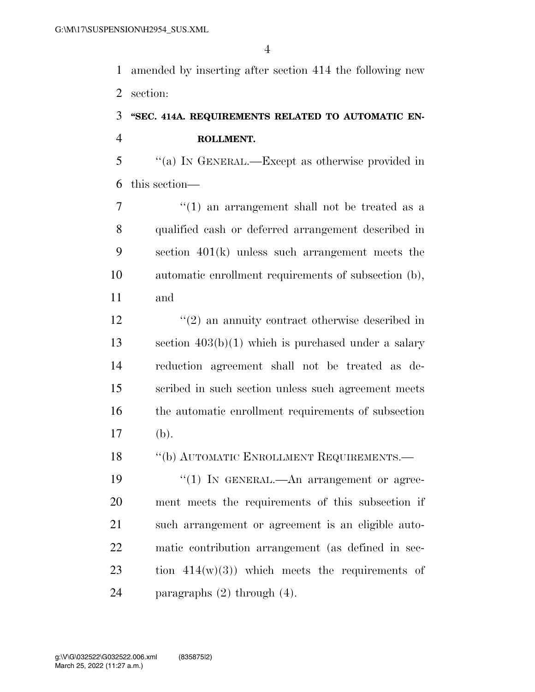amended by inserting after section 414 the following new section:

# **''SEC. 414A. REQUIREMENTS RELATED TO AUTOMATIC EN-ROLLMENT.**

 ''(a) IN GENERAL.—Except as otherwise provided in this section—

7 ''(1) an arrangement shall not be treated as a qualified cash or deferred arrangement described in section 401(k) unless such arrangement meets the automatic enrollment requirements of subsection (b), and

12 ''(2) an annuity contract otherwise described in section 403(b)(1) which is purchased under a salary reduction agreement shall not be treated as de- scribed in such section unless such agreement meets the automatic enrollment requirements of subsection (b).

18 "(b) AUTOMATIC ENROLLMENT REQUIREMENTS.—

 $\frac{1}{2}$  (1) In GENERAL.—An arrangement or agree- ment meets the requirements of this subsection if such arrangement or agreement is an eligible auto- matic contribution arrangement (as defined in sec-23 tion  $414(w)(3)$  which meets the requirements of paragraphs (2) through (4).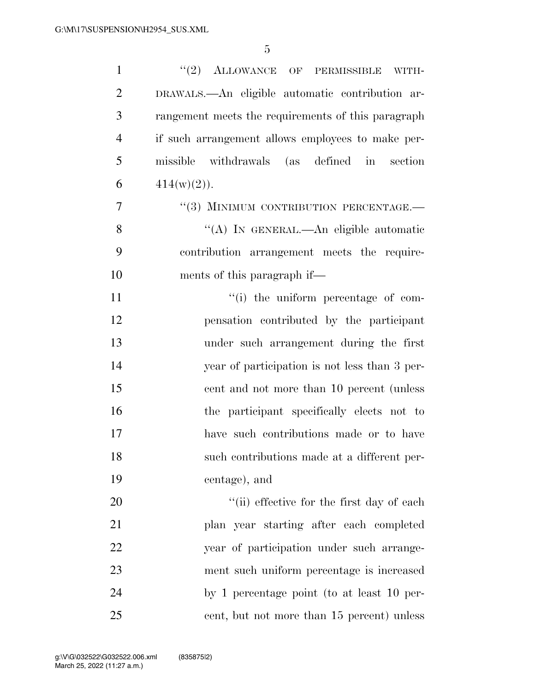| $\mathbf{1}$   | "(2) ALLOWANCE OF PERMISSIBLE WITH-                |
|----------------|----------------------------------------------------|
| $\overline{2}$ | DRAWALS.—An eligible automatic contribution ar-    |
| 3              | rangement meets the requirements of this paragraph |
| $\overline{4}$ | if such arrangement allows employees to make per-  |
| 5              | missible withdrawals (as defined in section        |
| 6              | $414(w)(2)$ .                                      |
| $\overline{7}$ | "(3) MINIMUM CONTRIBUTION PERCENTAGE.-             |
| 8              | "(A) IN GENERAL.—An eligible automatic             |
| 9              | contribution arrangement meets the require-        |
| 10             | ments of this paragraph if—                        |
| 11             | "(i) the uniform percentage of com-                |
| 12             | pensation contributed by the participant           |
| 13             | under such arrangement during the first            |
| 14             | year of participation is not less than 3 per-      |
| 15             | cent and not more than 10 percent (unless          |
| 16             | the participant specifically elects not to         |
| 17             | have such contributions made or to have            |
| 18             | such contributions made at a different per-        |
| 19             | centage), and                                      |
| 20             | "(ii) effective for the first day of each          |
| 21             | plan year starting after each completed            |
| 22             | year of participation under such arrange-          |
| 23             | ment such uniform percentage is increased          |
| 24             | by 1 percentage point (to at least 10 per-         |
| 25             | cent, but not more than 15 percent) unless         |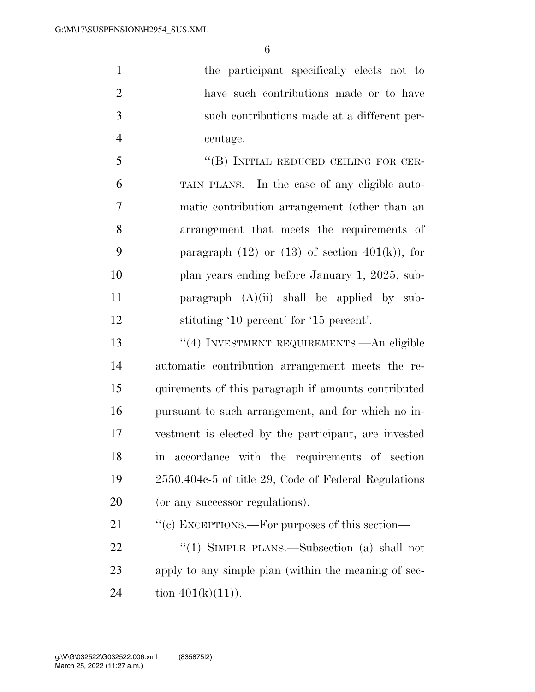the participant specifically elects not to have such contributions made or to have such contributions made at a different per-centage.

 ''(B) INITIAL REDUCED CEILING FOR CER- TAIN PLANS.—In the case of any eligible auto- matic contribution arrangement (other than an arrangement that meets the requirements of 9 paragraph  $(12)$  or  $(13)$  of section  $401(k)$ , for 10 plan years ending before January 1, 2025, sub- paragraph (A)(ii) shall be applied by sub-stituting '10 percent' for '15 percent'.

 ''(4) INVESTMENT REQUIREMENTS.—An eligible automatic contribution arrangement meets the re- quirements of this paragraph if amounts contributed pursuant to such arrangement, and for which no in- vestment is elected by the participant, are invested in accordance with the requirements of section 2550.404c-5 of title 29, Code of Federal Regulations (or any successor regulations).

21 "(c) EXCEPTIONS.—For purposes of this section—

22 "(1) SIMPLE PLANS.—Subsection (a) shall not apply to any simple plan (within the meaning of sec-24 tion  $401(k)(11)$ .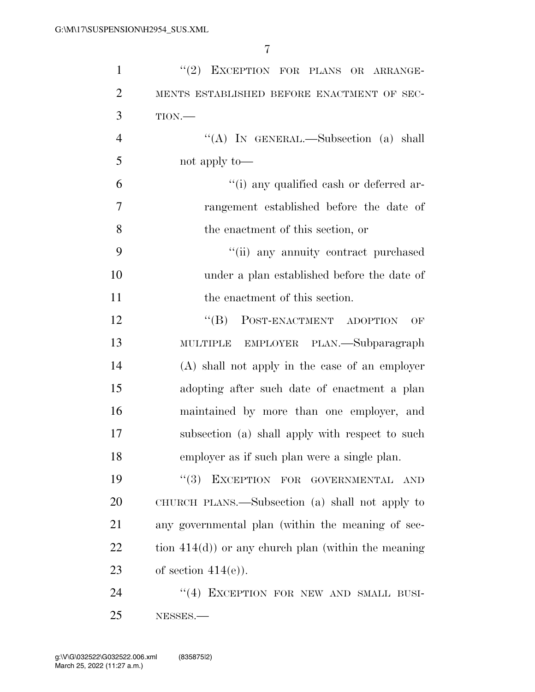| $\mathbf{1}$   | "(2) EXCEPTION FOR PLANS OR ARRANGE-                 |
|----------------|------------------------------------------------------|
| $\overline{2}$ | MENTS ESTABLISHED BEFORE ENACTMENT OF SEC-           |
| 3              | $TION$ .                                             |
| $\overline{4}$ | "(A) IN GENERAL.—Subsection (a) shall                |
| 5              | not apply to—                                        |
| 6              | "(i) any qualified cash or deferred ar-              |
| 7              | rangement established before the date of             |
| 8              | the enactment of this section, or                    |
| 9              | "(ii) any annuity contract purchased                 |
| 10             | under a plan established before the date of          |
| 11             | the enactment of this section.                       |
| 12             | POST-ENACTMENT ADOPTION<br>$\lq\lq (B)$<br>OF        |
| 13             | MULTIPLE EMPLOYER PLAN.—Subparagraph                 |
| 14             | (A) shall not apply in the case of an employer       |
| 15             | adopting after such date of enactment a plan         |
| 16             | maintained by more than one employer, and            |
| 17             | subsection (a) shall apply with respect to such      |
| 18             | employer as if such plan were a single plan.         |
| 19             | EXCEPTION FOR GOVERNMENTAL<br>(3)<br><b>AND</b>      |
| 20             | CHURCH PLANS.—Subsection (a) shall not apply to      |
| 21             | any governmental plan (within the meaning of sec-    |
| 22             | tion $414(d)$ or any church plan (within the meaning |
| 23             | of section $414(e)$ ).                               |
| 24             | "(4) EXCEPTION FOR NEW AND SMALL BUSI-               |
| 25             | NESSES.                                              |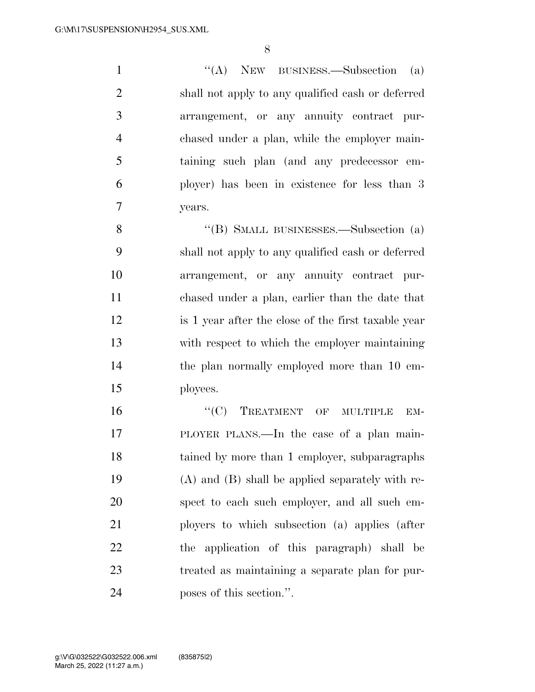1 ''(A) NEW BUSINESS.—Subsection (a) shall not apply to any qualified cash or deferred arrangement, or any annuity contract pur- chased under a plan, while the employer main- taining such plan (and any predecessor em- ployer) has been in existence for less than 3 years.

 ''(B) SMALL BUSINESSES.—Subsection (a) shall not apply to any qualified cash or deferred arrangement, or any annuity contract pur- chased under a plan, earlier than the date that is 1 year after the close of the first taxable year with respect to which the employer maintaining the plan normally employed more than 10 em-ployees.

16 "(C) TREATMENT OF MULTIPLE EM- PLOYER PLANS.—In the case of a plan main- tained by more than 1 employer, subparagraphs (A) and (B) shall be applied separately with re- spect to each such employer, and all such em- ployers to which subsection (a) applies (after the application of this paragraph) shall be treated as maintaining a separate plan for pur-poses of this section.''.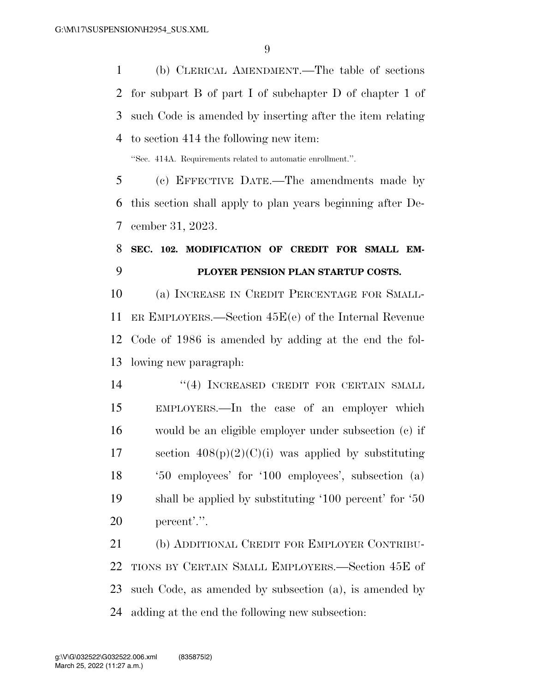(b) CLERICAL AMENDMENT.—The table of sections for subpart B of part I of subchapter D of chapter 1 of such Code is amended by inserting after the item relating to section 414 the following new item:

''Sec. 414A. Requirements related to automatic enrollment.''.

 (c) EFFECTIVE DATE.—The amendments made by this section shall apply to plan years beginning after De-cember 31, 2023.

# **SEC. 102. MODIFICATION OF CREDIT FOR SMALL EM-PLOYER PENSION PLAN STARTUP COSTS.**

 (a) INCREASE IN CREDIT PERCENTAGE FOR SMALL- ER EMPLOYERS.—Section 45E(e) of the Internal Revenue Code of 1986 is amended by adding at the end the fol-lowing new paragraph:

14 ''(4) INCREASED CREDIT FOR CERTAIN SMALL EMPLOYERS.—In the case of an employer which would be an eligible employer under subsection (c) if 17 section  $408(p)(2)(C)(i)$  was applied by substituting '50 employees' for '100 employees', subsection (a) shall be applied by substituting '100 percent' for '50 percent'.''.

 (b) ADDITIONAL CREDIT FOR EMPLOYER CONTRIBU- TIONS BY CERTAIN SMALL EMPLOYERS.—Section 45E of such Code, as amended by subsection (a), is amended by adding at the end the following new subsection: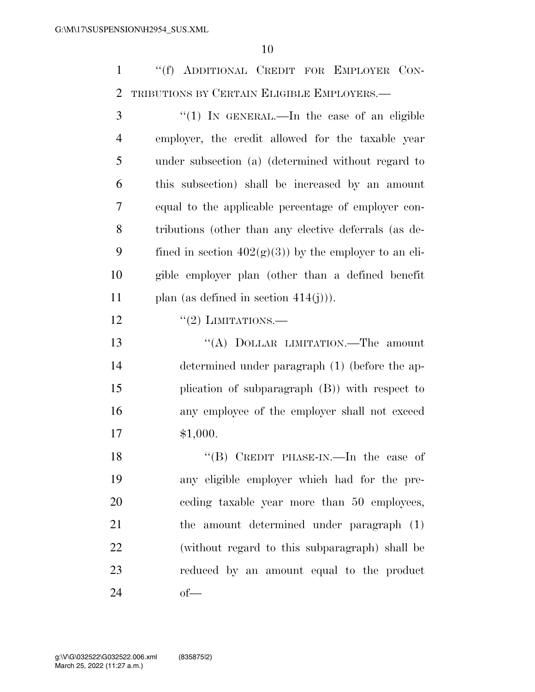''(f) ADDITIONAL CREDIT FOR EMPLOYER CON-TRIBUTIONS BY CERTAIN ELIGIBLE EMPLOYERS.—

 ''(1) IN GENERAL.—In the case of an eligible employer, the credit allowed for the taxable year under subsection (a) (determined without regard to this subsection) shall be increased by an amount equal to the applicable percentage of employer con- tributions (other than any elective deferrals (as de-9 fined in section  $402(g)(3)$  by the employer to an eli- gible employer plan (other than a defined benefit 11 plan (as defined in section  $414(j)$ ).  $\frac{((2) \text{ LIMITATIONS}}{((2) \text{ LIMITATIONS}}$ 13 "(A) DOLLAR LIMITATION.—The amount

 determined under paragraph (1) (before the ap- plication of subparagraph (B)) with respect to any employee of the employer shall not exceed \$1,000.

18 "(B) CREDIT PHASE-IN.—In the case of any eligible employer which had for the pre- ceding taxable year more than 50 employees, the amount determined under paragraph (1) (without regard to this subparagraph) shall be reduced by an amount equal to the product of—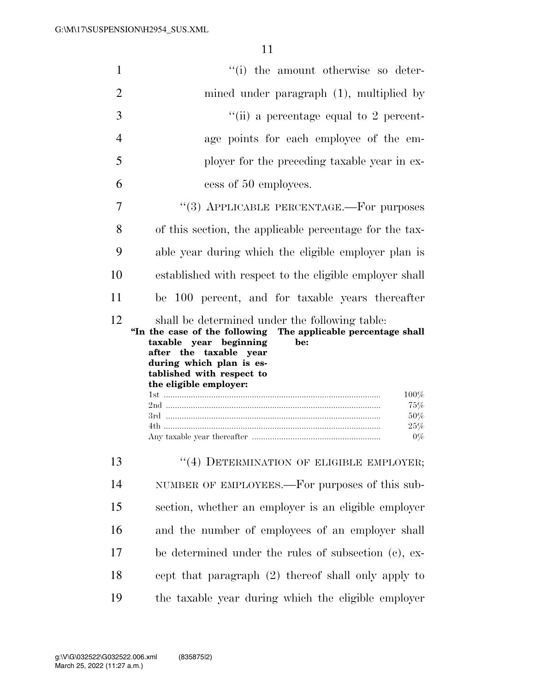| $\mathbf{1}$   | "(i) the amount otherwise so deter-                                                                                                                                                                                                                                                                                         |  |
|----------------|-----------------------------------------------------------------------------------------------------------------------------------------------------------------------------------------------------------------------------------------------------------------------------------------------------------------------------|--|
| 2              | mined under paragraph $(1)$ , multiplied by                                                                                                                                                                                                                                                                                 |  |
| 3              | "(ii) a percentage equal to 2 percent-                                                                                                                                                                                                                                                                                      |  |
| $\overline{4}$ | age points for each employee of the em-                                                                                                                                                                                                                                                                                     |  |
| 5              | ployer for the preceding taxable year in ex-                                                                                                                                                                                                                                                                                |  |
| 6              | cess of 50 employees.                                                                                                                                                                                                                                                                                                       |  |
| 7              | "(3) APPLICABLE PERCENTAGE.—For purposes                                                                                                                                                                                                                                                                                    |  |
| 8              | of this section, the applicable percentage for the tax-                                                                                                                                                                                                                                                                     |  |
| 9              | able year during which the eligible employer plan is                                                                                                                                                                                                                                                                        |  |
| 10             | established with respect to the eligible employer shall                                                                                                                                                                                                                                                                     |  |
| 11             | be 100 percent, and for taxable years thereafter                                                                                                                                                                                                                                                                            |  |
| 12             | shall be determined under the following table:                                                                                                                                                                                                                                                                              |  |
|                | "In the case of the following The applicable percentage shall<br>taxable year beginning<br>be:<br>after the taxable year<br>during which plan is es-<br>tablished with respect to<br>the eligible employer:<br>100%<br>75%<br>2nd …………………………………………………………………………………………<br>50%<br>25%<br>4th ……………………………………………………………………………………… |  |
|                | $0\%$                                                                                                                                                                                                                                                                                                                       |  |
| 13             | "(4) DETERMINATION OF ELIGIBLE EMPLOYER;                                                                                                                                                                                                                                                                                    |  |
| 14             | NUMBER OF EMPLOYEES.—For purposes of this sub-                                                                                                                                                                                                                                                                              |  |
| 15             | section, whether an employer is an eligible employer                                                                                                                                                                                                                                                                        |  |
| 16             | and the number of employees of an employer shall                                                                                                                                                                                                                                                                            |  |
| 17             | be determined under the rules of subsection (c), ex-                                                                                                                                                                                                                                                                        |  |
| 18             | cept that paragraph (2) thereof shall only apply to                                                                                                                                                                                                                                                                         |  |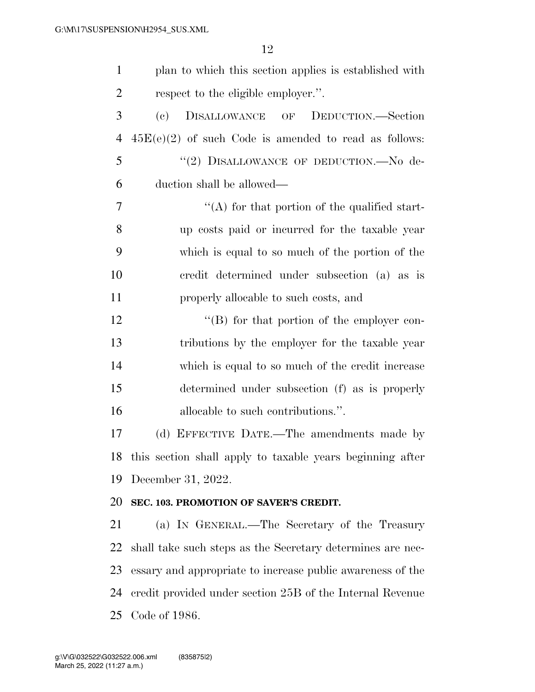| $\mathbf{1}$   | plan to which this section applies is established with           |
|----------------|------------------------------------------------------------------|
| $\overline{2}$ | respect to the eligible employer.".                              |
| 3              | DISALLOWANCE OF DEDUCTION.—Section<br>$\left( \mathrm{e}\right)$ |
| $\overline{4}$ | $45E(e)(2)$ of such Code is amended to read as follows:          |
| 5              | "(2) DISALLOWANCE OF DEDUCTION.-No de-                           |
| 6              | duction shall be allowed—                                        |
| 7              | $\lq\lq$ for that portion of the qualified start-                |
| 8              | up costs paid or incurred for the taxable year                   |
| 9              | which is equal to so much of the portion of the                  |
| 10             | credit determined under subsection (a) as is                     |
| 11             | properly allocable to such costs, and                            |
| 12             | $\lq\lq (B)$ for that portion of the employer con-               |
| 13             | tributions by the employer for the taxable year                  |
| 14             | which is equal to so much of the credit increase                 |
| 15             | determined under subsection (f) as is properly                   |
| 16             | allocable to such contributions.".                               |
| 17             | (d) EFFECTIVE DATE.—The amendments made by                       |
|                | 18 this section shall apply to taxable years beginning after     |
| 19             | December 31, 2022.                                               |
| 20             | SEC. 103. PROMOTION OF SAVER'S CREDIT.                           |
| 21             | (a) IN GENERAL.—The Secretary of the Treasury                    |
| 22             | shall take such steps as the Secretary determines are nec-       |
| 23             | essary and appropriate to increase public awareness of the       |
| 24             | credit provided under section 25B of the Internal Revenue        |
| 25             | Code of 1986.                                                    |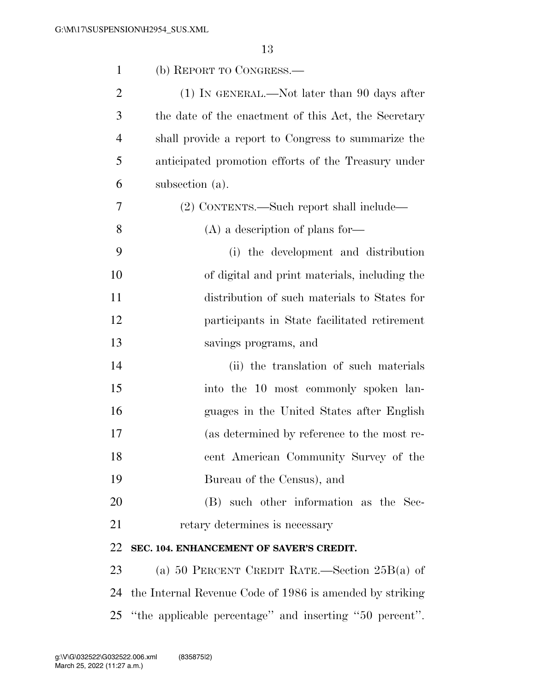| $\mathbf{1}$   | (b) REPORT TO CONGRESS.                                  |
|----------------|----------------------------------------------------------|
| $\overline{2}$ | $(1)$ In GENERAL.—Not later than 90 days after           |
| 3              | the date of the enactment of this Act, the Secretary     |
| 4              | shall provide a report to Congress to summarize the      |
| 5              | anticipated promotion efforts of the Treasury under      |
| 6              | subsection (a).                                          |
| 7              | (2) CONTENTS.—Such report shall include—                 |
| 8              | $(A)$ a description of plans for-                        |
| 9              | (i) the development and distribution                     |
| 10             | of digital and print materials, including the            |
| 11             | distribution of such materials to States for             |
| 12             | participants in State facilitated retirement             |
| 13             | savings programs, and                                    |
| 14             | (ii) the translation of such materials                   |
| 15             | into the 10 most commonly spoken lan-                    |
| 16             | guages in the United States after English                |
| 17             | (as determined by reference to the most re-              |
| 18             | cent American Community Survey of the                    |
| 19             | Bureau of the Census), and                               |
| 20             | (B) such other information as the Sec-                   |
| 21             | retary determines is necessary                           |
| 22             | SEC. 104. ENHANCEMENT OF SAVER'S CREDIT.                 |
| 23             | (a) 50 PERCENT CREDIT RATE.—Section $25B(a)$ of          |
| 24             | the Internal Revenue Code of 1986 is amended by striking |
| 25             | "the applicable percentage" and inserting "50 percent".  |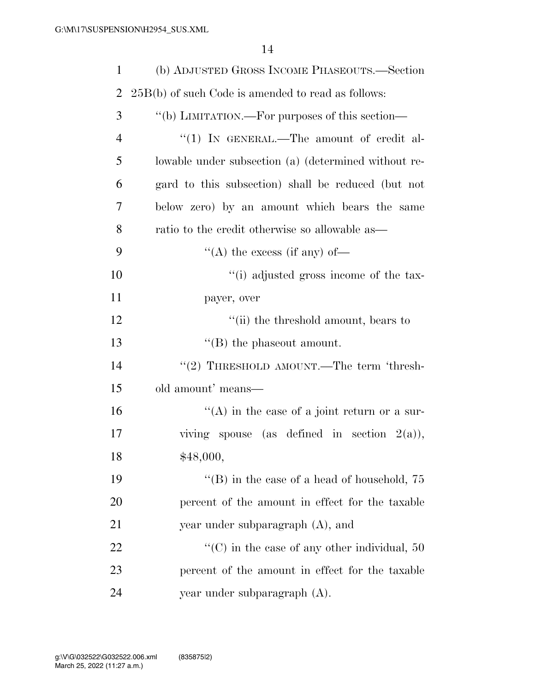| $\mathbf{1}$   | (b) ADJUSTED GROSS INCOME PHASEOUTS.—Section         |  |
|----------------|------------------------------------------------------|--|
| $\overline{2}$ | $25B(b)$ of such Code is amended to read as follows: |  |
| 3              | "(b) LIMITATION.—For purposes of this section—       |  |
| $\overline{4}$ | "(1) IN GENERAL.—The amount of credit al-            |  |
| 5              | lowable under subsection (a) (determined without re- |  |
| 6              | gard to this subsection) shall be reduced (but not   |  |
| 7              | below zero) by an amount which bears the same        |  |
| 8              | ratio to the credit otherwise so allowable as—       |  |
| 9              | "(A) the excess (if any) of-                         |  |
| 10             | "(i) adjusted gross income of the tax-               |  |
| 11             | payer, over                                          |  |
| 12             | "(ii) the threshold amount, bears to                 |  |
| 13             | $\lq\lq$ the phase out amount.                       |  |
| 14             | "(2) THRESHOLD AMOUNT.—The term 'thresh-             |  |
| 15             | old amount' means—                                   |  |
| 16             | "(A) in the case of a joint return or a sur-         |  |
| 17             | viving spouse (as defined in section $2(a)$ ),       |  |
| 18             | \$48,000,                                            |  |
| 19             | "(B) in the case of a head of household, $75$        |  |
| 20             | percent of the amount in effect for the taxable      |  |
| 21             | year under subparagraph $(A)$ , and                  |  |
| 22             | $\lq\lq$ (C) in the case of any other individual, 50 |  |
| 23             | percent of the amount in effect for the taxable      |  |
| 24             | year under subparagraph (A).                         |  |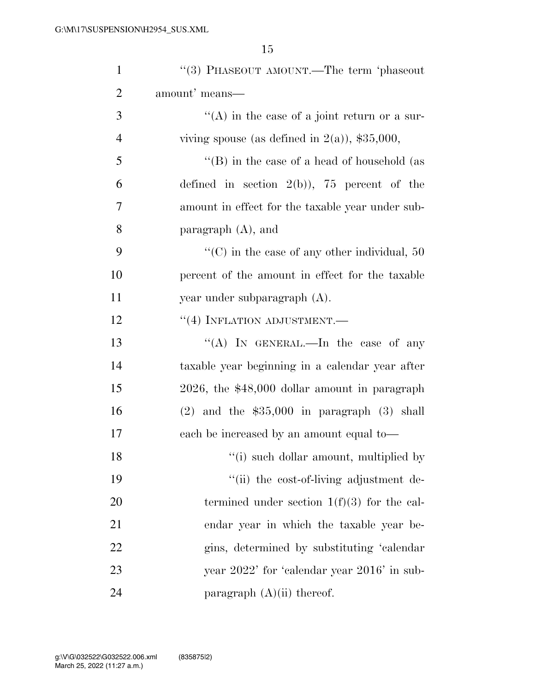| $\mathbf{1}$   | $``(3)$ PHASEOUT AMOUNT.—The term 'phaseout          |
|----------------|------------------------------------------------------|
| $\overline{2}$ | amount' means—                                       |
| 3              | $\lq\lq$ in the case of a joint return or a sur-     |
| $\overline{4}$ | viving spouse (as defined in $2(a)$ ), \$35,000,     |
| 5              | "(B) in the case of a head of household (as          |
| 6              | defined in section $2(b)$ , 75 percent of the        |
| 7              | amount in effect for the taxable year under sub-     |
| 8              | paragraph $(A)$ , and                                |
| 9              | $\lq\lq$ (C) in the case of any other individual, 50 |
| 10             | percent of the amount in effect for the taxable      |
| 11             | year under subparagraph $(A)$ .                      |
| 12             | $``(4)$ INFLATION ADJUSTMENT.—                       |
| 13             | "(A) IN GENERAL.—In the case of any                  |
| 14             | taxable year beginning in a calendar year after      |
| 15             | 2026, the \$48,000 dollar amount in paragraph        |
| 16             | $(2)$ and the \$35,000 in paragraph $(3)$ shall      |
| 17             | each be increased by an amount equal to-             |
| 18             | "(i) such dollar amount, multiplied by               |
| 19             | "(ii) the cost-of-living adjustment de-              |
| 20             | termined under section $1(f)(3)$ for the cal-        |
| 21             | endar year in which the taxable year be-             |
| 22             | gins, determined by substituting 'calendar'          |
| 23             | year 2022' for 'calendar year 2016' in sub-          |
| 24             | paragraph $(A)(ii)$ thereof.                         |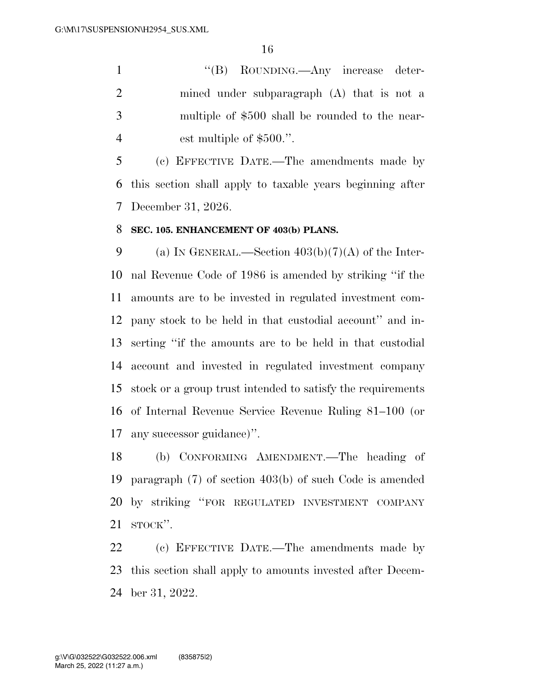1 ''(B) ROUNDING.—Any increase deter- mined under subparagraph (A) that is not a multiple of \$500 shall be rounded to the near-4 est multiple of \$500.".

 (c) EFFECTIVE DATE.—The amendments made by this section shall apply to taxable years beginning after December 31, 2026.

## **SEC. 105. ENHANCEMENT OF 403(b) PLANS.**

9 (a) IN GENERAL.—Section  $403(b)(7)(A)$  of the Inter- nal Revenue Code of 1986 is amended by striking ''if the amounts are to be invested in regulated investment com- pany stock to be held in that custodial account'' and in- serting ''if the amounts are to be held in that custodial account and invested in regulated investment company stock or a group trust intended to satisfy the requirements of Internal Revenue Service Revenue Ruling 81–100 (or any successor guidance)''.

 (b) CONFORMING AMENDMENT.—The heading of paragraph (7) of section 403(b) of such Code is amended by striking ''FOR REGULATED INVESTMENT COMPANY STOCK''.

 (c) EFFECTIVE DATE.—The amendments made by this section shall apply to amounts invested after Decem-ber 31, 2022.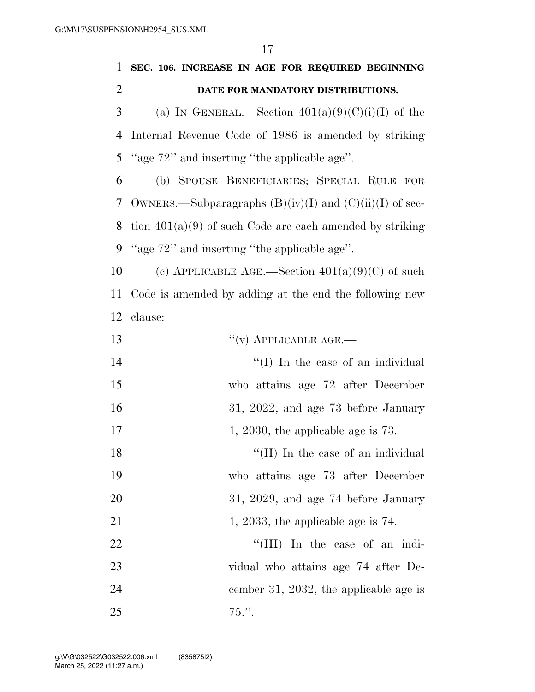| 1              | SEC. 106. INCREASE IN AGE FOR REQUIRED BEGINNING            |
|----------------|-------------------------------------------------------------|
| $\overline{2}$ | DATE FOR MANDATORY DISTRIBUTIONS.                           |
| 3              | (a) IN GENERAL.—Section $401(a)(9)(C)(i)(I)$ of the         |
| $\overline{4}$ | Internal Revenue Code of 1986 is amended by striking        |
| 5              | "age 72" and inserting "the applicable age".                |
| 6              | (b) SPOUSE BENEFICIARIES; SPECIAL RULE FOR                  |
| 7              | OWNERS.—Subparagraphs $(B)(iv)(I)$ and $(C)(ii)(I)$ of sec- |
| 8              | tion $401(a)(9)$ of such Code are each amended by striking  |
| 9              | "age 72" and inserting "the applicable age".                |
| 10             | (c) APPLICABLE AGE.—Section $401(a)(9)(C)$ of such          |
| 11             | Code is amended by adding at the end the following new      |
| 12             | clause:                                                     |
| 13             | $``(v)$ APPLICABLE AGE.—                                    |
| 14             | "(I) In the case of an individual                           |
| 15             | who attains age 72 after December                           |
| 16             | 31, 2022, and age 73 before January                         |
| 17             | 1, 2030, the applicable age is $73$ .                       |
| 18             | "(II) In the case of an individual                          |
| 19             | who attains age 73 after December                           |
| 20             | $31, 2029,$ and age 74 before January                       |
| 21             | 1, 2033, the applicable age is $74$ .                       |
| 22             | "(III) In the case of an indi-                              |
| 23             | vidual who attains age 74 after De-                         |
| 24             | cember 31, 2032, the applicable age is                      |
| 25             | $75.$ ".                                                    |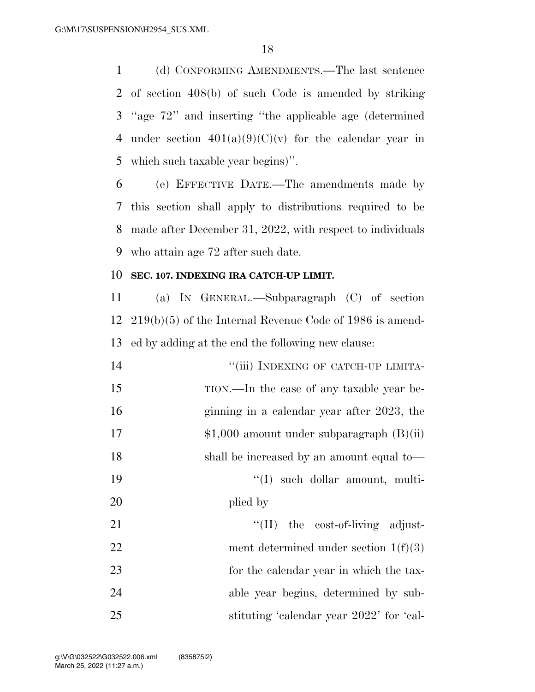(d) CONFORMING AMENDMENTS.—The last sentence of section 408(b) of such Code is amended by striking ''age 72'' and inserting ''the applicable age (determined 4 under section  $401(a)(9)(C)(v)$  for the calendar year in which such taxable year begins)''.

 (e) EFFECTIVE DATE.—The amendments made by this section shall apply to distributions required to be made after December 31, 2022, with respect to individuals who attain age 72 after such date.

### **SEC. 107. INDEXING IRA CATCH-UP LIMIT.**

 (a) IN GENERAL.—Subparagraph (C) of section 219(b)(5) of the Internal Revenue Code of 1986 is amend-ed by adding at the end the following new clause:

| 14 | "(iii) INDEXING OF CATCH-UP LIMITA-          |
|----|----------------------------------------------|
| 15 | TION.—In the case of any taxable year be-    |
| 16 | ginning in a calendar year after 2023, the   |
| 17 | $$1,000$ amount under subparagraph $(B)(ii)$ |
| 18 | shall be increased by an amount equal to—    |
| 19 | $\lq\lq$ such dollar amount, multi-          |
| 20 | plied by                                     |
| 21 | "(II) the cost-of-living adjust-             |
| 22 | ment determined under section $1(f)(3)$      |
| 23 | for the calendar year in which the tax-      |
| 24 | able year begins, determined by sub-         |
| 25 | stituting 'calendar year 2022' for 'cal-     |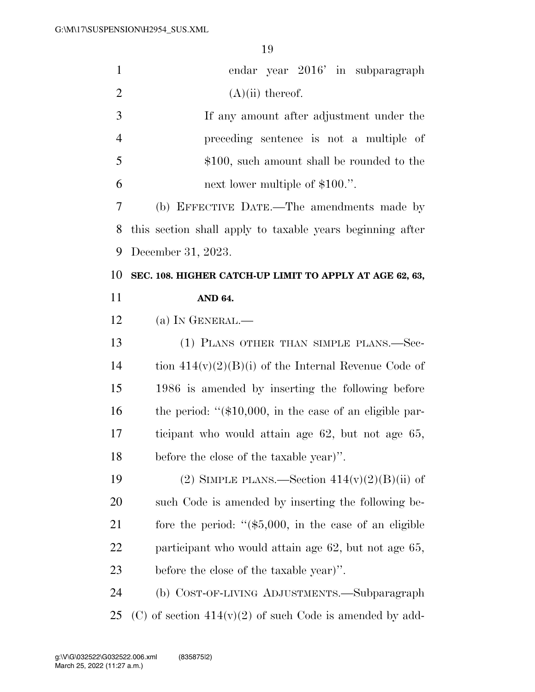| $\mathbf{1}$   | endar year 2016' in subparagraph                            |
|----------------|-------------------------------------------------------------|
| $\overline{2}$ | $(A)(ii)$ thereof.                                          |
| 3              | If any amount after adjustment under the                    |
| $\overline{4}$ | preceding sentence is not a multiple of                     |
| 5              | \$100, such amount shall be rounded to the                  |
| 6              | next lower multiple of \$100.".                             |
| 7              | (b) EFFECTIVE DATE.—The amendments made by                  |
| 8              | this section shall apply to taxable years beginning after   |
| 9              | December 31, 2023.                                          |
| 10             | SEC. 108. HIGHER CATCH-UP LIMIT TO APPLY AT AGE 62, 63,     |
| 11             | AND 64.                                                     |
| 12             | (a) IN GENERAL.—                                            |
| 13             | (1) PLANS OTHER THAN SIMPLE PLANS.—Sec-                     |
| 14             | tion $414(v)(2)(B)(i)$ of the Internal Revenue Code of      |
| 15             | 1986 is amended by inserting the following before           |
| 16             | the period: " $(\$10,000$ , in the case of an eligible par- |
| 17             | ticipant who would attain age 62, but not age 65,           |
| 18             | before the close of the taxable year)".                     |
| 19             | (2) SIMPLE PLANS.—Section $414(v)(2)(B)(ii)$ of             |
| 20             | such Code is amended by inserting the following be-         |
| 21             | fore the period: " $(\$5,000,$ in the case of an eligible   |
| 22             | participant who would attain age 62, but not age 65,        |
| 23             | before the close of the taxable year)".                     |
| 24             | (b) COST-OF-LIVING ADJUSTMENTS.—Subparagraph                |
| 25             | (C) of section $414(v)(2)$ of such Code is amended by add-  |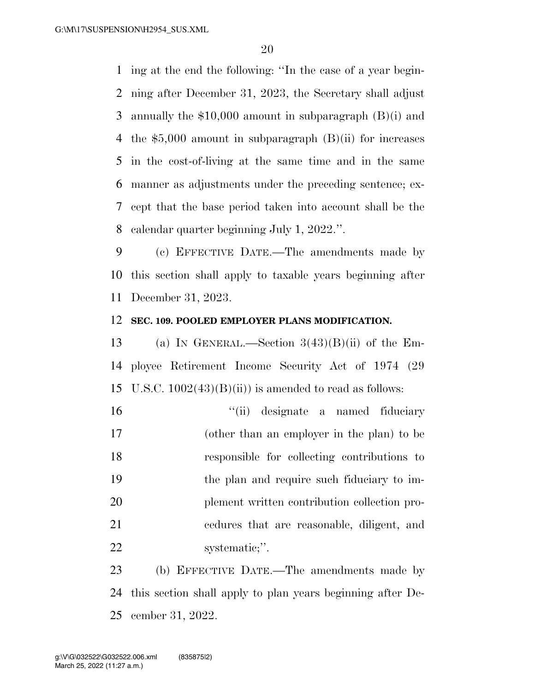ing at the end the following: ''In the case of a year begin- ning after December 31, 2023, the Secretary shall adjust annually the \$10,000 amount in subparagraph (B)(i) and the \$5,000 amount in subparagraph (B)(ii) for increases in the cost-of-living at the same time and in the same manner as adjustments under the preceding sentence; ex- cept that the base period taken into account shall be the calendar quarter beginning July 1, 2022.''.

 (c) EFFECTIVE DATE.—The amendments made by this section shall apply to taxable years beginning after December 31, 2023.

### **SEC. 109. POOLED EMPLOYER PLANS MODIFICATION.**

13 (a) IN GENERAL.—Section  $3(43)(B)(ii)$  of the Em- ployee Retirement Income Security Act of 1974 (29 15 U.S.C.  $1002(43)(B)(ii)$  is amended to read as follows:

 ''(ii) designate a named fiduciary (other than an employer in the plan) to be responsible for collecting contributions to the plan and require such fiduciary to im- plement written contribution collection pro- cedures that are reasonable, diligent, and 22 systematic;".

 (b) EFFECTIVE DATE.—The amendments made by this section shall apply to plan years beginning after De-cember 31, 2022.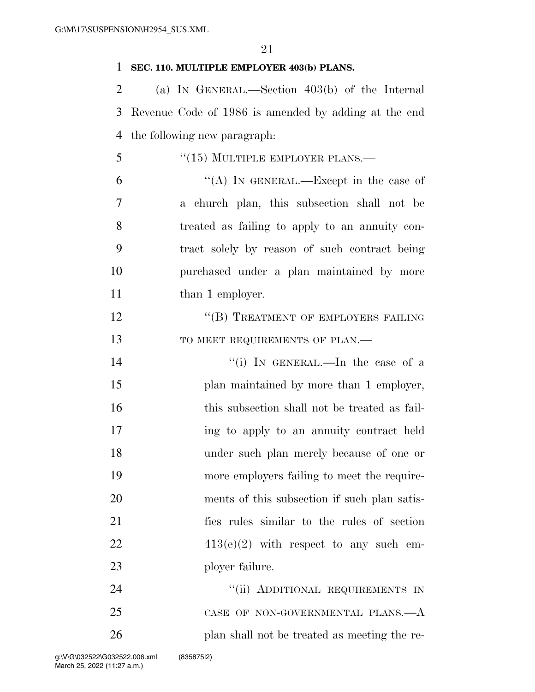### 1 **SEC. 110. MULTIPLE EMPLOYER 403(b) PLANS.**

2 (a) IN GENERAL.—Section 403(b) of the Internal 3 Revenue Code of 1986 is amended by adding at the end 4 the following new paragraph:

- 5 "(15) MULTIPLE EMPLOYER PLANS.—
- 6  $"({\rm A})$  In GENERAL.—Except in the case of 7 a church plan, this subsection shall not be 8 treated as failing to apply to an annuity con-9 tract solely by reason of such contract being 10 purchased under a plan maintained by more 11 than 1 employer.
- 12 "(B) TREATMENT OF EMPLOYERS FAILING 13 TO MEET REQUIREMENTS OF PLAN.—
- 14 ''(i) In GENERAL.—In the case of a 15 plan maintained by more than 1 employer, 16 this subsection shall not be treated as fail-17 ing to apply to an annuity contract held 18 under such plan merely because of one or 19 more employers failing to meet the require-20 ments of this subsection if such plan satis-21 fies rules similar to the rules of section 22  $413(e)(2)$  with respect to any such em-23 ployer failure.

24 ''(ii) ADDITIONAL REQUIREMENTS IN 25 CASE OF NON-GOVERNMENTAL PLANS.—A 26 plan shall not be treated as meeting the re-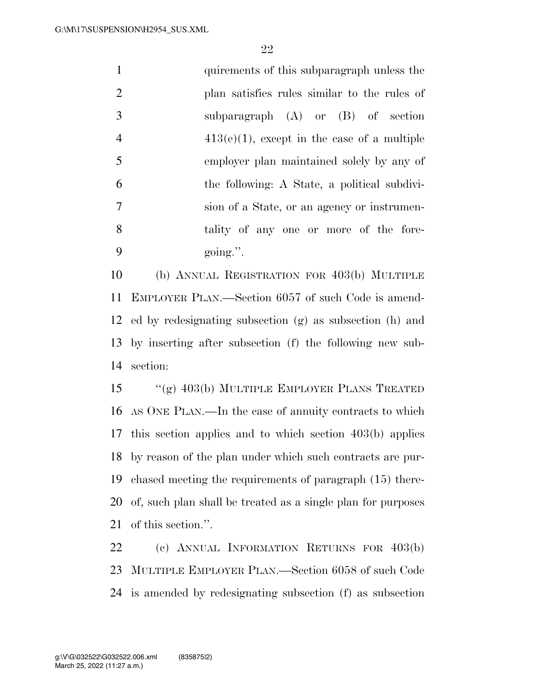| $\mathbf{1}$   | quirements of this subparagraph unless the     |
|----------------|------------------------------------------------|
| 2              | plan satisfies rules similar to the rules of   |
| 3              | subparagraph $(A)$ or $(B)$ of section         |
| $\overline{4}$ | $413(e)(1)$ , except in the case of a multiple |
| $\overline{5}$ | employer plan maintained solely by any of      |
| 6              | the following: A State, a political subdivi-   |
| 7              | sion of a State, or an agency or instrumen-    |
| 8              | tality of any one or more of the fore-         |
| 9              | $going$ .".                                    |

 (b) ANNUAL REGISTRATION FOR 403(b) MULTIPLE EMPLOYER PLAN.—Section 6057 of such Code is amend- ed by redesignating subsection (g) as subsection (h) and by inserting after subsection (f) the following new sub-section:

 ''(g) 403(b) MULTIPLE EMPLOYER PLANS TREATED AS ONE PLAN.—In the case of annuity contracts to which this section applies and to which section 403(b) applies by reason of the plan under which such contracts are pur- chased meeting the requirements of paragraph (15) there- of, such plan shall be treated as a single plan for purposes of this section.''.

 (c) ANNUAL INFORMATION RETURNS FOR 403(b) MULTIPLE EMPLOYER PLAN.—Section 6058 of such Code is amended by redesignating subsection (f) as subsection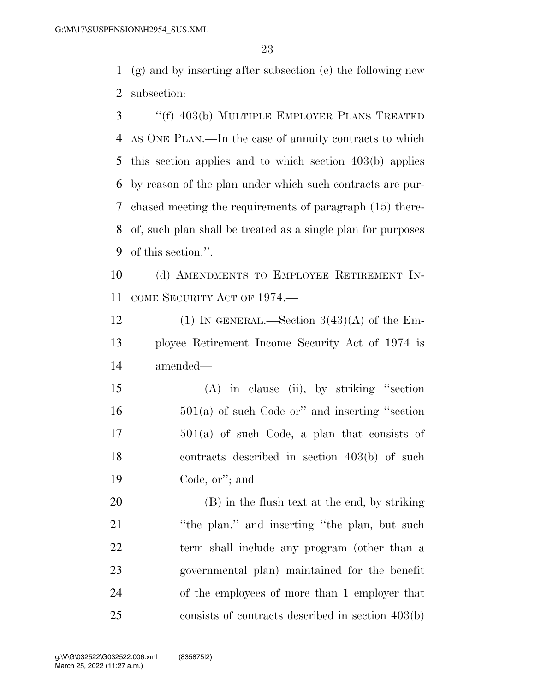(g) and by inserting after subsection (e) the following new subsection:

 ''(f) 403(b) MULTIPLE EMPLOYER PLANS TREATED AS ONE PLAN.—In the case of annuity contracts to which this section applies and to which section 403(b) applies by reason of the plan under which such contracts are pur- chased meeting the requirements of paragraph (15) there- of, such plan shall be treated as a single plan for purposes of this section.''.

 (d) AMENDMENTS TO EMPLOYEE RETIREMENT IN-COME SECURITY ACT OF 1974.—

12 (1) IN GENERAL.—Section  $3(43)(A)$  of the Em- ployee Retirement Income Security Act of 1974 is amended—

 (A) in clause (ii), by striking ''section 501(a) of such Code or'' and inserting ''section 501(a) of such Code, a plan that consists of contracts described in section 403(b) of such Code, or''; and

 (B) in the flush text at the end, by striking 21 "the plan." and inserting "the plan, but such term shall include any program (other than a governmental plan) maintained for the benefit of the employees of more than 1 employer that consists of contracts described in section 403(b)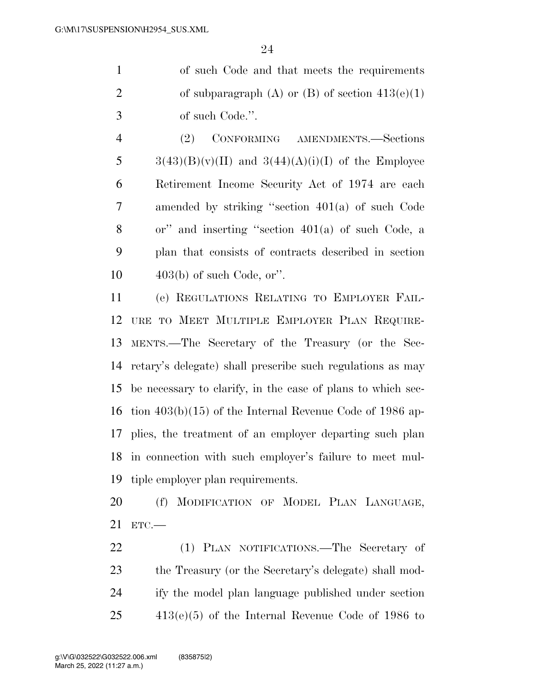| $\overline{1}$ | of such Code and that meets the requirements      |
|----------------|---------------------------------------------------|
| 2              | of subparagraph (A) or (B) of section $413(e)(1)$ |
| 3              | of such Code.".                                   |

 (2) CONFORMING AMENDMENTS.—Sections  $3(43)(B)(v)(II)$  and  $3(44)(A)(i)(I)$  of the Employee Retirement Income Security Act of 1974 are each amended by striking ''section 401(a) of such Code or'' and inserting ''section 401(a) of such Code, a plan that consists of contracts described in section 403(b) of such Code, or''.

 (e) REGULATIONS RELATING TO EMPLOYER FAIL- URE TO MEET MULTIPLE EMPLOYER PLAN REQUIRE- MENTS.—The Secretary of the Treasury (or the Sec- retary's delegate) shall prescribe such regulations as may be necessary to clarify, in the case of plans to which sec- tion 403(b)(15) of the Internal Revenue Code of 1986 ap- plies, the treatment of an employer departing such plan in connection with such employer's failure to meet mul-tiple employer plan requirements.

 (f) MODIFICATION OF MODEL PLAN LANGUAGE, ETC.—

 (1) PLAN NOTIFICATIONS.—The Secretary of the Treasury (or the Secretary's delegate) shall mod- ify the model plan language published under section 413(e)(5) of the Internal Revenue Code of 1986 to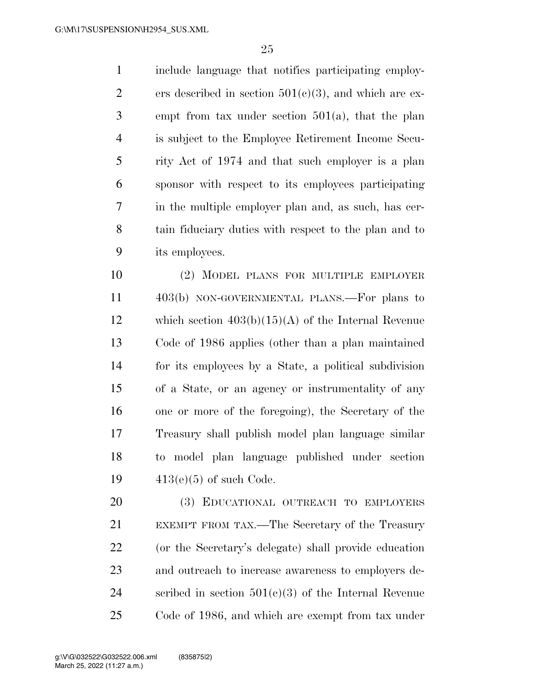include language that notifies participating employ-2 ers described in section  $501(c)(3)$ , and which are ex- empt from tax under section 501(a), that the plan is subject to the Employee Retirement Income Secu- rity Act of 1974 and that such employer is a plan sponsor with respect to its employees participating in the multiple employer plan and, as such, has cer- tain fiduciary duties with respect to the plan and to its employees.

 (2) MODEL PLANS FOR MULTIPLE EMPLOYER 403(b) NON-GOVERNMENTAL PLANS.—For plans to which section 403(b)(15)(A) of the Internal Revenue Code of 1986 applies (other than a plan maintained for its employees by a State, a political subdivision of a State, or an agency or instrumentality of any one or more of the foregoing), the Secretary of the Treasury shall publish model plan language similar to model plan language published under section 413(e)(5) of such Code.

 (3) EDUCATIONAL OUTREACH TO EMPLOYERS EXEMPT FROM TAX.—The Secretary of the Treasury (or the Secretary's delegate) shall provide education and outreach to increase awareness to employers de-24 scribed in section  $501(c)(3)$  of the Internal Revenue Code of 1986, and which are exempt from tax under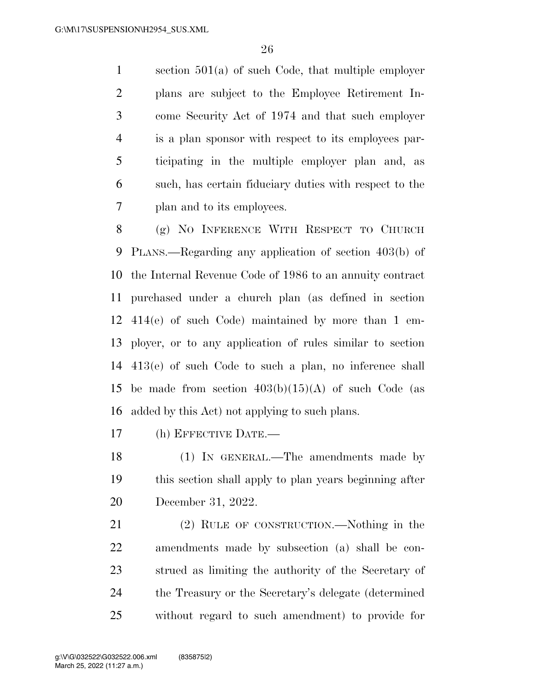section 501(a) of such Code, that multiple employer plans are subject to the Employee Retirement In- come Security Act of 1974 and that such employer is a plan sponsor with respect to its employees par- ticipating in the multiple employer plan and, as such, has certain fiduciary duties with respect to the plan and to its employees.

 (g) NO INFERENCE WITH RESPECT TO CHURCH PLANS.—Regarding any application of section 403(b) of the Internal Revenue Code of 1986 to an annuity contract purchased under a church plan (as defined in section 414(e) of such Code) maintained by more than 1 em- ployer, or to any application of rules similar to section 413(e) of such Code to such a plan, no inference shall 15 be made from section  $403(b)(15)(A)$  of such Code (as added by this Act) not applying to such plans.

(h) EFFECTIVE DATE.—

 (1) IN GENERAL.—The amendments made by this section shall apply to plan years beginning after December 31, 2022.

 (2) RULE OF CONSTRUCTION.—Nothing in the amendments made by subsection (a) shall be con- strued as limiting the authority of the Secretary of the Treasury or the Secretary's delegate (determined without regard to such amendment) to provide for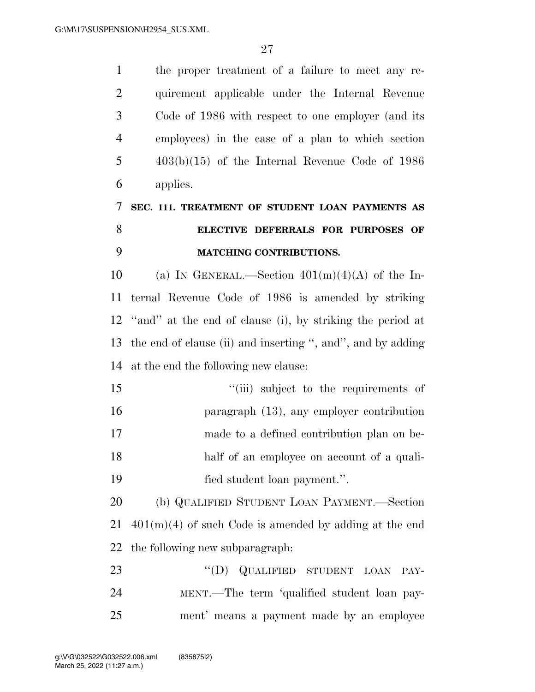| $\mathbf{1}$   | the proper treatment of a failure to meet any re-            |
|----------------|--------------------------------------------------------------|
| $\overline{2}$ | quirement applicable under the Internal Revenue              |
| 3              | Code of 1986 with respect to one employer (and its           |
| $\overline{4}$ | employees) in the case of a plan to which section            |
| 5              | $403(b)(15)$ of the Internal Revenue Code of 1986            |
| 6              | applies.                                                     |
| 7              | SEC. 111. TREATMENT OF STUDENT LOAN PAYMENTS AS              |
| 8              | ELECTIVE DEFERRALS FOR PURPOSES OF                           |
| 9              | <b>MATCHING CONTRIBUTIONS.</b>                               |
| 10             | (a) IN GENERAL.—Section $401(m)(4)(A)$ of the In-            |
| 11             | ternal Revenue Code of 1986 is amended by striking           |
|                | 12 "and" at the end of clause (i), by striking the period at |
| 13             | the end of clause (ii) and inserting ", and", and by adding  |
| 14             | at the end the following new clause:                         |
| 15             | "(iii) subject to the requirements of                        |
| 16             | paragraph $(13)$ , any employer contribution                 |
| 17             | made to a defined contribution plan on be-                   |
| 18             | half of an employee on account of a quali-                   |
| 19             | fied student loan payment.".                                 |
| 20             | (b) QUALIFIED STUDENT LOAN PAYMENT.—Section                  |
| 21             | $401(m)(4)$ of such Code is amended by adding at the end     |
| 22             | the following new subparagraph.                              |
| 23             | "(D) QUALIFIED STUDENT LOAN<br>PAY-                          |
| 24             | MENT.—The term 'qualified student loan pay-                  |
| 25             | ment' means a payment made by an employee                    |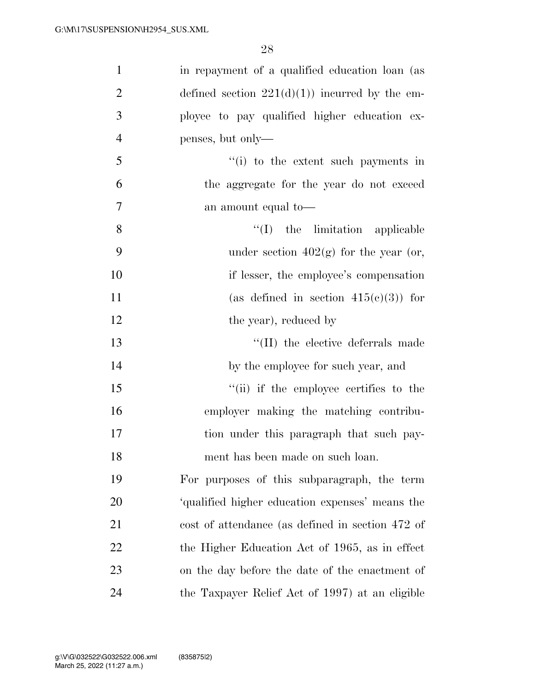| $\mathbf{1}$   | in repayment of a qualified education loan (as   |
|----------------|--------------------------------------------------|
| $\overline{2}$ | defined section $221(d)(1)$ incurred by the em-  |
| 3              | ployee to pay qualified higher education ex-     |
| $\overline{4}$ | penses, but only—                                |
| 5              | "(i) to the extent such payments in              |
| 6              | the aggregate for the year do not exceed         |
| $\tau$         | an amount equal to—                              |
| 8              | $\lq\lq$ (I) the limitation applicable           |
| 9              | under section $402(g)$ for the year (or,         |
| 10             | if lesser, the employee's compensation           |
| 11             | (as defined in section $415(c)(3)$ ) for         |
| 12             | the year), reduced by                            |
| 13             | "(II) the elective deferrals made                |
| 14             | by the employee for such year, and               |
| 15             | "(ii) if the employee certifies to the           |
| 16             | employer making the matching contribu-           |
| 17             | tion under this paragraph that such pay-         |
| 18             | ment has been made on such loan.                 |
| 19             | For purposes of this subparagraph, the term      |
| 20             | 'qualified higher education expenses' means the  |
| 21             | cost of attendance (as defined in section 472 of |
| 22             | the Higher Education Act of 1965, as in effect   |
| 23             | on the day before the date of the enactment of   |
| 24             | the Taxpayer Relief Act of 1997) at an eligible  |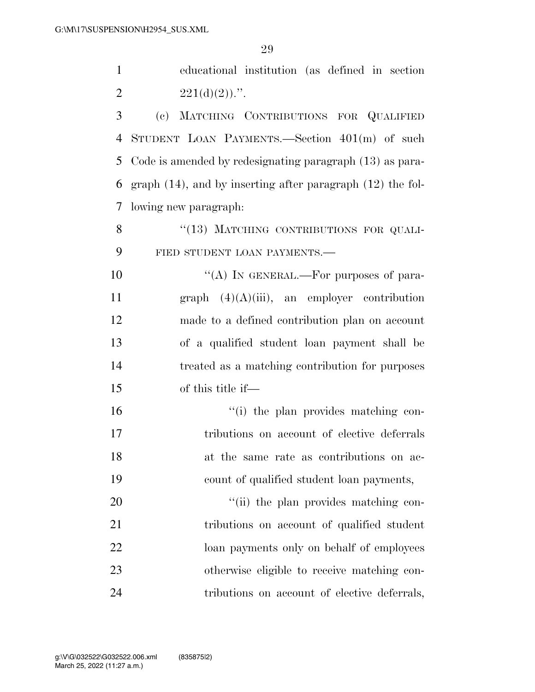educational institution (as defined in section 2  $221(d)(2)$ .".

 (c) MATCHING CONTRIBUTIONS FOR QUALIFIED STUDENT LOAN PAYMENTS.—Section 401(m) of such Code is amended by redesignating paragraph (13) as para- graph (14), and by inserting after paragraph (12) the fol-lowing new paragraph:

8 "(13) MATCHING CONTRIBUTIONS FOR QUALI-FIED STUDENT LOAN PAYMENTS.—

 $((A)$  In GENERAL.—For purposes of para-11 graph  $(4)(A)(iii)$ , an employer contribution made to a defined contribution plan on account of a qualified student loan payment shall be treated as a matching contribution for purposes of this title if—

 ''(i) the plan provides matching con- tributions on account of elective deferrals at the same rate as contributions on ac-count of qualified student loan payments,

 $\frac{1}{20}$  the plan provides matching con-21 tributions on account of qualified student loan payments only on behalf of employees otherwise eligible to receive matching con-tributions on account of elective deferrals,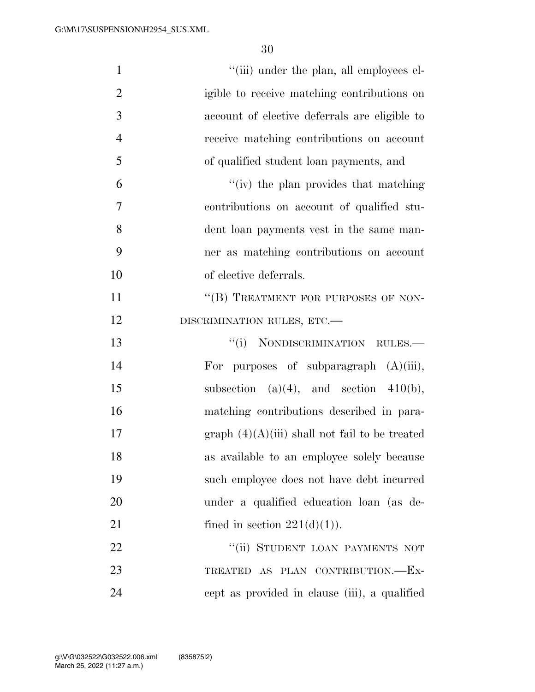| $\mathbf{1}$   | "(iii) under the plan, all employees el-         |
|----------------|--------------------------------------------------|
| $\overline{2}$ | igible to receive matching contributions on      |
| 3              | account of elective deferrals are eligible to    |
| $\overline{4}$ | receive matching contributions on account        |
| 5              | of qualified student loan payments, and          |
| 6              | "(iv) the plan provides that matching            |
| 7              | contributions on account of qualified stu-       |
| 8              | dent loan payments vest in the same man-         |
| 9              | ner as matching contributions on account         |
| 10             | of elective deferrals.                           |
| 11             | "(B) TREATMENT FOR PURPOSES OF NON-              |
| 12             | DISCRIMINATION RULES, ETC.-                      |
| 13             | "(i) NONDISCRIMINATION RULES.—                   |
| 14             | purposes of subparagraph $(A)(iii)$ ,<br>For     |
| 15             | subsection $(a)(4)$ , and section $410(b)$ ,     |
| 16             | matching contributions described in para-        |
| 17             | graph $(4)(A)(iii)$ shall not fail to be treated |
| 18             | as available to an employee solely because       |
| 19             | such employee does not have debt incurred        |
| 20             | under a qualified education loan (as de-         |
| 21             | fined in section $221(d)(1)$ ).                  |
| 22             | "(ii) STUDENT LOAN PAYMENTS NOT                  |
| 23             | TREATED AS PLAN CONTRIBUTION.-EX-                |
| 24             | cept as provided in clause (iii), a qualified    |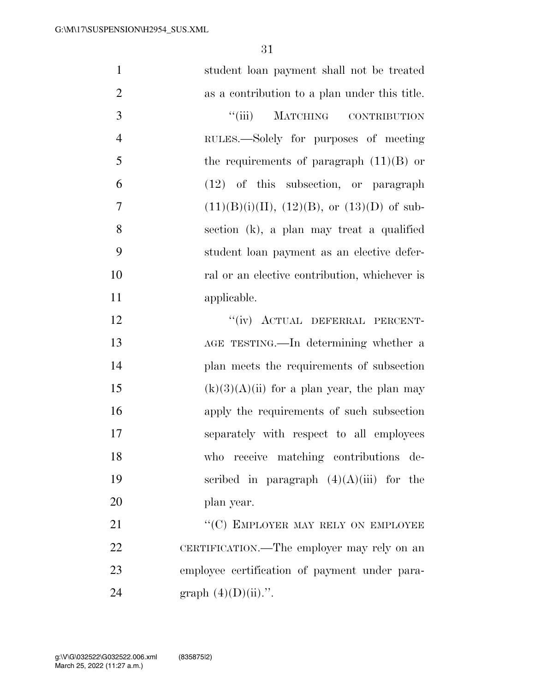| $\mathbf{1}$   | student loan payment shall not be treated     |
|----------------|-----------------------------------------------|
| $\overline{2}$ | as a contribution to a plan under this title. |
| 3              | ``(iii)<br>MATCHING CONTRIBUTION              |
| $\overline{4}$ | RULES.—Solely for purposes of meeting         |
| 5              | the requirements of paragraph $(11)(B)$ or    |
| 6              | $(12)$ of this subsection, or paragraph       |
| $\overline{7}$ | $(11)(B)(i)(II), (12)(B), or (13)(D)$ of sub- |
| 8              | section (k), a plan may treat a qualified     |
| 9              | student loan payment as an elective defer-    |
| 10             | ral or an elective contribution, whichever is |
| 11             | applicable.                                   |
| 12             | "(iv) ACTUAL DEFERRAL PERCENT-                |
| 13             | AGE TESTING.—In determining whether a         |
| 14             | plan meets the requirements of subsection     |
| 15             | $(k)(3)(A)(ii)$ for a plan year, the plan may |
| 16             | apply the requirements of such subsection     |
| 17             | separately with respect to all employees      |
| 18             | who receive matching contributions de-        |
| 19             | scribed in paragraph $(4)(A)(iii)$ for the    |
| 20             | plan year.                                    |
| 21             | "(C) EMPLOYER MAY RELY ON EMPLOYEE            |
| 22             | CERTIFICATION.—The employer may rely on an    |
| 23             | employee certification of payment under para- |
| 24             | graph $(4)(D)(ii)$ .".                        |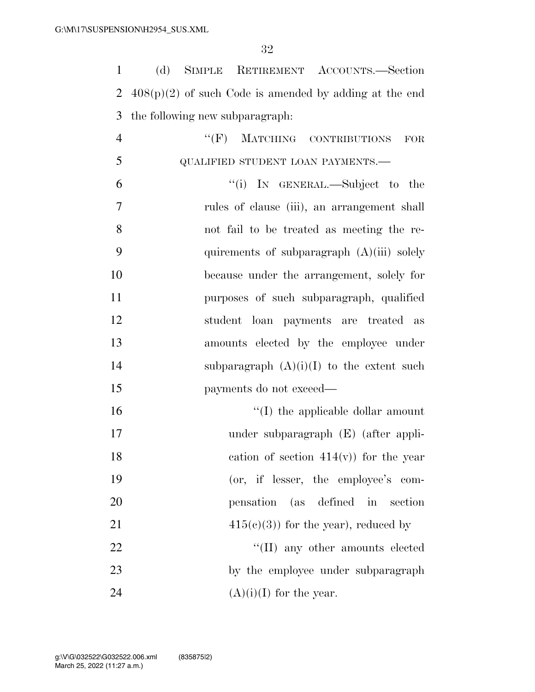(d) SIMPLE RETIREMENT ACCOUNTS.—Section 408(p)(2) of such Code is amended by adding at the end the following new subparagraph: 4 "(F) MATCHING CONTRIBUTIONS FOR 5 QUALIFIED STUDENT LOAN PAYMENTS.— ''(i) IN GENERAL.—Subject to the rules of clause (iii), an arrangement shall not fail to be treated as meeting the re- quirements of subparagraph (A)(iii) solely because under the arrangement, solely for purposes of such subparagraph, qualified student loan payments are treated as amounts elected by the employee under 14 subparagraph  $(A)(i)(I)$  to the extent such payments do not exceed—  $\frac{1}{10}$  the applicable dollar amount under subparagraph (E) (after appli-18 cation of section  $414(v)$  for the year (or, if lesser, the employee's com- pensation (as defined in section  $415(e)(3)$  for the year), reduced by 22 ''(II) any other amounts elected 23 by the employee under subparagraph  $(A)(i)(I)$  for the year.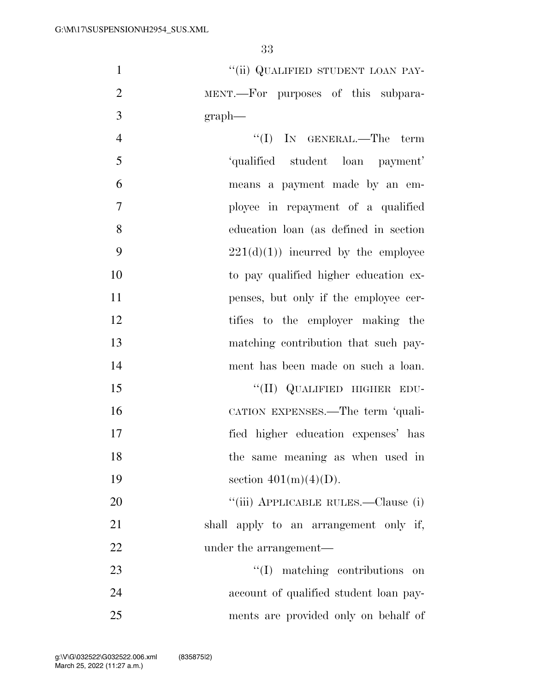1 "(ii) QUALIFIED STUDENT LOAN PAY-2 MENT.—For purposes of this subpara-3 graph—

- 4 ''(I) IN GENERAL.—The term 5 'qualified student loan payment' 6 means a payment made by an em-7 ployee in repayment of a qualified 8 education loan (as defined in section 9 221(d)(1)) incurred by the employee 10 to pay qualified higher education ex-11 penses, but only if the employee cer-12 tifies to the employer making the 13 matching contribution that such pay-14 ment has been made on such a loan. 15 "(II) QUALIFIED HIGHER EDU-16 CATION EXPENSES.—The term 'quali-
- 17 fied higher education expenses' has

18 the same meaning as when used in

19 section  $401(m)(4)(D)$ .

20 "'(iii) APPLICABLE RULES.—Clause (i) 21 shall apply to an arrangement only if, 22 under the arrangement—

23 ''(I) matching contributions on 24 account of qualified student loan pay-25 ments are provided only on behalf of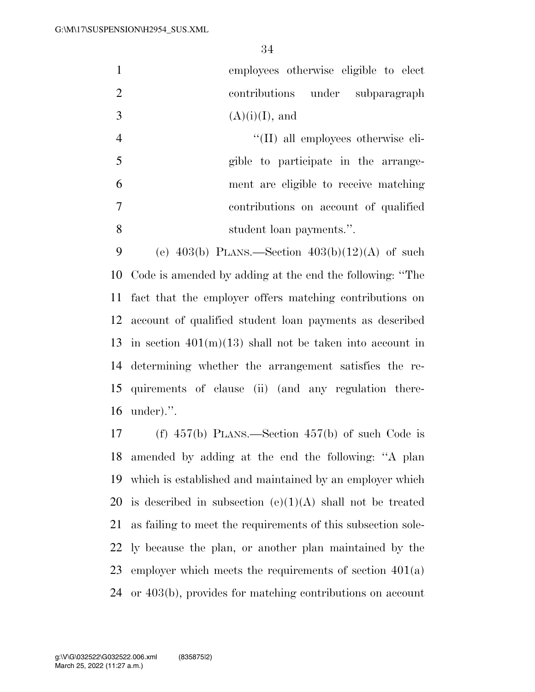| $\mathbf{1}$   | employees otherwise eligible to elect                            |
|----------------|------------------------------------------------------------------|
| 2              | contributions under subparagraph                                 |
| 3              | $(A)(i)(I)$ , and                                                |
| $\overline{4}$ | $\lq\lq$ (II) all employees otherwise eli-                       |
| 5              | gible to participate in the arrange-                             |
| 6              | ment are eligible to receive matching                            |
| $\overline{7}$ | contributions on account of qualified                            |
| 8              | student loan payments.".                                         |
| $\Omega$       | (a) $402(h)$ Pr $\Delta$ FC Soction $402(h)(19)(\Delta)$ of such |

9 (e)  $403(b)$  PLANS.—Section  $403(b)(12)(A)$  of such Code is amended by adding at the end the following: ''The fact that the employer offers matching contributions on account of qualified student loan payments as described 13 in section  $401(m)(13)$  shall not be taken into account in determining whether the arrangement satisfies the re- quirements of clause (ii) (and any regulation there-under).''.

 (f) 457(b) PLANS.—Section 457(b) of such Code is amended by adding at the end the following: ''A plan which is established and maintained by an employer which 20 is described in subsection  $(e)(1)(A)$  shall not be treated as failing to meet the requirements of this subsection sole- ly because the plan, or another plan maintained by the employer which meets the requirements of section 401(a) or 403(b), provides for matching contributions on account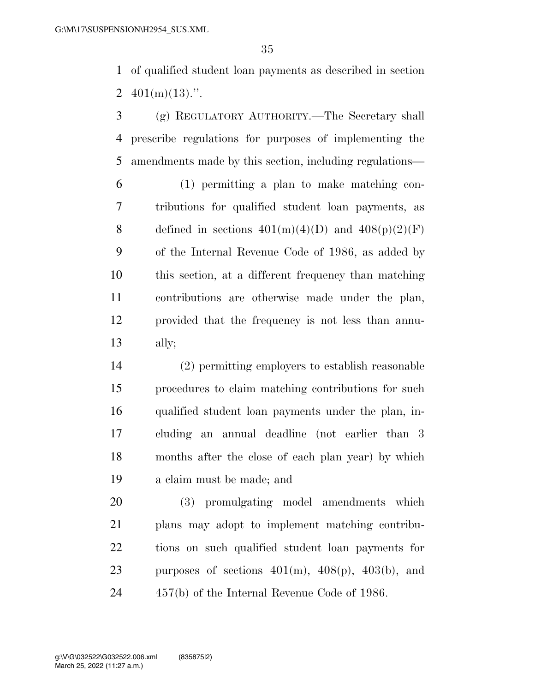of qualified student loan payments as described in section 2  $401(m)(13)$ .".

 (g) REGULATORY AUTHORITY.—The Secretary shall prescribe regulations for purposes of implementing the amendments made by this section, including regulations—

 (1) permitting a plan to make matching con- tributions for qualified student loan payments, as 8 defined in sections  $401(m)(4)(D)$  and  $408(p)(2)(F)$  of the Internal Revenue Code of 1986, as added by this section, at a different frequency than matching contributions are otherwise made under the plan, provided that the frequency is not less than annu-ally;

 (2) permitting employers to establish reasonable procedures to claim matching contributions for such qualified student loan payments under the plan, in- cluding an annual deadline (not earlier than 3 months after the close of each plan year) by which a claim must be made; and

 (3) promulgating model amendments which plans may adopt to implement matching contribu- tions on such qualified student loan payments for 23 purposes of sections  $401(m)$ ,  $408(p)$ ,  $403(b)$ , and 457(b) of the Internal Revenue Code of 1986.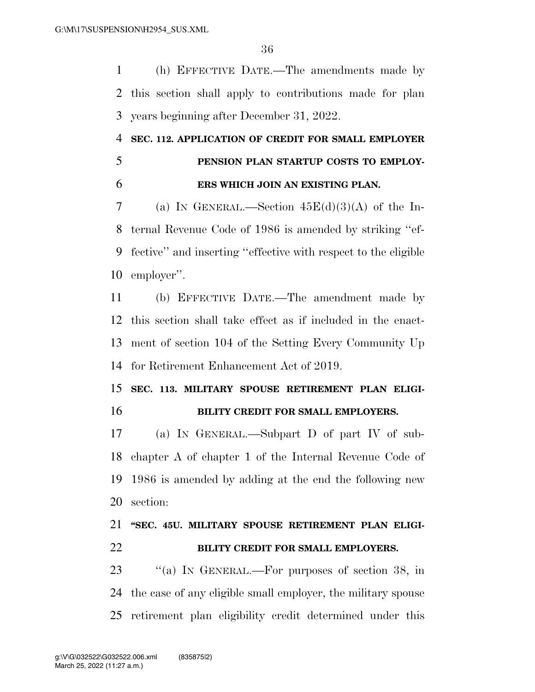(h) EFFECTIVE DATE.—The amendments made by this section shall apply to contributions made for plan years beginning after December 31, 2022.

# **SEC. 112. APPLICATION OF CREDIT FOR SMALL EMPLOYER PENSION PLAN STARTUP COSTS TO EMPLOY-**

## **ERS WHICH JOIN AN EXISTING PLAN.**

7 (a) IN GENERAL.—Section  $45E(d)(3)(A)$  of the In- ternal Revenue Code of 1986 is amended by striking ''ef- fective'' and inserting ''effective with respect to the eligible employer''.

 (b) EFFECTIVE DATE.—The amendment made by this section shall take effect as if included in the enact- ment of section 104 of the Setting Every Community Up for Retirement Enhancement Act of 2019.

# **SEC. 113. MILITARY SPOUSE RETIREMENT PLAN ELIGI-BILITY CREDIT FOR SMALL EMPLOYERS.**

 (a) IN GENERAL.—Subpart D of part IV of sub- chapter A of chapter 1 of the Internal Revenue Code of 1986 is amended by adding at the end the following new section:

# **''SEC. 45U. MILITARY SPOUSE RETIREMENT PLAN ELIGI-BILITY CREDIT FOR SMALL EMPLOYERS.**

23 "(a) IN GENERAL.—For purposes of section 38, in the case of any eligible small employer, the military spouse retirement plan eligibility credit determined under this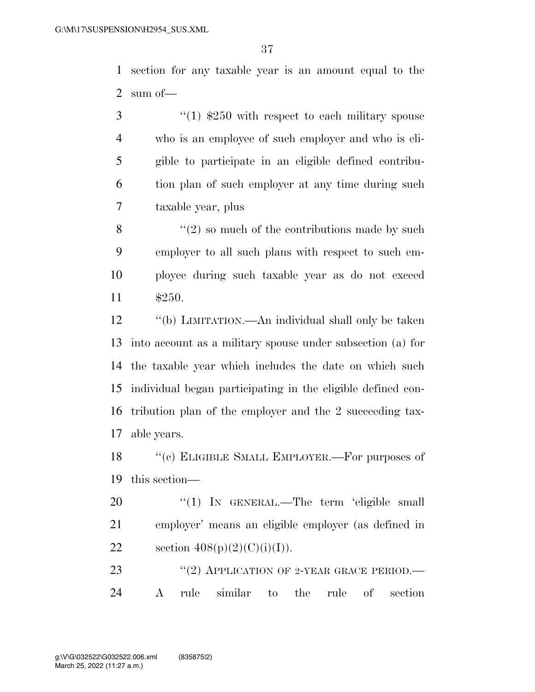section for any taxable year is an amount equal to the sum of—

 ''(1) \$250 with respect to each military spouse who is an employee of such employer and who is eli- gible to participate in an eligible defined contribu- tion plan of such employer at any time during such taxable year, plus

 $\mathcal{S}$  ''(2) so much of the contributions made by such employer to all such plans with respect to such em- ployee during such taxable year as do not exceed \$250.

 ''(b) LIMITATION.—An individual shall only be taken into account as a military spouse under subsection (a) for the taxable year which includes the date on which such individual began participating in the eligible defined con- tribution plan of the employer and the 2 succeeding tax-able years.

18 "(c) ELIGIBLE SMALL EMPLOYER.—For purposes of this section—

20 "(1) IN GENERAL.—The term 'eligible small employer' means an eligible employer (as defined in 22 section  $408(p)(2)(C)(i)(I)).$ 

23 "(2) APPLICATION OF 2-YEAR GRACE PERIOD.— A rule similar to the rule of section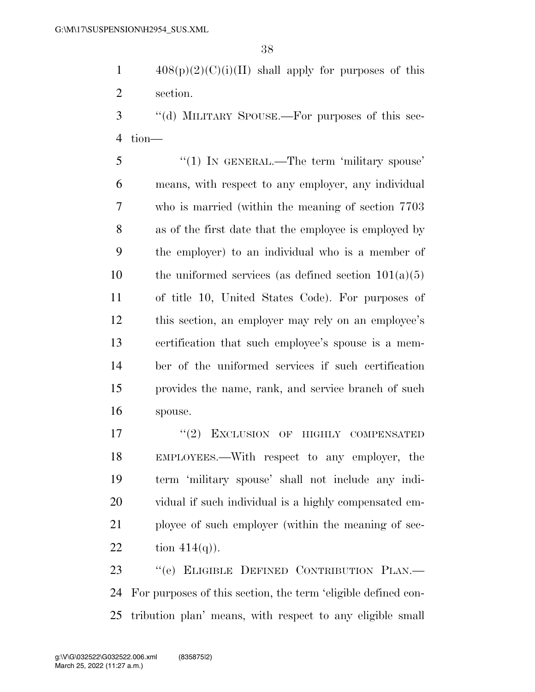1  $408(p)(2)(C)(i)(II)$  shall apply for purposes of this section.

3 "(d) MILITARY SPOUSE.—For purposes of this sec-tion—

5 "(1) In GENERAL.—The term 'military spouse' means, with respect to any employer, any individual who is married (within the meaning of section 7703 as of the first date that the employee is employed by the employer) to an individual who is a member of 10 the uniformed services (as defined section  $101(a)(5)$  of title 10, United States Code). For purposes of this section, an employer may rely on an employee's certification that such employee's spouse is a mem- ber of the uniformed services if such certification provides the name, rank, and service branch of such spouse.

17 "(2) EXCLUSION OF HIGHLY COMPENSATED EMPLOYEES.—With respect to any employer, the term 'military spouse' shall not include any indi- vidual if such individual is a highly compensated em- ployee of such employer (within the meaning of sec-22 tion  $414(q)$ ).

 ''(e) ELIGIBLE DEFINED CONTRIBUTION PLAN.— For purposes of this section, the term 'eligible defined con-tribution plan' means, with respect to any eligible small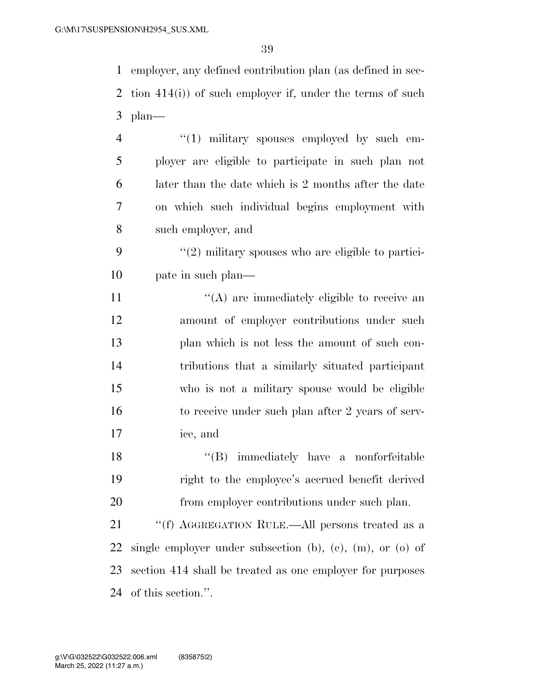employer, any defined contribution plan (as defined in sec- tion 414(i)) of such employer if, under the terms of such plan—

 $\frac{4}{1}$  military spouses employed by such em- ployer are eligible to participate in such plan not later than the date which is 2 months after the date on which such individual begins employment with such employer, and

9  $(2)$  military spouses who are eligible to partici-10 pate in such plan—

 $((A)$  are immediately eligible to receive an amount of employer contributions under such plan which is not less the amount of such con- tributions that a similarly situated participant who is not a military spouse would be eligible to receive under such plan after 2 years of serv-ice, and

18 ''(B) immediately have a nonforfeitable right to the employee's accrued benefit derived from employer contributions under such plan.

21 ''(f) AGGREGATION RULE.—All persons treated as a single employer under subsection (b), (c), (m), or (o) of section 414 shall be treated as one employer for purposes of this section.''.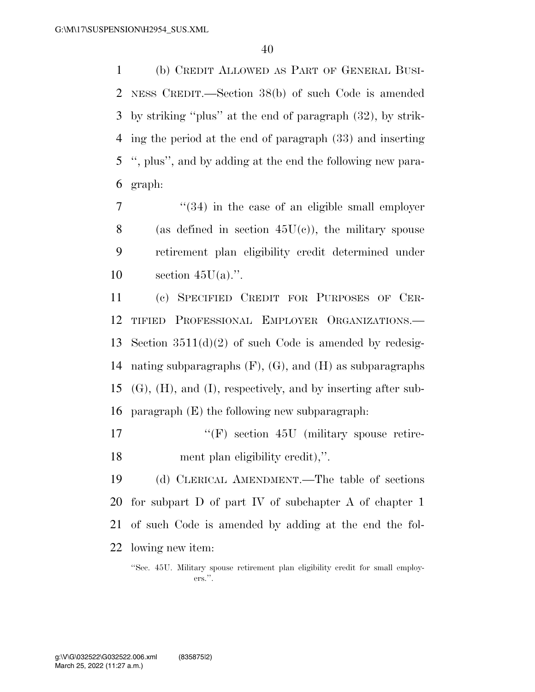(b) CREDIT ALLOWED AS PART OF GENERAL BUSI- NESS CREDIT.—Section 38(b) of such Code is amended by striking ''plus'' at the end of paragraph (32), by strik- ing the period at the end of paragraph (33) and inserting '', plus'', and by adding at the end the following new para-graph:

7  $\frac{4}{34}$  in the case of an eligible small employer 8 (as defined in section  $45U(c)$ ), the military spouse retirement plan eligibility credit determined under 10 section  $45U(a)$ .".

 (c) SPECIFIED CREDIT FOR PURPOSES OF CER- TIFIED PROFESSIONAL EMPLOYER ORGANIZATIONS.— Section 3511(d)(2) of such Code is amended by redesig- nating subparagraphs (F), (G), and (H) as subparagraphs (G), (H), and (I), respectively, and by inserting after sub-paragraph (E) the following new subparagraph:

17  $\langle f$  (F) section 45U (military spouse retire-ment plan eligibility credit),''.

 (d) CLERICAL AMENDMENT.—The table of sections for subpart D of part IV of subchapter A of chapter 1 of such Code is amended by adding at the end the fol-lowing new item:

<sup>&#</sup>x27;'Sec. 45U. Military spouse retirement plan eligibility credit for small employers.''.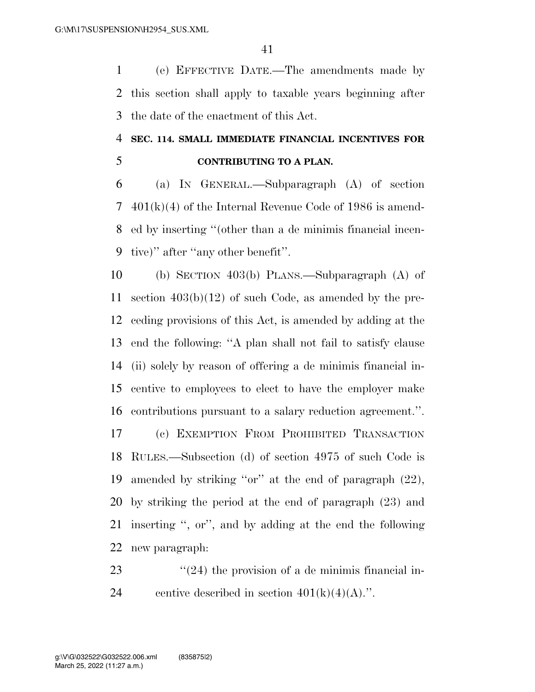(e) EFFECTIVE DATE.—The amendments made by this section shall apply to taxable years beginning after the date of the enactment of this Act.

# **SEC. 114. SMALL IMMEDIATE FINANCIAL INCENTIVES FOR CONTRIBUTING TO A PLAN.**

 (a) IN GENERAL.—Subparagraph (A) of section 401(k)(4) of the Internal Revenue Code of 1986 is amend- ed by inserting ''(other than a de minimis financial incen-tive)'' after ''any other benefit''.

 (b) SECTION 403(b) PLANS.—Subparagraph (A) of section 403(b)(12) of such Code, as amended by the pre- ceding provisions of this Act, is amended by adding at the end the following: ''A plan shall not fail to satisfy clause (ii) solely by reason of offering a de minimis financial in- centive to employees to elect to have the employer make contributions pursuant to a salary reduction agreement.''.

 (c) EXEMPTION FROM PROHIBITED TRANSACTION RULES.—Subsection (d) of section 4975 of such Code is amended by striking ''or'' at the end of paragraph (22), by striking the period at the end of paragraph (23) and inserting '', or'', and by adding at the end the following new paragraph:

23  $\frac{1}{24}$  the provision of a de minimis financial in-24 centive described in section  $401(k)(4)(A)$ .".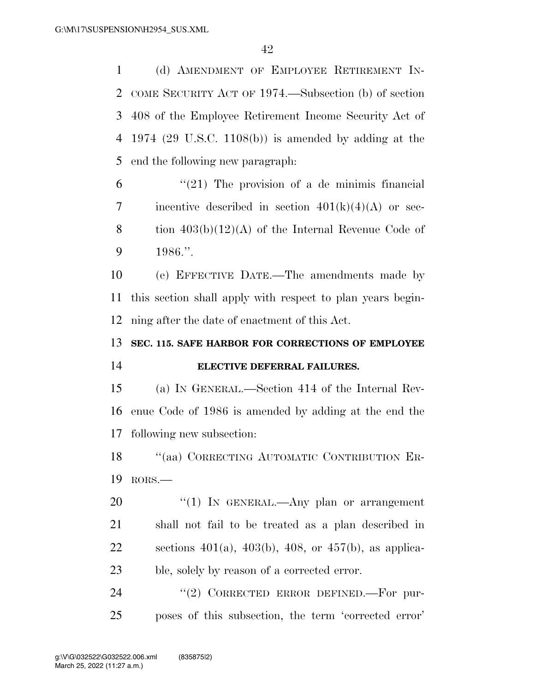(d) AMENDMENT OF EMPLOYEE RETIREMENT IN- COME SECURITY ACT OF 1974.—Subsection (b) of section 408 of the Employee Retirement Income Security Act of 1974 (29 U.S.C. 1108(b)) is amended by adding at the end the following new paragraph:

 "(21) The provision of a de minimis financial 7 incentive described in section  $401(k)(4)(A)$  or sec-8 tion  $403(b)(12)(A)$  of the Internal Revenue Code of 1986.''.

 (e) EFFECTIVE DATE.—The amendments made by this section shall apply with respect to plan years begin-ning after the date of enactment of this Act.

#### **SEC. 115. SAFE HARBOR FOR CORRECTIONS OF EMPLOYEE**

#### **ELECTIVE DEFERRAL FAILURES.**

 (a) IN GENERAL.—Section 414 of the Internal Rev- enue Code of 1986 is amended by adding at the end the following new subsection:

18 "(aa) CORRECTING AUTOMATIC CONTRIBUTION ER-RORS.—

20 "(1) In GENERAL.—Any plan or arrangement shall not fail to be treated as a plan described in 22 sections  $401(a)$ ,  $403(b)$ ,  $408$ , or  $457(b)$ , as applica-ble, solely by reason of a corrected error.

24 "(2) CORRECTED ERROR DEFINED. For pur-poses of this subsection, the term 'corrected error'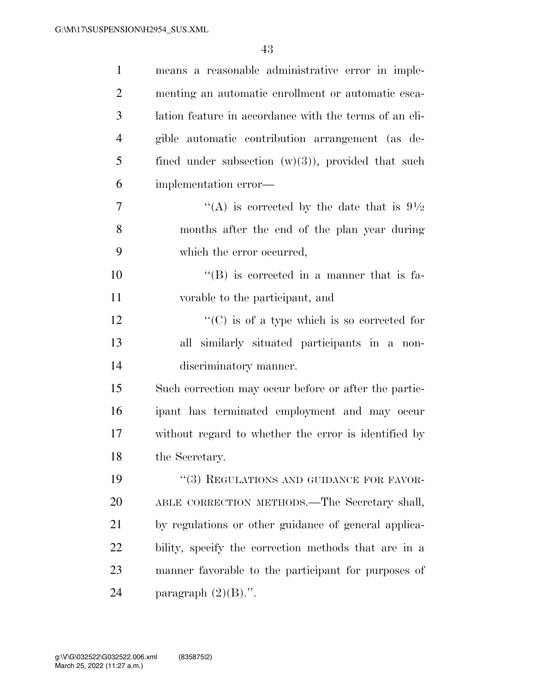| $\mathbf{1}$   | means a reasonable administrative error in imple-                |
|----------------|------------------------------------------------------------------|
| $\overline{2}$ | menting an automatic enrollment or automatic esca-               |
| 3              | lation feature in accordance with the terms of an eli-           |
| $\overline{4}$ | gible automatic contribution arrangement (as de-                 |
| 5              | fined under subsection $(w)(3)$ , provided that such             |
| 6              | implementation error—                                            |
| 7              | "(A) is corrected by the date that is $9\frac{1}{2}$             |
| 8              | months after the end of the plan year during                     |
| 9              | which the error occurred,                                        |
| 10             | $\lq\lq$ (B) is corrected in a manner that is fa-                |
| 11             | vorable to the participant, and                                  |
| 12             | $\lq\lq$ <sup>"</sup> (C) is of a type which is so corrected for |
| 13             | all similarly situated participants in a non-                    |
| 14             | discriminatory manner.                                           |
| 15             | Such correction may occur before or after the partic-            |
| 16             | ipant has terminated employment and may occur                    |
| 17             | without regard to whether the error is identified by             |
| 18             | the Secretary.                                                   |
| 19             | "(3) REGULATIONS AND GUIDANCE FOR FAVOR-                         |
| 20             | ABLE CORRECTION METHODS.—The Secretary shall,                    |
| 21             | by regulations or other guidance of general applica-             |
| 22             | bility, specify the correction methods that are in a             |
| 23             | manner favorable to the participant for purposes of              |
| 24             | paragraph $(2)(B)$ .".                                           |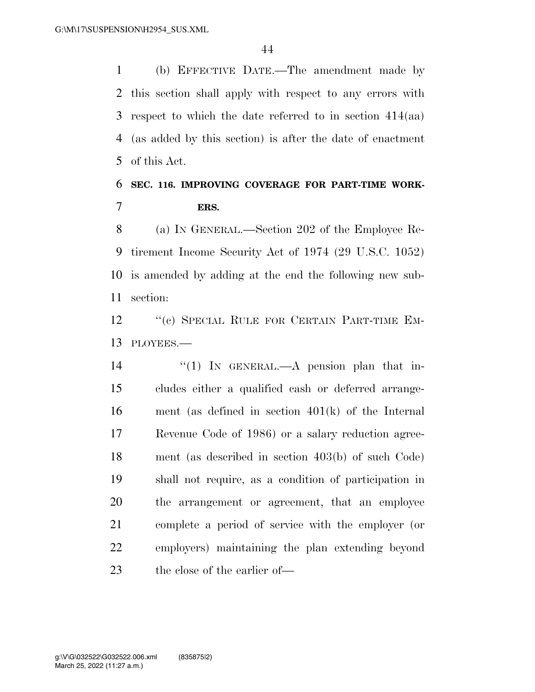(b) EFFECTIVE DATE.—The amendment made by this section shall apply with respect to any errors with respect to which the date referred to in section 414(aa) (as added by this section) is after the date of enactment of this Act.

# **SEC. 116. IMPROVING COVERAGE FOR PART-TIME WORK-ERS.**

 (a) IN GENERAL.—Section 202 of the Employee Re- tirement Income Security Act of 1974 (29 U.S.C. 1052) is amended by adding at the end the following new sub-section:

12 "(c) SPECIAL RULE FOR CERTAIN PART-TIME EM-PLOYEES.—

14 "(1) In GENERAL.—A pension plan that in- cludes either a qualified cash or deferred arrange- ment (as defined in section 401(k) of the Internal Revenue Code of 1986) or a salary reduction agree- ment (as described in section 403(b) of such Code) shall not require, as a condition of participation in the arrangement or agreement, that an employee complete a period of service with the employer (or employers) maintaining the plan extending beyond 23 the close of the earlier of—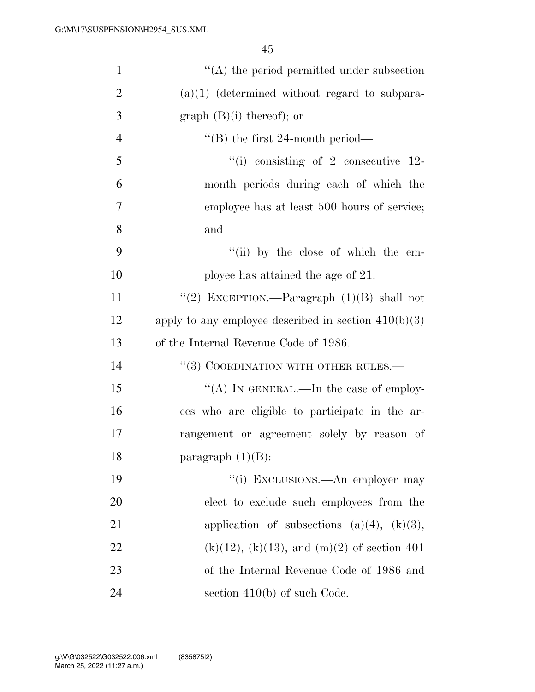| $\mathbf{1}$   | $\lq\lq$ the period permitted under subsection         |
|----------------|--------------------------------------------------------|
| $\overline{2}$ | $(a)(1)$ (determined without regard to subpara-        |
| 3              | graph $(B)(i)$ thereof); or                            |
| $\overline{4}$ | $\lq$ (B) the first 24-month period—                   |
| 5              | $\degree$ (i) consisting of 2 consecutive 12-          |
| 6              | month periods during each of which the                 |
| 7              | employee has at least 500 hours of service;            |
| 8              | and                                                    |
| 9              | "(ii) by the close of which the em-                    |
| 10             | ployee has attained the age of 21.                     |
| 11             | "(2) EXCEPTION.—Paragraph $(1)(B)$ shall not           |
| 12             | apply to any employee described in section $410(b)(3)$ |
| 13             | of the Internal Revenue Code of 1986.                  |
| 14             | $``(3)$ COORDINATION WITH OTHER RULES.—                |
| 15             | "(A) IN GENERAL.—In the case of employ-                |
| 16             | ees who are eligible to participate in the ar-         |
| 17             | rangement or agreement solely by reason of             |
| 18             | paragraph $(1)(B)$ :                                   |
| 19             | "(i) EXCLUSIONS.—An employer may                       |
| <b>20</b>      | elect to exclude such employees from the               |
| 21             | application of subsections $(a)(4)$ , $(k)(3)$ ,       |
| 22             | $(k)(12)$ , $(k)(13)$ , and $(m)(2)$ of section 401    |
| 23             | of the Internal Revenue Code of 1986 and               |
| 24             | section $410(b)$ of such Code.                         |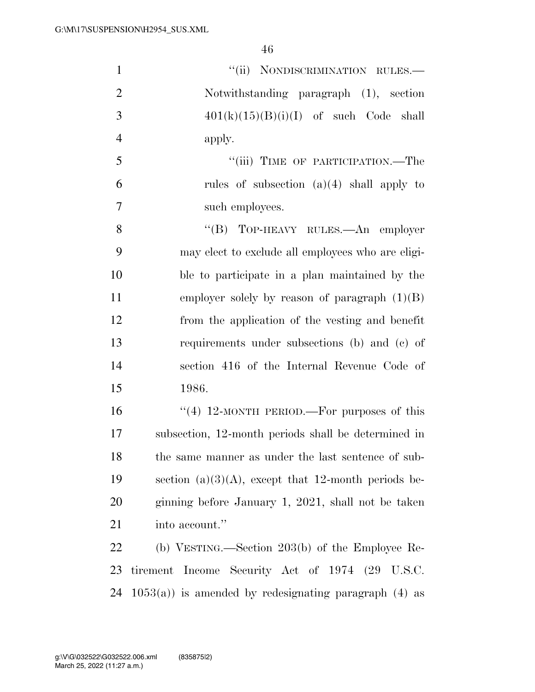| $\mathbf{1}$   | "(ii) NONDISCRIMINATION RULES.-                          |
|----------------|----------------------------------------------------------|
| $\overline{2}$ | Notwithstanding paragraph (1), section                   |
| 3              | $401(k)(15)(B)(i)(I)$ of such Code shall                 |
| $\overline{4}$ | apply.                                                   |
| 5              | "(iii) TIME OF PARTICIPATION.—The                        |
| 6              | rules of subsection $(a)(4)$ shall apply to              |
| $\overline{7}$ | such employees.                                          |
| 8              | "(B) TOP-HEAVY RULES.—An employer                        |
| 9              | may elect to exclude all employees who are eligi-        |
| 10             | ble to participate in a plan maintained by the           |
| 11             | employer solely by reason of paragraph $(1)(B)$          |
| 12             | from the application of the vesting and benefit          |
| 13             | requirements under subsections (b) and (c) of            |
| 14             | section 416 of the Internal Revenue Code of              |
| 15             | 1986.                                                    |
| 16             | "(4) 12-MONTH PERIOD.—For purposes of this               |
| 17             | subsection, 12-month periods shall be determined in      |
| 18             | the same manner as under the last sentence of sub-       |
| 19             | section (a)(3)(A), except that 12-month periods be-      |
| 20             | ginning before January 1, 2021, shall not be taken       |
| 21             | into account."                                           |
| 22             | (b) VESTING.—Section 203(b) of the Employee Re-          |
| 23             | tirement Income Security Act of 1974 (29 U.S.C.          |
| 24             | $1053(a)$ ) is amended by redesignating paragraph (4) as |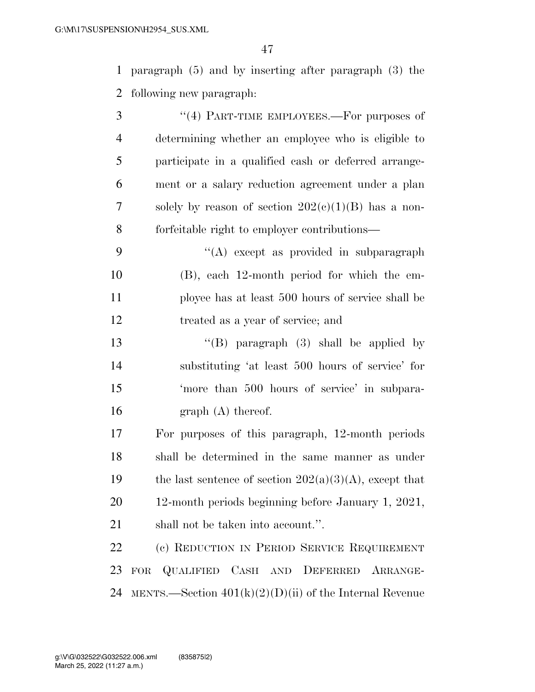paragraph (5) and by inserting after paragraph (3) the following new paragraph:

- 3 "(4) PART-TIME EMPLOYEES.—For purposes of determining whether an employee who is eligible to participate in a qualified cash or deferred arrange- ment or a salary reduction agreement under a plan 7 solely by reason of section  $202(c)(1)(B)$  has a non-forfeitable right to employer contributions—
- ''(A) except as provided in subparagraph (B), each 12-month period for which the em- ployee has at least 500 hours of service shall be treated as a year of service; and
- ''(B) paragraph (3) shall be applied by substituting 'at least 500 hours of service' for 'more than 500 hours of service' in subpara-16 graph (A) thereof.
- For purposes of this paragraph, 12-month periods shall be determined in the same manner as under 19 the last sentence of section  $202(a)(3)(A)$ , except that 12-month periods beginning before January 1, 2021, shall not be taken into account.''.

 (c) REDUCTION IN PERIOD SERVICE REQUIREMENT FOR QUALIFIED CASH AND DEFERRED ARRANGE-24 MENTS.—Section  $401(k)(2)(D)(ii)$  of the Internal Revenue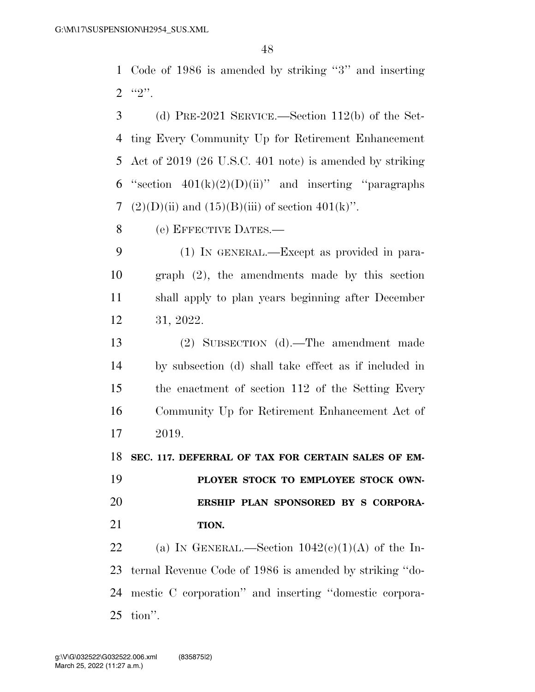Code of 1986 is amended by striking ''3'' and inserting  $2 \t\t\t\t\t\t\t``2".$ 

 (d) PRE-2021 SERVICE.—Section 112(b) of the Set- ting Every Community Up for Retirement Enhancement Act of 2019 (26 U.S.C. 401 note) is amended by striking 6 "section  $401(k)(2)(D)(ii)$ " and inserting "paragraphs"  $(2)(D)(ii)$  and  $(15)(B)(iii)$  of section  $401(k)$ ".

(e) EFFECTIVE DATES.—

 (1) IN GENERAL.—Except as provided in para- graph (2), the amendments made by this section shall apply to plan years beginning after December 31, 2022.

 (2) SUBSECTION (d).—The amendment made by subsection (d) shall take effect as if included in the enactment of section 112 of the Setting Every Community Up for Retirement Enhancement Act of 2019.

**SEC. 117. DEFERRAL OF TAX FOR CERTAIN SALES OF EM-**

 **PLOYER STOCK TO EMPLOYEE STOCK OWN- ERSHIP PLAN SPONSORED BY S CORPORA-TION.** 

22 (a) IN GENERAL.—Section  $1042(c)(1)(A)$  of the In- ternal Revenue Code of 1986 is amended by striking ''do- mestic C corporation'' and inserting ''domestic corpora-tion''.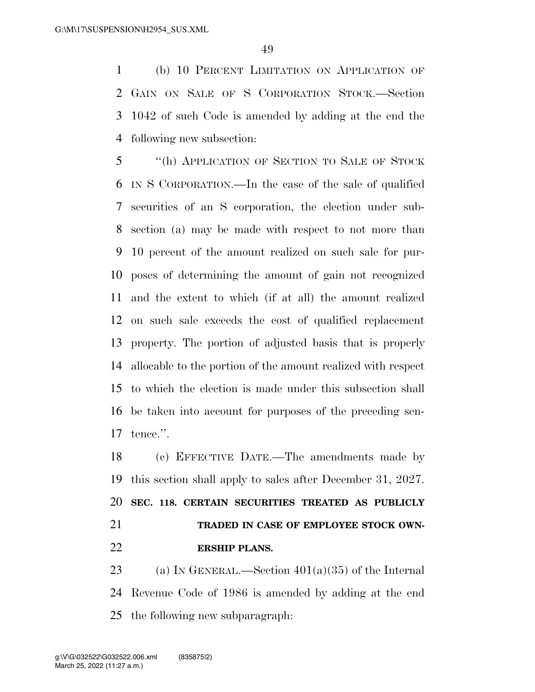(b) 10 PERCENT LIMITATION ON APPLICATION OF GAIN ON SALE OF S CORPORATION STOCK.—Section 1042 of such Code is amended by adding at the end the following new subsection:

 ''(h) APPLICATION OF SECTION TO SALE OF STOCK IN S CORPORATION.—In the case of the sale of qualified securities of an S corporation, the election under sub- section (a) may be made with respect to not more than 10 percent of the amount realized on such sale for pur- poses of determining the amount of gain not recognized and the extent to which (if at all) the amount realized on such sale exceeds the cost of qualified replacement property. The portion of adjusted basis that is properly allocable to the portion of the amount realized with respect to which the election is made under this subsection shall be taken into account for purposes of the preceding sen-tence.''.

 (c) EFFECTIVE DATE.—The amendments made by this section shall apply to sales after December 31, 2027. **SEC. 118. CERTAIN SECURITIES TREATED AS PUBLICLY TRADED IN CASE OF EMPLOYEE STOCK OWN-ERSHIP PLANS.** 

23 (a) IN GENERAL.—Section  $401(a)(35)$  of the Internal Revenue Code of 1986 is amended by adding at the end the following new subparagraph: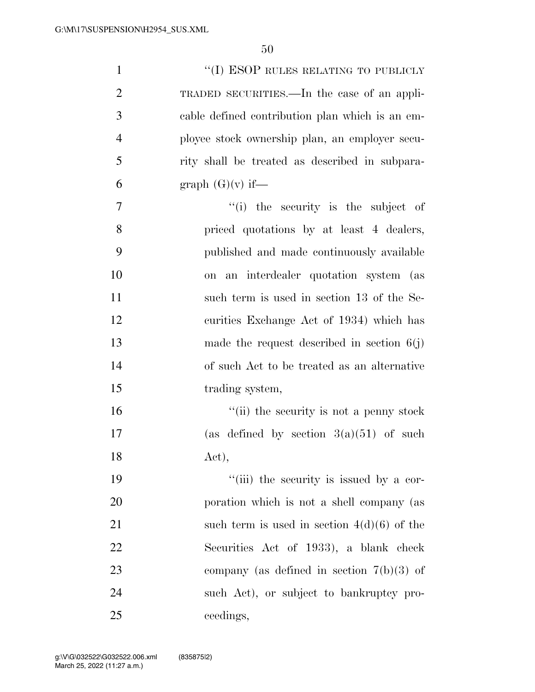| $\mathbf{1}$   | "(I) ESOP RULES RELATING TO PUBLICLY            |
|----------------|-------------------------------------------------|
| $\overline{2}$ | TRADED SECURITIES.—In the case of an appli-     |
| 3              | cable defined contribution plan which is an em- |
| $\overline{4}$ | ployee stock ownership plan, an employer secu-  |
| 5              | rity shall be treated as described in subpara-  |
| 6              | graph $(G)(v)$ if—                              |
| $\tau$         | "(i) the security is the subject of             |
| 8              | priced quotations by at least 4 dealers,        |
| 9              | published and made continuously available       |
| 10             | on an interdealer quotation system (as          |
| 11             | such term is used in section 13 of the Se-      |
| 12             | curities Exchange Act of 1934) which has        |
| 13             | made the request described in section $6(j)$    |
| 14             | of such Act to be treated as an alternative     |
| 15             | trading system,                                 |
| 16             | "(ii) the security is not a penny stock         |
| 17             | (as defined by section $3(a)(51)$ of such       |
| 18             | Act),                                           |
| 19             | "(iii) the security is issued by a cor-         |
| 20             | poration which is not a shell company (as       |
| 21             | such term is used in section $4(d)(6)$ of the   |
| 22             | Securities Act of 1933), a blank check          |
| 23             | company (as defined in section $7(b)(3)$ of     |
| 24             | such Act), or subject to bankruptcy pro-        |
| 25             | ceedings,                                       |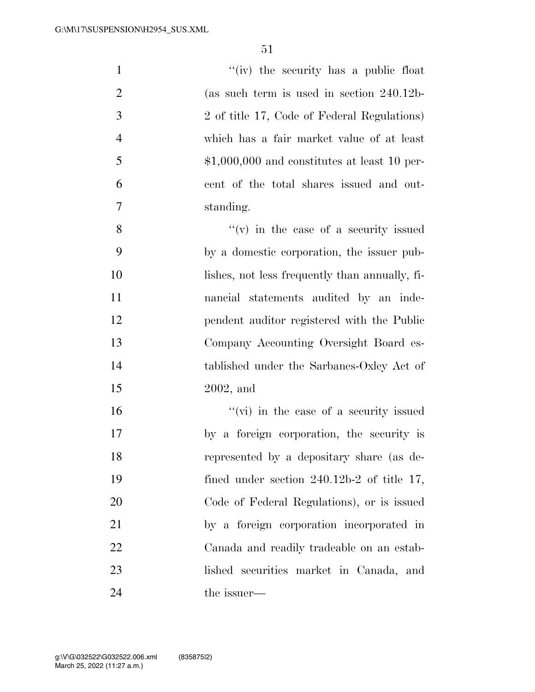| $\mathbf{1}$   | "(iv) the security has a public float          |
|----------------|------------------------------------------------|
| $\overline{2}$ | (as such term is used in section $240.12b$     |
| 3              | 2 of title 17, Code of Federal Regulations)    |
| $\overline{4}$ | which has a fair market value of at least      |
| 5              | $$1,000,000$ and constitutes at least 10 per-  |
| 6              | cent of the total shares issued and out-       |
| $\tau$         | standing.                                      |
| 8              | $f'(v)$ in the case of a security issued       |
| 9              | by a domestic corporation, the issuer pub-     |
| 10             | lishes, not less frequently than annually, fi- |
| 11             | nancial statements audited by an inde-         |
| 12             | pendent auditor registered with the Public     |
| 13             | Company Accounting Oversight Board es-         |
| 14             | tablished under the Sarbanes-Oxley Act of      |
| 15             | $2002$ , and                                   |
| 16             | "(vi) in the case of a security issued         |
| 17             | by a foreign corporation, the security is      |
| 18             | represented by a depositary share (as de-      |
| 19             | fined under section $240.12b-2$ of title 17,   |
| 20             | Code of Federal Regulations), or is issued     |
| 21             | by a foreign corporation incorporated in       |
| 22             | Canada and readily tradeable on an estab-      |
| 23             | lished securities market in Canada, and        |
| 24             | the issuer—                                    |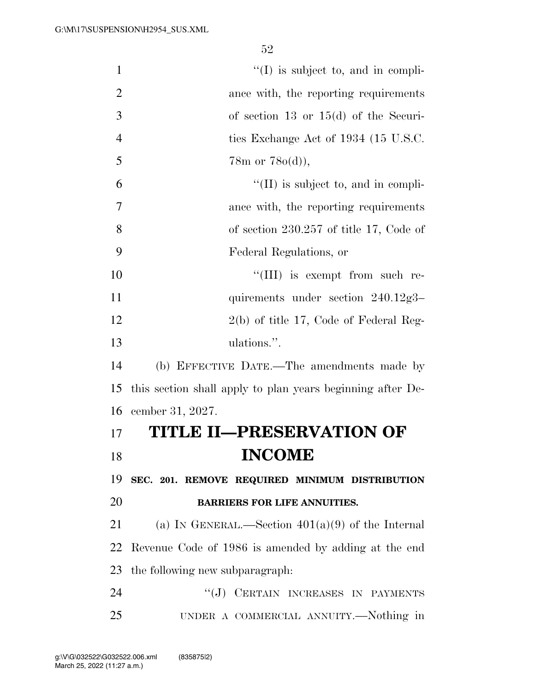$''(I)$  is subject to, and in compli- ance with, the reporting requirements of section 13 or 15(d) of the Securi-4 ties Exchange Act of 1934 (15 U.S.C. 5 78m or  $78o(d)$ ,  $^{\circ}$  (II) is subject to, and in compli- ance with, the reporting requirements of section 230.257 of title 17, Code of Federal Regulations, or  $\frac{10}{10}$  is exempt from such re-11 quirements under section 240.12g3– 12 2(b) of title 17, Code of Federal Reg- ulations.''. (b) EFFECTIVE DATE.—The amendments made by this section shall apply to plan years beginning after De- cember 31, 2027. **TITLE II—PRESERVATION OF**  18 **INCOME SEC. 201. REMOVE REQUIRED MINIMUM DISTRIBUTION BARRIERS FOR LIFE ANNUITIES.**  21 (a) IN GENERAL.—Section  $401(a)(9)$  of the Internal Revenue Code of 1986 is amended by adding at the end the following new subparagraph: 24 "(J) CERTAIN INCREASES IN PAYMENTS UNDER A COMMERCIAL ANNUITY.—Nothing in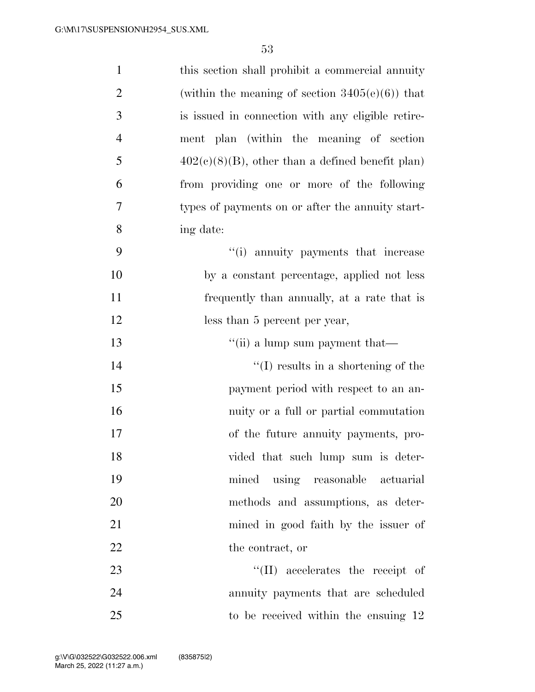| $\mathbf{1}$   | this section shall prohibit a commercial annuity    |
|----------------|-----------------------------------------------------|
| $\overline{2}$ | (within the meaning of section $3405(e)(6)$ ) that  |
| 3              | is issued in connection with any eligible retire-   |
| $\overline{4}$ | ment plan (within the meaning of section            |
| 5              | $402(c)(8)(B)$ , other than a defined benefit plan) |
| 6              | from providing one or more of the following         |
| 7              | types of payments on or after the annuity start-    |
| 8              | ing date:                                           |
| 9              | "(i) annuity payments that increase                 |
| 10             | by a constant percentage, applied not less          |
| 11             | frequently than annually, at a rate that is         |
| 12             | less than 5 percent per year,                       |
| 13             | "(ii) a lump sum payment that—                      |
| 14             | $\lq\lq$ results in a shortening of the             |
| 15             | payment period with respect to an an-               |
| 16             | nuity or a full or partial commutation              |
| 17             | of the future annuity payments, pro-                |
| 18             | vided that such lump sum is deter-                  |
| 19             | mined using reasonable actuarial                    |
| 20             | methods and assumptions, as deter-                  |
| 21             | mined in good faith by the issuer of                |
| 22             | the contract, or                                    |
| 23             | $\lq\lq$ (II) accelerates the receipt of            |
| 24             | annuity payments that are scheduled                 |
| 25             | to be received within the ensuing 12                |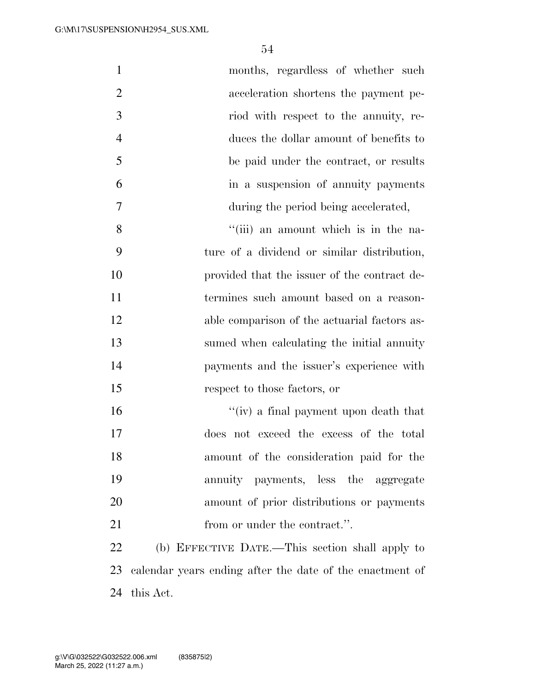| $\mathbf{1}$   | months, regardless of whether such                       |
|----------------|----------------------------------------------------------|
| $\overline{2}$ | acceleration shortens the payment pe-                    |
| 3              | riod with respect to the annuity, re-                    |
| $\overline{4}$ | duces the dollar amount of benefits to                   |
| 5              | be paid under the contract, or results                   |
| 6              | in a suspension of annuity payments                      |
| $\overline{7}$ | during the period being accelerated,                     |
| 8              | "(iii) an amount which is in the na-                     |
| 9              | ture of a dividend or similar distribution,              |
| 10             | provided that the issuer of the contract de-             |
| 11             | termines such amount based on a reason-                  |
| 12             | able comparison of the actuarial factors as-             |
| 13             | sumed when calculating the initial annuity               |
| 14             | payments and the issuer's experience with                |
| 15             | respect to those factors, or                             |
| 16             | "(iv) a final payment upon death that                    |
| 17             | does not exceed the excess of the total                  |
| 18             | amount of the consideration paid for the                 |
| 19             | annuity payments, less the aggregate                     |
| 20             | amount of prior distributions or payments                |
| 21             | from or under the contract.".                            |
| 22             | (b) EFFECTIVE DATE.—This section shall apply to          |
| 23             | calendar years ending after the date of the enactment of |
| 24             | this Act.                                                |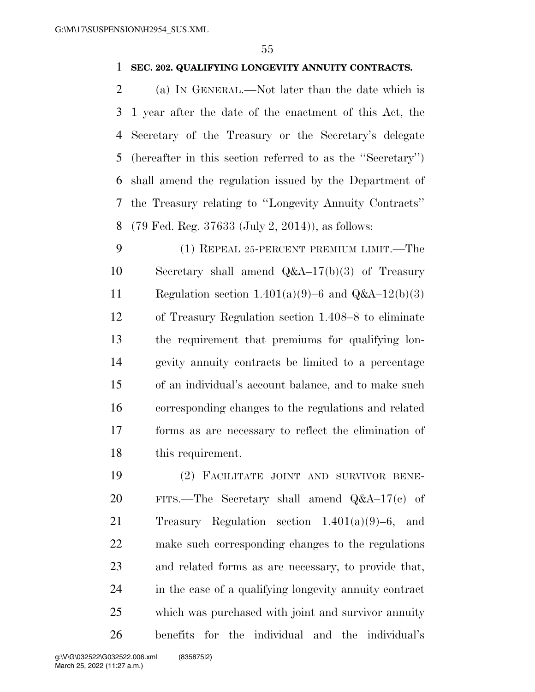#### **SEC. 202. QUALIFYING LONGEVITY ANNUITY CONTRACTS.**

 (a) IN GENERAL.—Not later than the date which is 1 year after the date of the enactment of this Act, the Secretary of the Treasury or the Secretary's delegate (hereafter in this section referred to as the ''Secretary'') shall amend the regulation issued by the Department of the Treasury relating to ''Longevity Annuity Contracts'' (79 Fed. Reg. 37633 (July 2, 2014)), as follows:

 (1) REPEAL 25-PERCENT PREMIUM LIMIT.—The Secretary shall amend Q&A–17(b)(3) of Treasury 11 Regulation section  $1.401(a)(9)-6$  and  $Q&A-12(b)(3)$  of Treasury Regulation section 1.408–8 to eliminate the requirement that premiums for qualifying lon- gevity annuity contracts be limited to a percentage of an individual's account balance, and to make such corresponding changes to the regulations and related forms as are necessary to reflect the elimination of this requirement.

 (2) FACILITATE JOINT AND SURVIVOR BENE- FITS.—The Secretary shall amend Q&A–17(c) of Treasury Regulation section 1.401(a)(9)–6, and make such corresponding changes to the regulations and related forms as are necessary, to provide that, in the case of a qualifying longevity annuity contract which was purchased with joint and survivor annuity benefits for the individual and the individual's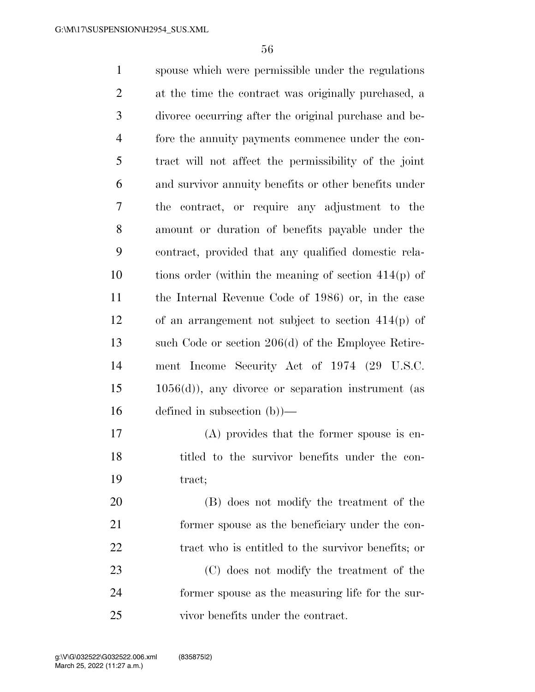spouse which were permissible under the regulations at the time the contract was originally purchased, a divorce occurring after the original purchase and be- fore the annuity payments commence under the con- tract will not affect the permissibility of the joint and survivor annuity benefits or other benefits under the contract, or require any adjustment to the amount or duration of benefits payable under the contract, provided that any qualified domestic rela- tions order (within the meaning of section 414(p) of the Internal Revenue Code of 1986) or, in the case of an arrangement not subject to section 414(p) of such Code or section 206(d) of the Employee Retire- ment Income Security Act of 1974 (29 U.S.C. 1056(d)), any divorce or separation instrument (as defined in subsection (b))— (A) provides that the former spouse is en- titled to the survivor benefits under the con- tract; (B) does not modify the treatment of the former spouse as the beneficiary under the con-22 tract who is entitled to the survivor benefits; or

 (C) does not modify the treatment of the former spouse as the measuring life for the sur-vivor benefits under the contract.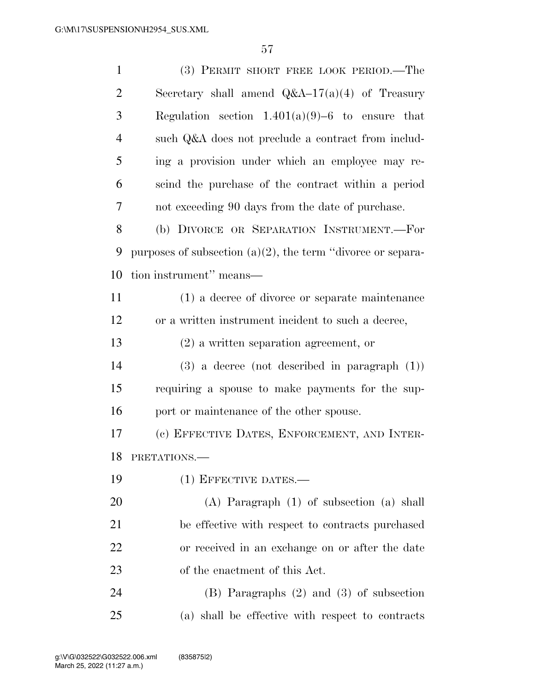| $\mathbf{1}$   | (3) PERMIT SHORT FREE LOOK PERIOD.—The                         |
|----------------|----------------------------------------------------------------|
| $\overline{2}$ | Secretary shall amend $Q&A-17(a)(4)$ of Treasury               |
| 3              | Regulation section $1.401(a)(9)-6$ to ensure that              |
| $\overline{4}$ | such Q&A does not preclude a contract from includ-             |
| 5              | ing a provision under which an employee may re-                |
| 6              | scind the purchase of the contract within a period             |
| 7              | not exceeding 90 days from the date of purchase.               |
| 8              | (b) DIVORCE OR SEPARATION INSTRUMENT.-For                      |
| 9              | purposes of subsection $(a)(2)$ , the term "divorce or separa- |
| 10             | tion instrument" means—                                        |
| 11             | (1) a decree of divorce or separate maintenance                |
| 12             | or a written instrument incident to such a decree,             |
| 13             | $(2)$ a written separation agreement, or                       |
| 14             | $(3)$ a decree (not described in paragraph $(1)$ )             |
| 15             | requiring a spouse to make payments for the sup-               |
| 16             | port or maintenance of the other spouse.                       |
| 17             | (c) EFFECTIVE DATES, ENFORCEMENT, AND INTER-                   |
|                | 18 PRETATIONS.                                                 |
| 19             | (1) EFFECTIVE DATES.—                                          |
| 20             | $(A)$ Paragraph $(1)$ of subsection $(a)$ shall                |
| 21             | be effective with respect to contracts purchased               |
| 22             | or received in an exchange on or after the date                |
| 23             | of the enactment of this Act.                                  |
| 24             | $(B)$ Paragraphs $(2)$ and $(3)$ of subsection                 |
| 25             | (a) shall be effective with respect to contracts               |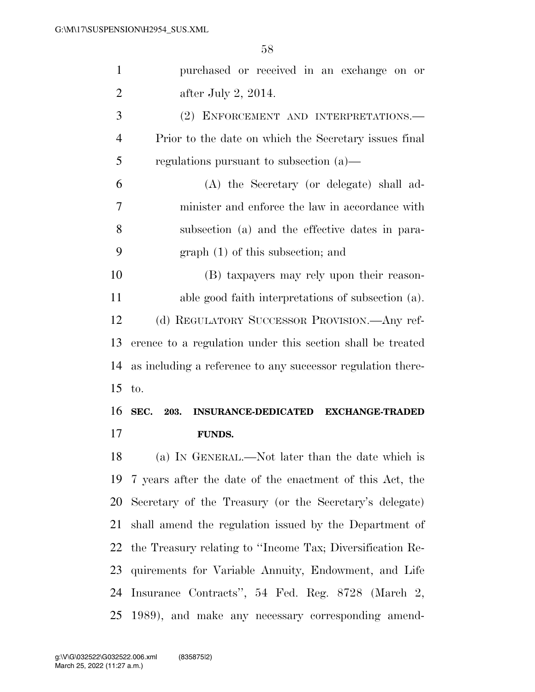| $\mathbf{1}$   | purchased or received in an exchange on or                  |
|----------------|-------------------------------------------------------------|
| $\overline{2}$ | after July 2, $2014$ .                                      |
| 3              | (2) ENFORCEMENT AND INTERPRETATIONS.                        |
| $\overline{4}$ | Prior to the date on which the Secretary issues final       |
| 5              | regulations pursuant to subsection $(a)$ —                  |
| 6              | (A) the Secretary (or delegate) shall ad-                   |
| 7              | minister and enforce the law in accordance with             |
| 8              | subsection (a) and the effective dates in para-             |
| 9              | $graph(1)$ of this subsection; and                          |
| 10             | (B) taxpayers may rely upon their reason-                   |
| 11             | able good faith interpretations of subsection (a).          |
| 12             | (d) REGULATORY SUCCESSOR PROVISION.—Any ref-                |
| 13             | erence to a regulation under this section shall be treated  |
|                |                                                             |
| 14             | as including a reference to any successor regulation there- |
| 15             | to.                                                         |
| 16             | SEC. 203.<br>INSURANCE-DEDICATED EXCHANGE-TRADED            |
|                | <b>FUNDS.</b>                                               |
| 17<br>18       | (a) IN GENERAL.—Not later than the date which is            |
| 19             | 7 years after the date of the enactment of this Act, the    |
| 20             | Secretary of the Treasury (or the Secretary's delegate)     |
| 21             | shall amend the regulation issued by the Department of      |
| 22             | the Treasury relating to "Income Tax; Diversification Re-   |
| 23             | quirements for Variable Annuity, Endowment, and Life        |
| 24             | Insurance Contracts", 54 Fed. Reg. 8728 (March 2,           |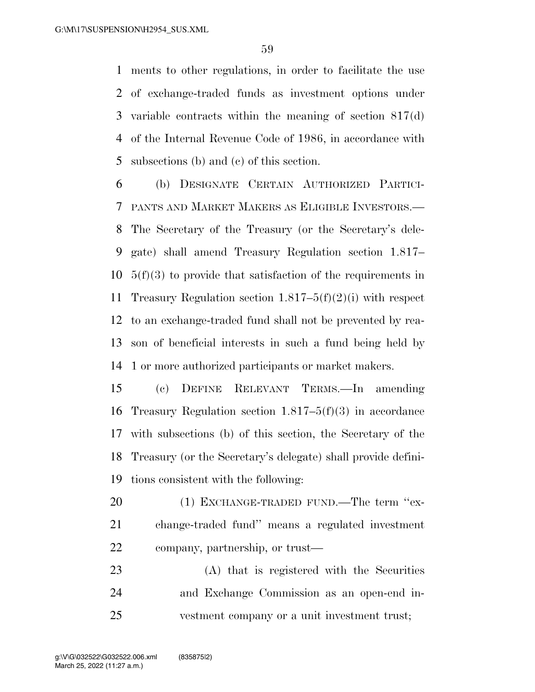ments to other regulations, in order to facilitate the use of exchange-traded funds as investment options under variable contracts within the meaning of section 817(d) of the Internal Revenue Code of 1986, in accordance with subsections (b) and (c) of this section.

 (b) DESIGNATE CERTAIN AUTHORIZED PARTICI- PANTS AND MARKET MAKERS AS ELIGIBLE INVESTORS.— The Secretary of the Treasury (or the Secretary's dele- gate) shall amend Treasury Regulation section 1.817– 5(f)(3) to provide that satisfaction of the requirements in Treasury Regulation section 1.817–5(f)(2)(i) with respect to an exchange-traded fund shall not be prevented by rea- son of beneficial interests in such a fund being held by 1 or more authorized participants or market makers.

 (c) DEFINE RELEVANT TERMS.—In amending Treasury Regulation section 1.817–5(f)(3) in accordance with subsections (b) of this section, the Secretary of the Treasury (or the Secretary's delegate) shall provide defini-tions consistent with the following:

20 (1) EXCHANGE-TRADED FUND.—The term "ex- change-traded fund'' means a regulated investment company, partnership, or trust—

 (A) that is registered with the Securities and Exchange Commission as an open-end in-vestment company or a unit investment trust;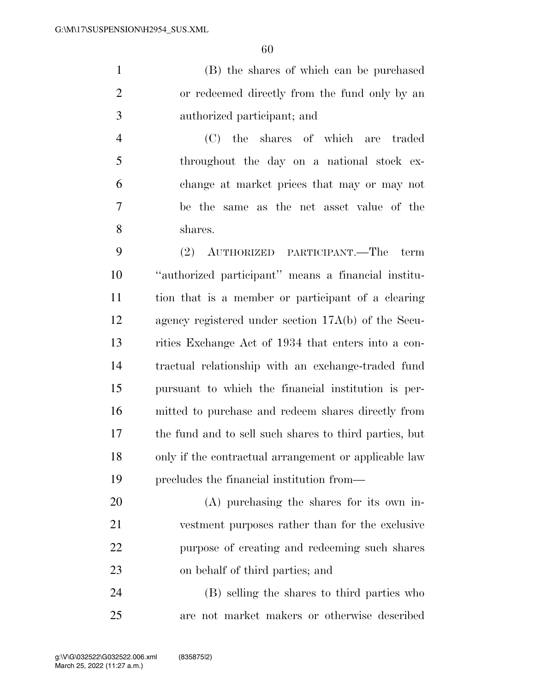(B) the shares of which can be purchased or redeemed directly from the fund only by an authorized participant; and

 (C) the shares of which are traded throughout the day on a national stock ex- change at market prices that may or may not be the same as the net asset value of the shares.

 (2) AUTHORIZED PARTICIPANT.—The term ''authorized participant'' means a financial institu- tion that is a member or participant of a clearing agency registered under section 17A(b) of the Secu- rities Exchange Act of 1934 that enters into a con- tractual relationship with an exchange-traded fund pursuant to which the financial institution is per- mitted to purchase and redeem shares directly from the fund and to sell such shares to third parties, but only if the contractual arrangement or applicable law precludes the financial institution from—

 (A) purchasing the shares for its own in- vestment purposes rather than for the exclusive purpose of creating and redeeming such shares on behalf of third parties; and

 (B) selling the shares to third parties who are not market makers or otherwise described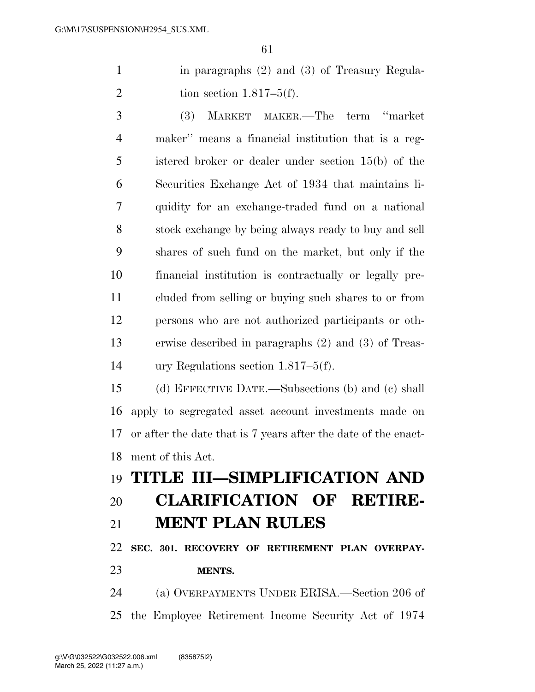in paragraphs (2) and (3) of Treasury Regula-2 tion section  $1.817-5(f)$ .

 (3) MARKET MAKER.—The term ''market maker'' means a financial institution that is a reg- istered broker or dealer under section 15(b) of the Securities Exchange Act of 1934 that maintains li- quidity for an exchange-traded fund on a national stock exchange by being always ready to buy and sell shares of such fund on the market, but only if the financial institution is contractually or legally pre- cluded from selling or buying such shares to or from persons who are not authorized participants or oth- erwise described in paragraphs (2) and (3) of Treas-ury Regulations section 1.817–5(f).

 (d) EFFECTIVE DATE.—Subsections (b) and (c) shall apply to segregated asset account investments made on or after the date that is 7 years after the date of the enact-ment of this Act.

# **TITLE III—SIMPLIFICATION AND CLARIFICATION OF RETIRE-**

### **MENT PLAN RULES**

 **SEC. 301. RECOVERY OF RETIREMENT PLAN OVERPAY-MENTS.** 

 (a) OVERPAYMENTS UNDER ERISA.—Section 206 of the Employee Retirement Income Security Act of 1974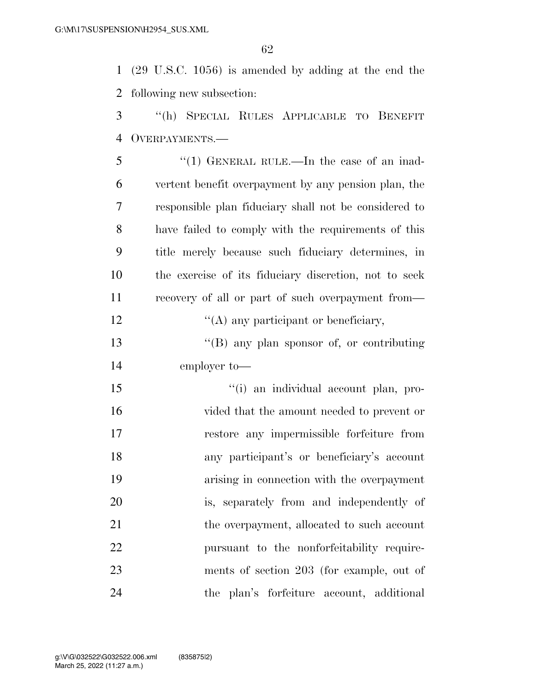(29 U.S.C. 1056) is amended by adding at the end the following new subsection:

 ''(h) SPECIAL RULES APPLICABLE TO BENEFIT OVERPAYMENTS.—

| 5  | "(1) GENERAL RULE.—In the case of an inad-            |
|----|-------------------------------------------------------|
| 6  | vertent benefit overpayment by any pension plan, the  |
| 7  | responsible plan fiduciary shall not be considered to |
| 8  | have failed to comply with the requirements of this   |
| 9  | title merely because such fiduciary determines, in    |
| 10 | the exercise of its fiduciary discretion, not to seek |
| 11 | recovery of all or part of such overpayment from—     |
| 12 | $\lq\lq$ any participant or beneficiary,              |
| 13 | $\lq\lq (B)$ any plan sponsor of, or contributing     |
| 14 | employer to-                                          |
| 15 | "(i) an individual account plan, pro-                 |
|    |                                                       |

 vided that the amount needed to prevent or restore any impermissible forfeiture from any participant's or beneficiary's account arising in connection with the overpayment is, separately from and independently of 21 the overpayment, allocated to such account pursuant to the nonforfeitability require- ments of section 203 (for example, out of the plan's forfeiture account, additional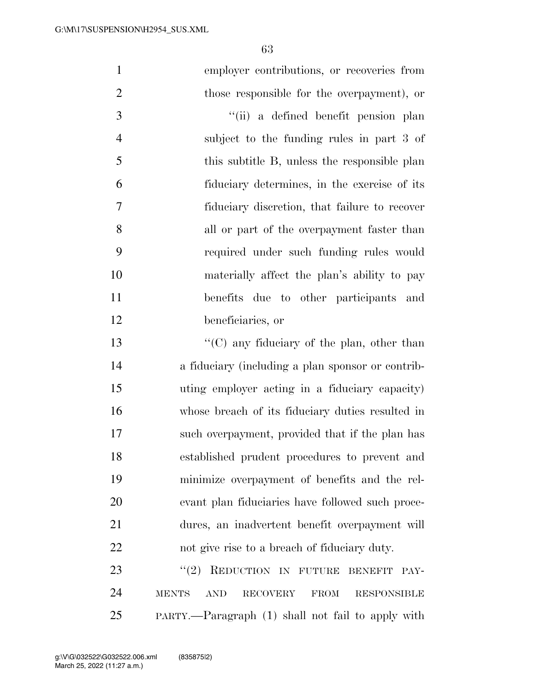| $\mathbf{1}$   | employer contributions, or recoveries from                                         |
|----------------|------------------------------------------------------------------------------------|
| $\overline{2}$ | those responsible for the overpayment), or                                         |
| 3              | "(ii) a defined benefit pension plan                                               |
| $\overline{4}$ | subject to the funding rules in part 3 of                                          |
| 5              | this subtitle B, unless the responsible plan                                       |
| 6              | fiduciary determines, in the exercise of its                                       |
| 7              | fiduciary discretion, that failure to recover                                      |
| 8              | all or part of the overpayment faster than                                         |
| 9              | required under such funding rules would                                            |
| 10             | materially affect the plan's ability to pay                                        |
| 11             | benefits due to other participants and                                             |
| 12             | beneficiaries, or                                                                  |
| 13             | " $(C)$ any fiduciary of the plan, other than                                      |
| 14             | a fiduciary (including a plan sponsor or contrib-                                  |
| 15             | uting employer acting in a fiduciary capacity)                                     |
| 16             | whose breach of its fiduciary duties resulted in                                   |
| 17             | such overpayment, provided that if the plan has                                    |
| 18             | established prudent procedures to prevent and                                      |
| 19             | minimize overpayment of benefits and the rel-                                      |
| 20             | evant plan fiduciaries have followed such proce-                                   |
| 21             | dures, an inadvertent benefit overpayment will                                     |
| 22             | not give rise to a breach of fiduciary duty.                                       |
| 23             | REDUCTION IN FUTURE<br>(2)<br><b>BENEFIT</b><br>PAY-                               |
| 24             | <b>RECOVERY</b><br><b>MENTS</b><br><b>AND</b><br><b>FROM</b><br><b>RESPONSIBLE</b> |
|                |                                                                                    |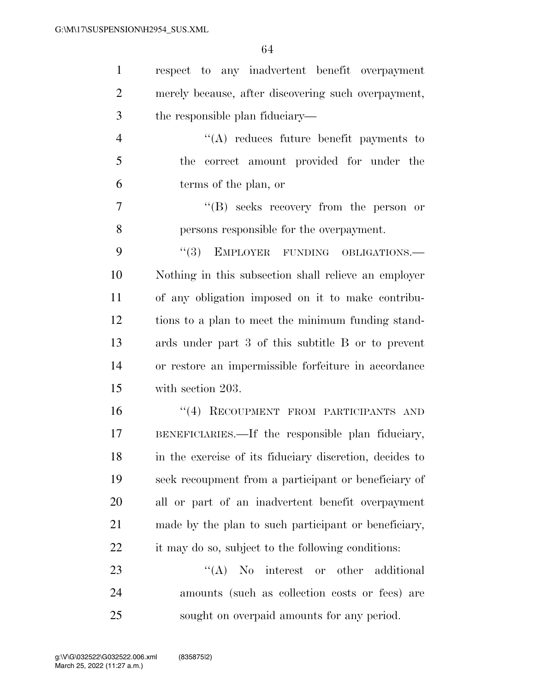| $\mathbf{1}$   | respect to any inadvertent benefit overpayment          |
|----------------|---------------------------------------------------------|
| $\overline{2}$ | merely because, after discovering such overpayment,     |
| 3              | the responsible plan fiduciary—                         |
| $\overline{4}$ | $\lq\lq$ reduces future benefit payments to             |
| 5              | correct amount provided for under the<br>the            |
| 6              | terms of the plan, or                                   |
| 7              | "(B) seeks recovery from the person or                  |
| 8              | persons responsible for the overpayment.                |
| 9              | (3)<br>EMPLOYER FUNDING OBLIGATIONS.                    |
| 10             | Nothing in this subsection shall relieve an employer    |
| 11             | of any obligation imposed on it to make contribu-       |
| 12             | tions to a plan to meet the minimum funding stand-      |
| 13             | ards under part 3 of this subtitle B or to prevent      |
| 14             | or restore an impermissible forfeiture in accordance    |
| 15             | with section 203.                                       |
| 16             | "(4) RECOUPMENT FROM PARTICIPANTS AND                   |
| 17             | BENEFICIARIES.—If the responsible plan fiduciary,       |
| 18             | in the exercise of its fiduciary discretion, decides to |
| 19             | seek recoupment from a participant or beneficiary of    |
| 20             | all or part of an inadvertent benefit overpayment       |
| 21             | made by the plan to such participant or beneficiary,    |
| 22             | it may do so, subject to the following conditions:      |
| 23             | $\lq\lq$ No interest or other additional                |
| 24             | amounts (such as collection costs or fees) are          |
| 25             | sought on overpaid amounts for any period.              |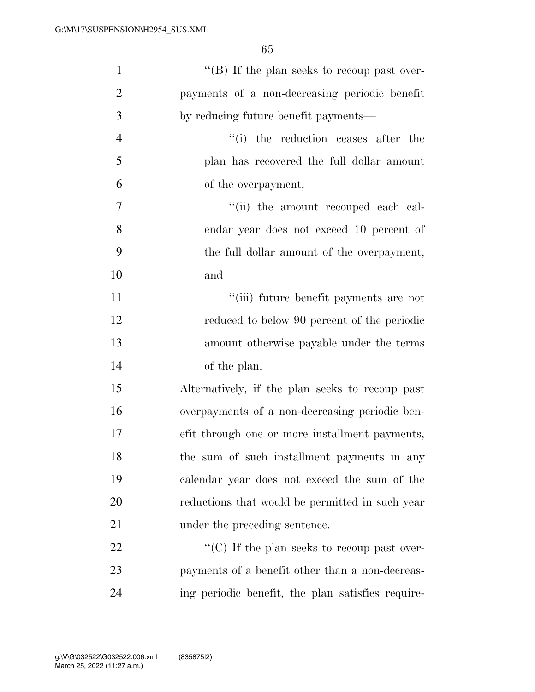| $\mathbf{1}$   | "(B) If the plan seeks to recoup past over-       |
|----------------|---------------------------------------------------|
| $\overline{2}$ | payments of a non-decreasing periodic benefit     |
| 3              | by reducing future benefit payments—              |
| $\overline{4}$ | "(i) the reduction ceases after the               |
| 5              | plan has recovered the full dollar amount         |
| 6              | of the overpayment,                               |
| $\overline{7}$ | "(ii) the amount recouped each cal-               |
| 8              | endar year does not exceed 10 percent of          |
| 9              | the full dollar amount of the overpayment,        |
| 10             | and                                               |
| 11             | "(iii) future benefit payments are not            |
| 12             | reduced to below 90 percent of the periodic       |
| 13             | amount otherwise payable under the terms          |
| 14             | of the plan.                                      |
| 15             | Alternatively, if the plan seeks to recoup past   |
| 16             | overpayments of a non-decreasing periodic ben-    |
| 17             | efit through one or more installment payments,    |
| 18             | the sum of such installment payments in any       |
| 19             | calendar year does not exceed the sum of the      |
| <b>20</b>      | reductions that would be permitted in such year   |
| 21             | under the preceding sentence.                     |
| 22             | "(C) If the plan seeks to recoup past over-       |
| 23             | payments of a benefit other than a non-decreas-   |
| 24             | ing periodic benefit, the plan satisfies require- |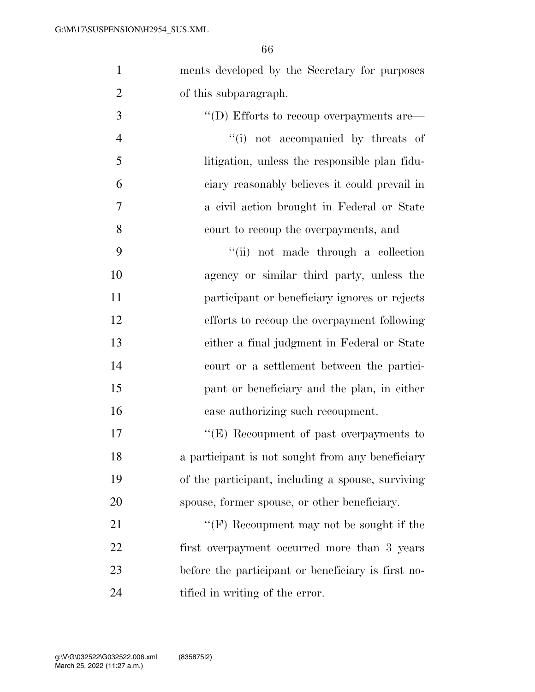ments developed by the Secretary for purposes

| $\overline{2}$ | of this subparagraph.                                 |
|----------------|-------------------------------------------------------|
| 3              | $\lq\lq$ (D) Efforts to recoup overpayments are $\lq$ |
| $\overline{4}$ | "(i) not accompanied by threats of                    |
| 5              | litigation, unless the responsible plan fidu-         |
| 6              | ciary reasonably believes it could prevail in         |
| $\tau$         | a civil action brought in Federal or State            |
| 8              | court to recoup the overpayments, and                 |
| 9              | "(ii) not made through a collection                   |
| 10             | agency or similar third party, unless the             |
| 11             | participant or beneficiary ignores or rejects         |
| 12             | efforts to recoup the overpayment following           |
| 13             | either a final judgment in Federal or State           |
| 14             | court or a settlement between the partici-            |
| 15             | pant or beneficiary and the plan, in either           |
| 16             | case authorizing such recoupment.                     |
| 17             | " $(E)$ Recoupment of past overpayments to            |
| 18             | a participant is not sought from any beneficiary      |
| 19             | of the participant, including a spouse, surviving     |
| 20             | spouse, former spouse, or other beneficiary.          |
| 21             | " $(F)$ Recoupment may not be sought if the           |
| 22             | first overpayment occurred more than 3 years          |
| 23             | before the participant or beneficiary is first no-    |
| 24             | tified in writing of the error.                       |
|                |                                                       |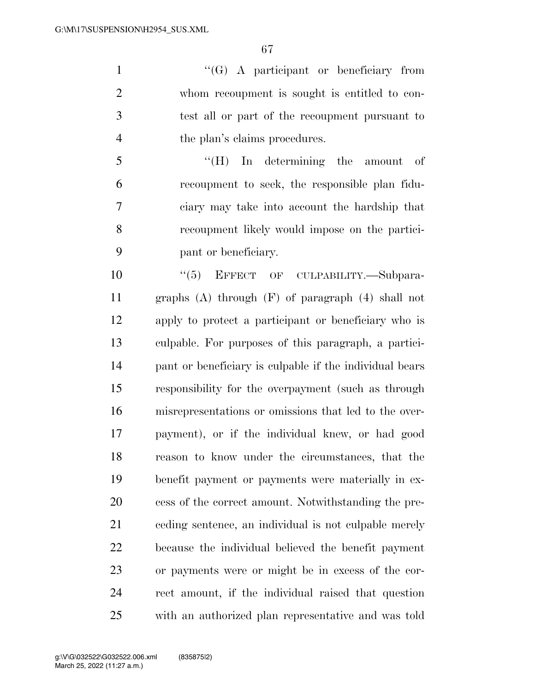''(G) A participant or beneficiary from whom recoupment is sought is entitled to con- test all or part of the recoupment pursuant to 4 the plan's claims procedures.

 ''(H) In determining the amount of recoupment to seek, the responsible plan fidu- ciary may take into account the hardship that recoupment likely would impose on the partici-pant or beneficiary.

 $(5)$  EFFECT OF CULPABILITY. Subpara- graphs (A) through (F) of paragraph (4) shall not apply to protect a participant or beneficiary who is culpable. For purposes of this paragraph, a partici- pant or beneficiary is culpable if the individual bears responsibility for the overpayment (such as through misrepresentations or omissions that led to the over- payment), or if the individual knew, or had good reason to know under the circumstances, that the benefit payment or payments were materially in ex- cess of the correct amount. Notwithstanding the pre- ceding sentence, an individual is not culpable merely because the individual believed the benefit payment or payments were or might be in excess of the cor- rect amount, if the individual raised that question with an authorized plan representative and was told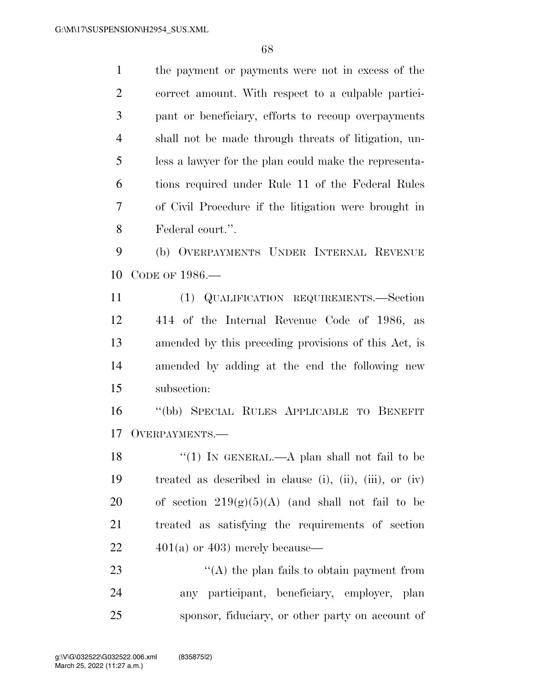the payment or payments were not in excess of the

 correct amount. With respect to a culpable partici- pant or beneficiary, efforts to recoup overpayments shall not be made through threats of litigation, un- less a lawyer for the plan could make the representa- tions required under Rule 11 of the Federal Rules of Civil Procedure if the litigation were brought in Federal court.''. (b) OVERPAYMENTS UNDER INTERNAL REVENUE CODE OF 1986.— (1) QUALIFICATION REQUIREMENTS.—Section 414 of the Internal Revenue Code of 1986, as amended by this preceding provisions of this Act, is amended by adding at the end the following new subsection: ''(bb) SPECIAL RULES APPLICABLE TO BENEFIT OVERPAYMENTS.— 18 "(1) IN GENERAL.—A plan shall not fail to be treated as described in clause (i), (ii), (iii), or (iv) 20 of section  $219(g)(5)(A)$  (and shall not fail to be treated as satisfying the requirements of section  $22 \qquad \qquad 401(a)$  or 403) merely because— 23 ''(A) the plan fails to obtain payment from any participant, beneficiary, employer, plan sponsor, fiduciary, or other party on account of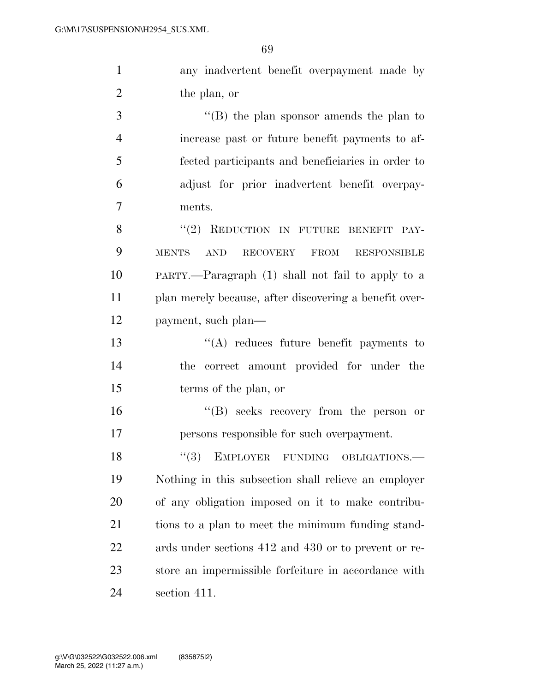any inadvertent benefit overpayment made by the plan, or

 ''(B) the plan sponsor amends the plan to increase past or future benefit payments to af- fected participants and beneficiaries in order to adjust for prior inadvertent benefit overpay-ments.

8 "(2) REDUCTION IN FUTURE BENEFIT PAY- MENTS AND RECOVERY FROM RESPONSIBLE PARTY.—Paragraph (1) shall not fail to apply to a plan merely because, after discovering a benefit over-payment, such plan—

 ''(A) reduces future benefit payments to the correct amount provided for under the terms of the plan, or

 ''(B) seeks recovery from the person or persons responsible for such overpayment.

18 "(3) EMPLOYER FUNDING OBLIGATIONS.— Nothing in this subsection shall relieve an employer of any obligation imposed on it to make contribu- tions to a plan to meet the minimum funding stand- ards under sections 412 and 430 or to prevent or re- store an impermissible forfeiture in accordance with section 411.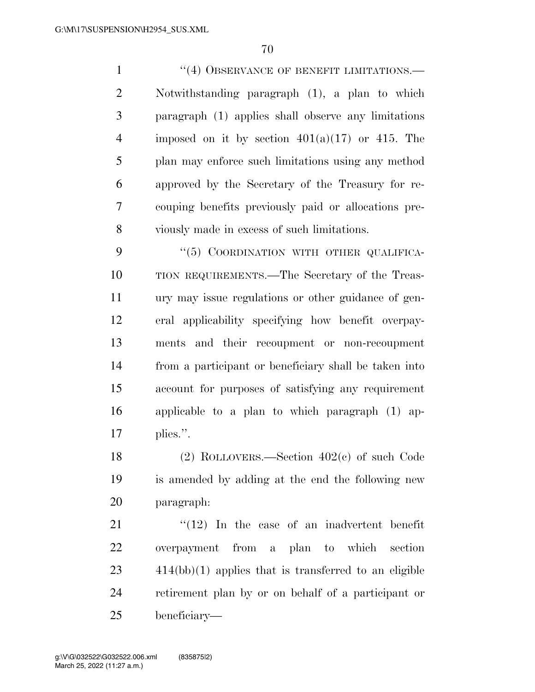1 ''(4) OBSERVANCE OF BENEFIT LIMITATIONS.— Notwithstanding paragraph (1), a plan to which paragraph (1) applies shall observe any limitations 4 imposed on it by section  $401(a)(17)$  or 415. The plan may enforce such limitations using any method approved by the Secretary of the Treasury for re- couping benefits previously paid or allocations pre-viously made in excess of such limitations.

9 "(5) COORDINATION WITH OTHER QUALIFICA- TION REQUIREMENTS.—The Secretary of the Treas- ury may issue regulations or other guidance of gen- eral applicability specifying how benefit overpay- ments and their recoupment or non-recoupment from a participant or beneficiary shall be taken into account for purposes of satisfying any requirement applicable to a plan to which paragraph (1) ap-plies.''.

 (2) ROLLOVERS.—Section 402(c) of such Code is amended by adding at the end the following new paragraph:

 ''(12) In the case of an inadvertent benefit overpayment from a plan to which section 414(bb)(1) applies that is transferred to an eligible retirement plan by or on behalf of a participant or beneficiary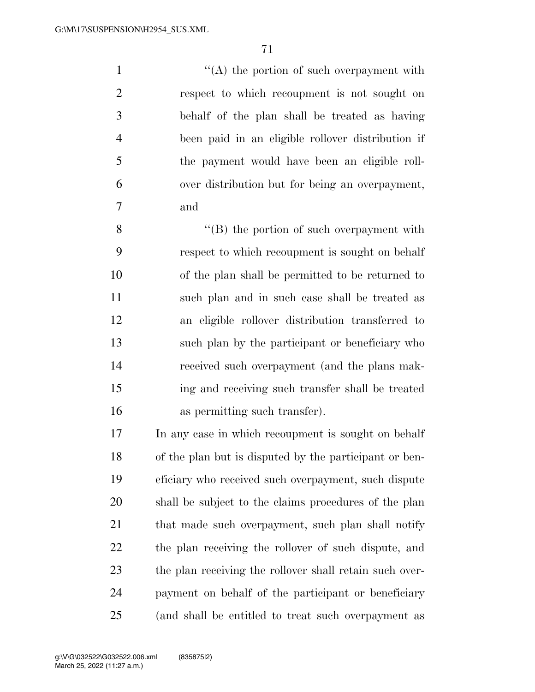1 ''(A) the portion of such overpayment with respect to which recoupment is not sought on behalf of the plan shall be treated as having been paid in an eligible rollover distribution if the payment would have been an eligible roll- over distribution but for being an overpayment, and

 ''(B) the portion of such overpayment with respect to which recoupment is sought on behalf of the plan shall be permitted to be returned to such plan and in such case shall be treated as an eligible rollover distribution transferred to such plan by the participant or beneficiary who received such overpayment (and the plans mak- ing and receiving such transfer shall be treated as permitting such transfer).

 In any case in which recoupment is sought on behalf of the plan but is disputed by the participant or ben- eficiary who received such overpayment, such dispute shall be subject to the claims procedures of the plan 21 that made such overpayment, such plan shall notify the plan receiving the rollover of such dispute, and the plan receiving the rollover shall retain such over- payment on behalf of the participant or beneficiary (and shall be entitled to treat such overpayment as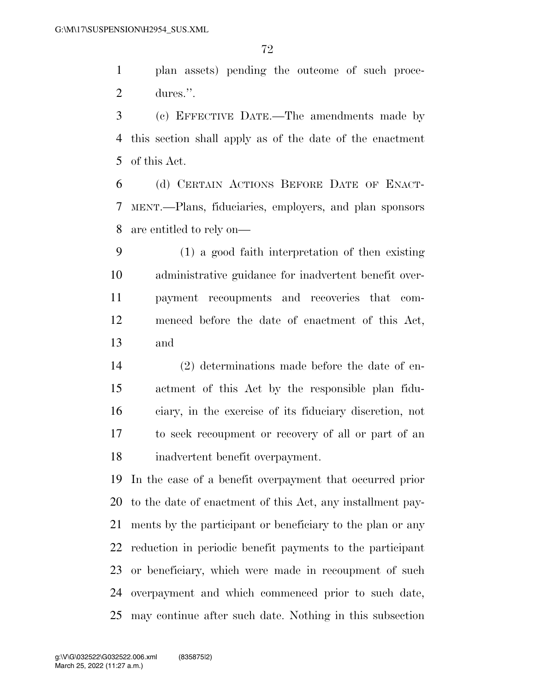plan assets) pending the outcome of such proce-dures.''.

 (c) EFFECTIVE DATE.—The amendments made by this section shall apply as of the date of the enactment of this Act.

 (d) CERTAIN ACTIONS BEFORE DATE OF ENACT- MENT.—Plans, fiduciaries, employers, and plan sponsors are entitled to rely on—

 (1) a good faith interpretation of then existing administrative guidance for inadvertent benefit over- payment recoupments and recoveries that com- menced before the date of enactment of this Act, and

 (2) determinations made before the date of en- actment of this Act by the responsible plan fidu- ciary, in the exercise of its fiduciary discretion, not to seek recoupment or recovery of all or part of an inadvertent benefit overpayment.

 In the case of a benefit overpayment that occurred prior to the date of enactment of this Act, any installment pay- ments by the participant or beneficiary to the plan or any reduction in periodic benefit payments to the participant or beneficiary, which were made in recoupment of such overpayment and which commenced prior to such date, may continue after such date. Nothing in this subsection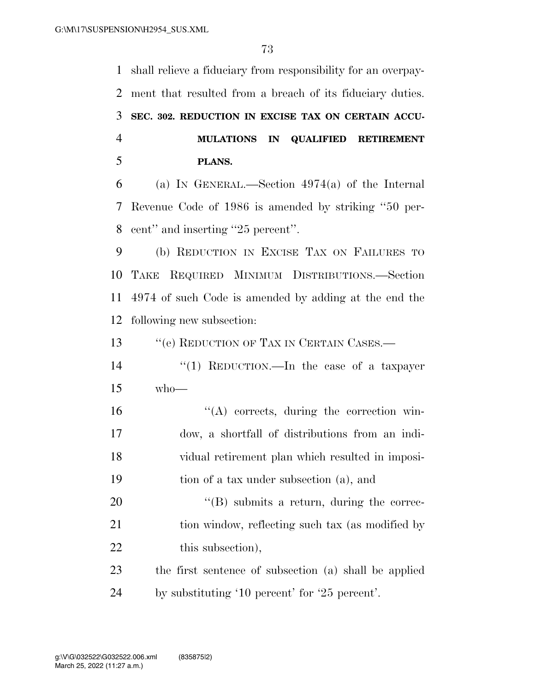shall relieve a fiduciary from responsibility for an overpay- ment that resulted from a breach of its fiduciary duties. **SEC. 302. REDUCTION IN EXCISE TAX ON CERTAIN ACCU- MULATIONS IN QUALIFIED RETIREMENT PLANS.**  (a) IN GENERAL.—Section 4974(a) of the Internal

 Revenue Code of 1986 is amended by striking ''50 per-cent'' and inserting ''25 percent''.

 (b) REDUCTION IN EXCISE TAX ON FAILURES TO TAKE REQUIRED MINIMUM DISTRIBUTIONS.—Section 4974 of such Code is amended by adding at the end the following new subsection:

13 "'(e) REDUCTION OF TAX IN CERTAIN CASES.—

 ''(1) REDUCTION.—In the case of a taxpayer who—

 ''(A) corrects, during the correction win- dow, a shortfall of distributions from an indi- vidual retirement plan which resulted in imposi-tion of a tax under subsection (a), and

20  $\text{``(B)}$  submits a return, during the correc-21 tion window, reflecting such tax (as modified by 22 this subsection),

 the first sentence of subsection (a) shall be applied by substituting '10 percent' for '25 percent'.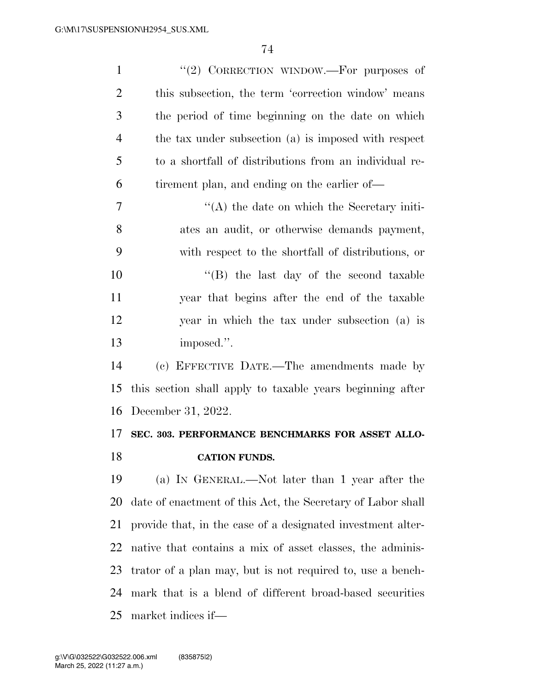| $\mathbf{1}$   | "(2) CORRECTION WINDOW.—For purposes of                     |
|----------------|-------------------------------------------------------------|
| $\overline{2}$ | this subsection, the term 'correction window' means         |
| 3              | the period of time beginning on the date on which           |
| $\overline{4}$ | the tax under subsection (a) is imposed with respect        |
| 5              | to a shortfall of distributions from an individual re-      |
| 6              | tirement plan, and ending on the earlier of—                |
| $\overline{7}$ | $\lq\lq$ the date on which the Secretary initi-             |
| 8              | ates an audit, or otherwise demands payment,                |
| 9              | with respect to the shortfall of distributions, or          |
| 10             | "(B) the last day of the second taxable                     |
| 11             | year that begins after the end of the taxable               |
| 12             | year in which the tax under subsection (a) is               |
| 13             | imposed.".                                                  |
| 14             | (c) EFFECTIVE DATE.—The amendments made by                  |
| 15             | this section shall apply to taxable years beginning after   |
| 16             | December 31, 2022.                                          |
| 17             | SEC. 303. PERFORMANCE BENCHMARKS FOR ASSET ALLO-            |
| 18             | <b>CATION FUNDS.</b>                                        |
| 19             | (a) IN GENERAL.—Not later than 1 year after the             |
| 20             | date of enactment of this Act, the Secretary of Labor shall |
| 21             | provide that, in the case of a designated investment alter- |
| 22             | native that contains a mix of asset classes, the adminis-   |
| 23             | trator of a plan may, but is not required to, use a bench-  |
| 24             | mark that is a blend of different broad-based securities    |
| 25             | market indices if—                                          |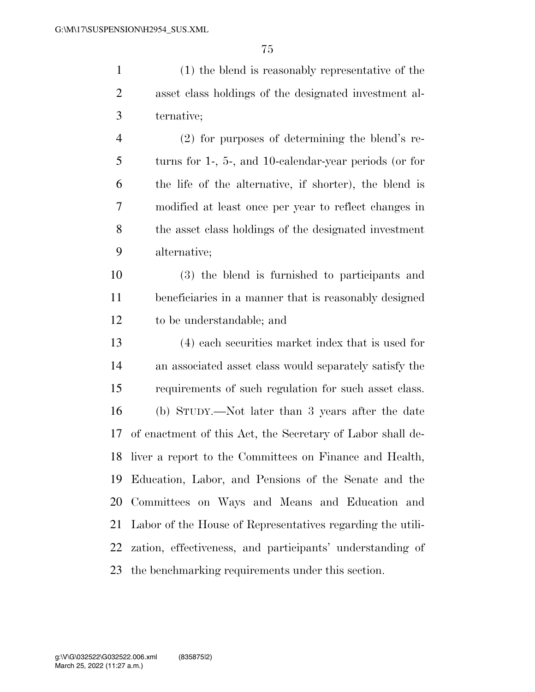(1) the blend is reasonably representative of the asset class holdings of the designated investment al- ternative; (2) for purposes of determining the blend's re-turns for 1-, 5-, and 10-calendar-year periods (or for

 the life of the alternative, if shorter), the blend is modified at least once per year to reflect changes in the asset class holdings of the designated investment alternative;

 (3) the blend is furnished to participants and beneficiaries in a manner that is reasonably designed to be understandable; and

 (4) each securities market index that is used for an associated asset class would separately satisfy the requirements of such regulation for such asset class. (b) STUDY.—Not later than 3 years after the date of enactment of this Act, the Secretary of Labor shall de- liver a report to the Committees on Finance and Health, Education, Labor, and Pensions of the Senate and the Committees on Ways and Means and Education and Labor of the House of Representatives regarding the utili- zation, effectiveness, and participants' understanding of the benchmarking requirements under this section.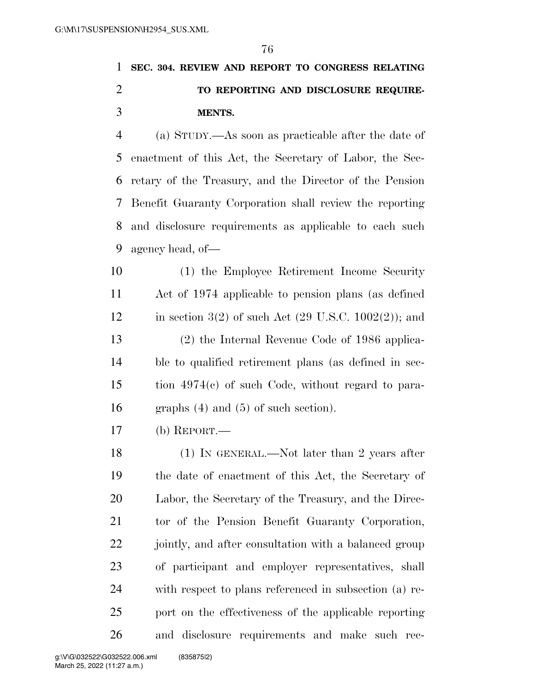## **SEC. 304. REVIEW AND REPORT TO CONGRESS RELATING TO REPORTING AND DISCLOSURE REQUIRE-MENTS.**

 (a) STUDY.—As soon as practicable after the date of enactment of this Act, the Secretary of Labor, the Sec- retary of the Treasury, and the Director of the Pension Benefit Guaranty Corporation shall review the reporting and disclosure requirements as applicable to each such agency head, of—

 (1) the Employee Retirement Income Security Act of 1974 applicable to pension plans (as defined 12 in section 3(2) of such Act (29 U.S.C. 1002(2)); and (2) the Internal Revenue Code of 1986 applica- ble to qualified retirement plans (as defined in sec- tion 4974(c) of such Code, without regard to para-graphs (4) and (5) of such section).

(b) REPORT.—

 (1) IN GENERAL.—Not later than 2 years after the date of enactment of this Act, the Secretary of Labor, the Secretary of the Treasury, and the Direc- tor of the Pension Benefit Guaranty Corporation, 22 jointly, and after consultation with a balanced group of participant and employer representatives, shall with respect to plans referenced in subsection (a) re- port on the effectiveness of the applicable reporting and disclosure requirements and make such rec-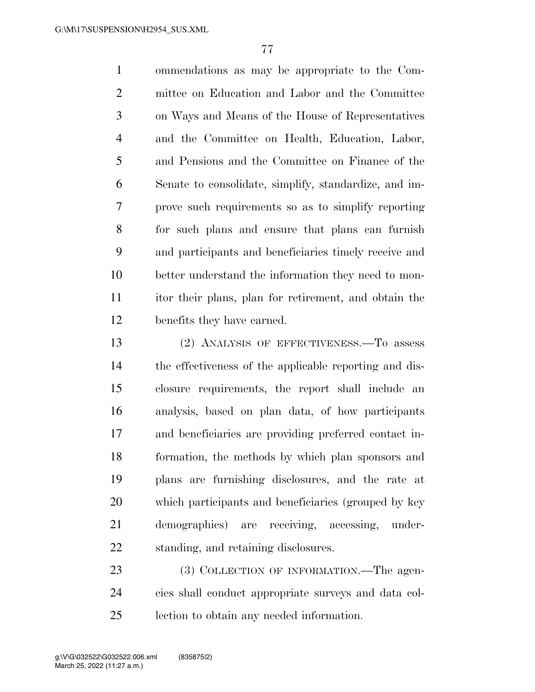ommendations as may be appropriate to the Com- mittee on Education and Labor and the Committee on Ways and Means of the House of Representatives and the Committee on Health, Education, Labor, and Pensions and the Committee on Finance of the Senate to consolidate, simplify, standardize, and im- prove such requirements so as to simplify reporting for such plans and ensure that plans can furnish and participants and beneficiaries timely receive and better understand the information they need to mon- itor their plans, plan for retirement, and obtain the benefits they have earned.

 (2) ANALYSIS OF EFFECTIVENESS.—To assess the effectiveness of the applicable reporting and dis- closure requirements, the report shall include an analysis, based on plan data, of how participants and beneficiaries are providing preferred contact in- formation, the methods by which plan sponsors and plans are furnishing disclosures, and the rate at which participants and beneficiaries (grouped by key demographics) are receiving, accessing, under-standing, and retaining disclosures.

23 (3) COLLECTION OF INFORMATION.—The agen- cies shall conduct appropriate surveys and data col-lection to obtain any needed information.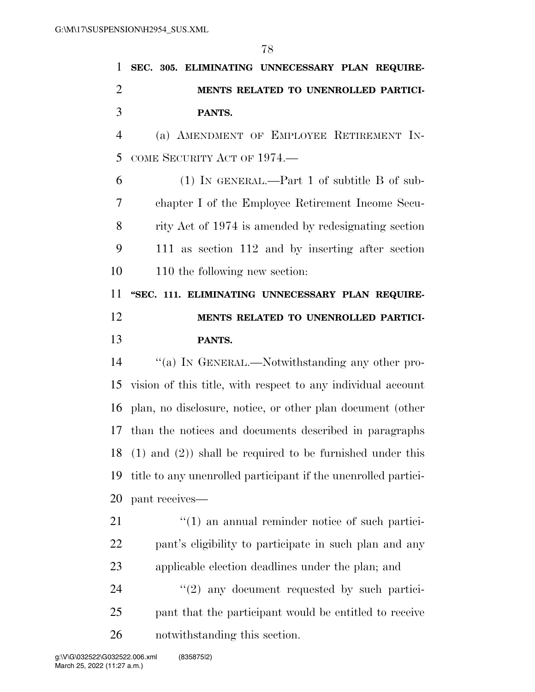|                | 78                                                             |
|----------------|----------------------------------------------------------------|
| 1              | SEC. 305. ELIMINATING UNNECESSARY PLAN REQUIRE-                |
| $\overline{2}$ | MENTS RELATED TO UNENROLLED PARTICI-                           |
| 3              | PANTS.                                                         |
| $\overline{4}$ | (a) AMENDMENT OF EMPLOYEE RETIREMENT IN-                       |
| 5              | COME SECURITY ACT OF 1974.                                     |
| 6              | $(1)$ IN GENERAL.—Part 1 of subtitle B of sub-                 |
| 7              | chapter I of the Employee Retirement Income Secu-              |
| 8              | rity Act of 1974 is amended by redesignating section           |
| 9              | 111 as section 112 and by inserting after section              |
| 10             | 110 the following new section:                                 |
| 11             | "SEC. 111. ELIMINATING UNNECESSARY PLAN REQUIRE-               |
| 12             | MENTS RELATED TO UNENROLLED PARTICI-                           |
| 13             | PANTS.                                                         |
| 14             | "(a) IN GENERAL.—Notwithstanding any other pro-                |
| 15             | vision of this title, with respect to any individual account   |
|                | 16 plan, no disclosure, notice, or other plan document (other  |
|                | 17 than the notices and documents described in paragraphs      |
| 18             | $(1)$ and $(2)$ ) shall be required to be furnished under this |
| 19             | title to any unenrolled participant if the unenrolled partici- |
| 20             | pant receives-                                                 |
| 21             | $\lq(1)$ an annual reminder notice of such partici-            |
|                |                                                                |

applicable election deadlines under the plan; and

24 ''(2) any document requested by such partici- pant that the participant would be entitled to receive notwithstanding this section.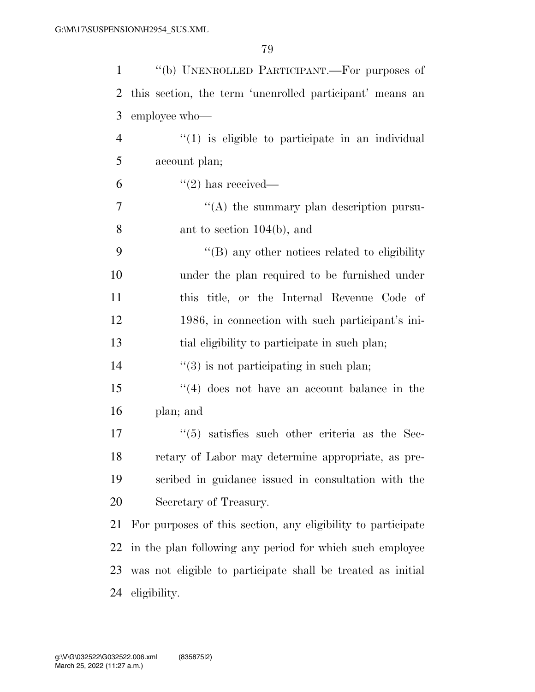| $\mathbf{1}$   | "(b) UNENROLLED PARTICIPANT.—For purposes of                 |
|----------------|--------------------------------------------------------------|
| $\overline{2}$ | this section, the term 'unenrolled participant' means an     |
| 3              | employee who-                                                |
| $\overline{4}$ | $"(1)$ is eligible to participate in an individual           |
| 5              | account plan;                                                |
| 6              | $\lq(2)$ has received—                                       |
| 7              | "(A) the summary plan description pursu-                     |
| 8              | ant to section $104(b)$ , and                                |
| 9              | $\lq\lq (B)$ any other notices related to eligibility        |
| 10             | under the plan required to be furnished under                |
| 11             | this title, or the Internal Revenue Code of                  |
| 12             | 1986, in connection with such participant's ini-             |
| 13             | tial eligibility to participate in such plan;                |
| 14             | $\lq(3)$ is not participating in such plan;                  |
| 15             | $(4)$ does not have an account balance in the                |
| 16             | plan; and                                                    |
| 17             | $(5)$ satisfies such other criteria as the Sec-              |
| 18             | retary of Labor may determine appropriate, as pre-           |
| 19             | scribed in guidance issued in consultation with the          |
| 20             | Secretary of Treasury.                                       |
| 21             | For purposes of this section, any eligibility to participate |
| 22             | in the plan following any period for which such employee     |
| 23             | was not eligible to participate shall be treated as initial  |
| 24             | eligibility.                                                 |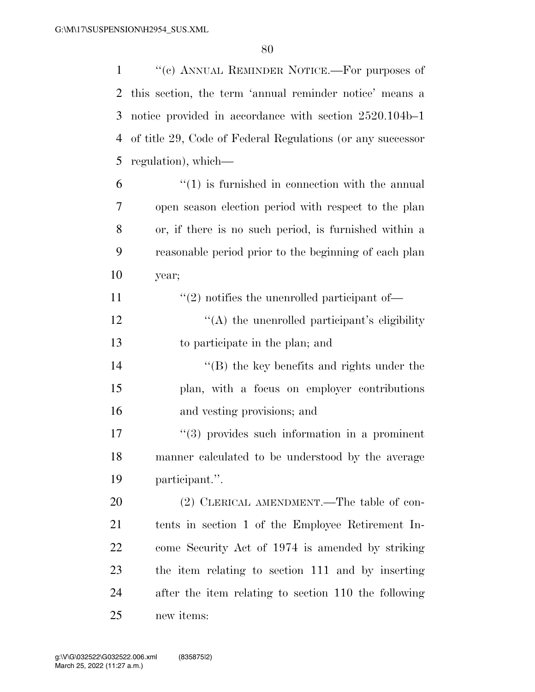''(c) ANNUAL REMINDER NOTICE.—For purposes of this section, the term 'annual reminder notice' means a notice provided in accordance with section 2520.104b–1 of title 29, Code of Federal Regulations (or any successor regulation), which—

- "(1) is furnished in connection with the annual open season election period with respect to the plan or, if there is no such period, is furnished within a reasonable period prior to the beginning of each plan year;
- 11  $\frac{1}{2}$  notifies the unenrolled participant of—
- 12  $\langle (A)$  the unenrolled participant's eligibility to participate in the plan; and
- 14 ''(B) the key benefits and rights under the plan, with a focus on employer contributions and vesting provisions; and
- 17  $\frac{17}{2}$   $\frac{17}{2}$  if the such information in a prominent manner calculated to be understood by the average participant.''.

20 (2) CLERICAL AMENDMENT.—The table of con- tents in section 1 of the Employee Retirement In- come Security Act of 1974 is amended by striking the item relating to section 111 and by inserting after the item relating to section 110 the following new items: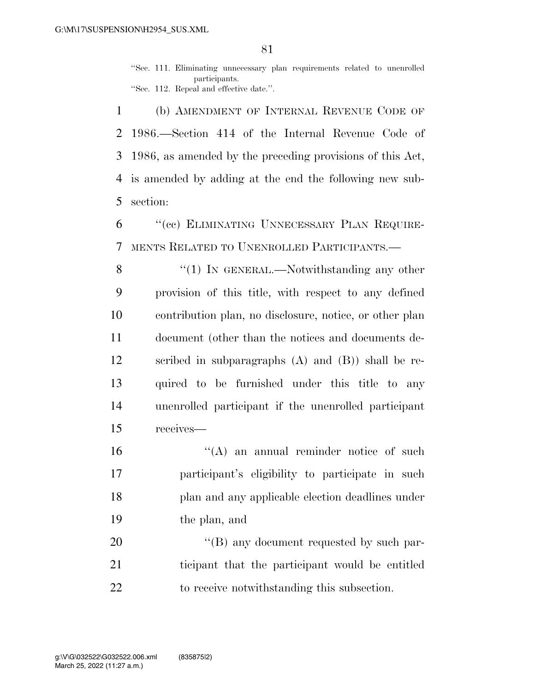''Sec. 111. Eliminating unnecessary plan requirements related to unenrolled participants. ''Sec. 112. Repeal and effective date.''.

 (b) AMENDMENT OF INTERNAL REVENUE CODE OF 1986.—Section 414 of the Internal Revenue Code of 1986, as amended by the preceding provisions of this Act, is amended by adding at the end the following new sub-section:

 ''(cc) ELIMINATING UNNECESSARY PLAN REQUIRE-MENTS RELATED TO UNENROLLED PARTICIPANTS.—

8 "(1) In GENERAL.—Notwithstanding any other provision of this title, with respect to any defined contribution plan, no disclosure, notice, or other plan document (other than the notices and documents de- scribed in subparagraphs (A) and (B)) shall be re- quired to be furnished under this title to any unenrolled participant if the unenrolled participant receives—

16 "(A) an annual reminder notice of such participant's eligibility to participate in such plan and any applicable election deadlines under the plan, and

20 "'(B) any document requested by such par- ticipant that the participant would be entitled to receive notwithstanding this subsection.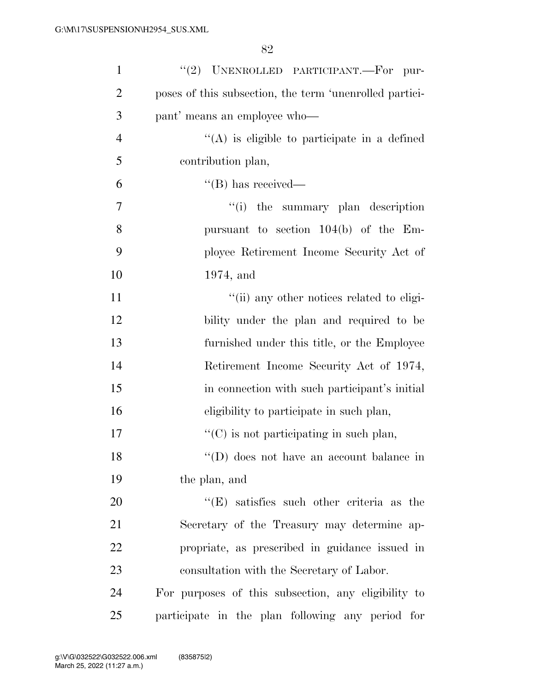| $\mathbf{1}$   | "(2) UNENROLLED PARTICIPANT.-For pur-                   |
|----------------|---------------------------------------------------------|
| $\overline{2}$ | poses of this subsection, the term 'unenrolled partici- |
| 3              | pant' means an employee who—                            |
| $\overline{4}$ | $\lq\lq$ is eligible to participate in a defined        |
| 5              | contribution plan,                                      |
| 6              | $\lq\lq (B)$ has received—                              |
| 7              | "(i) the summary plan description                       |
| 8              | pursuant to section $104(b)$ of the Em-                 |
| 9              | ployee Retirement Income Security Act of                |
| 10             | $1974$ , and                                            |
| 11             | "(ii) any other notices related to eligi-               |
| 12             | bility under the plan and required to be                |
| 13             | furnished under this title, or the Employee             |
| 14             | Retirement Income Security Act of 1974,                 |
| 15             | in connection with such participant's initial           |
| 16             | eligibility to participate in such plan,                |
| 17             | $\lq\lq$ (C) is not participating in such plan,         |
| 18             | "(D) does not have an account balance in                |
| 19             | the plan, and                                           |
| 20             | $\lq\lq(E)$ satisfies such other criteria as the        |
| 21             | Secretary of the Treasury may determine ap-             |
| 22             | propriate, as prescribed in guidance issued in          |
| 23             | consultation with the Secretary of Labor.               |
| 24             | For purposes of this subsection, any eligibility to     |
| 25             | participate in the plan following any period for        |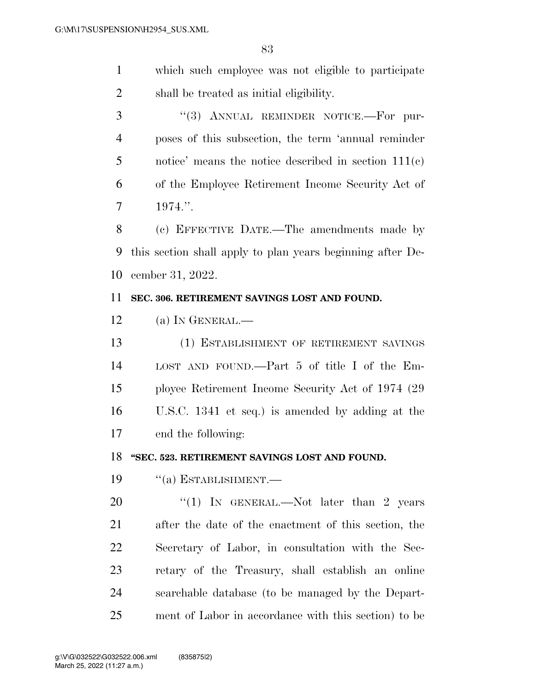which such employee was not eligible to participate shall be treated as initial eligibility.

3 "(3) ANNUAL REMINDER NOTICE.—For pur- poses of this subsection, the term 'annual reminder notice' means the notice described in section 111(c) of the Employee Retirement Income Security Act of 1974.''.

 (c) EFFECTIVE DATE.—The amendments made by this section shall apply to plan years beginning after De-cember 31, 2022.

#### **SEC. 306. RETIREMENT SAVINGS LOST AND FOUND.**

(a) IN GENERAL.—

 (1) ESTABLISHMENT OF RETIREMENT SAVINGS LOST AND FOUND.—Part 5 of title I of the Em- ployee Retirement Income Security Act of 1974 (29 U.S.C. 1341 et seq.) is amended by adding at the end the following:

**''SEC. 523. RETIREMENT SAVINGS LOST AND FOUND.** 

''(a) ESTABLISHMENT.—

20 "(1) IN GENERAL.—Not later than 2 years after the date of the enactment of this section, the Secretary of Labor, in consultation with the Sec- retary of the Treasury, shall establish an online searchable database (to be managed by the Depart-ment of Labor in accordance with this section) to be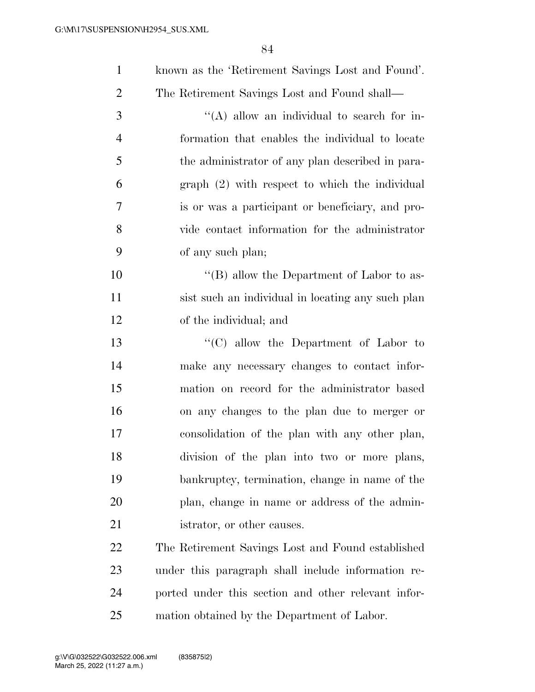| $\mathbf{1}$   | known as the 'Retirement Savings Lost and Found'.   |
|----------------|-----------------------------------------------------|
| $\overline{2}$ | The Retirement Savings Lost and Found shall-        |
| 3              | $\lq\lq$ (A) allow an individual to search for in-  |
| $\overline{4}$ | formation that enables the individual to locate     |
| 5              | the administrator of any plan described in para-    |
| 6              | $graph (2) with respect to which the individual$    |
| 7              | is or was a participant or beneficiary, and pro-    |
| 8              | vide contact information for the administrator      |
| 9              | of any such plan;                                   |
| 10             | "(B) allow the Department of Labor to as-           |
| 11             | sist such an individual in locating any such plan   |
| 12             | of the individual; and                              |
| 13             | "(C) allow the Department of Labor to               |
| 14             | make any necessary changes to contact infor-        |
| 15             | mation on record for the administrator based        |
| 16             | on any changes to the plan due to merger or         |
| 17             | consolidation of the plan with any other plan,      |
| 18             | division of the plan into two or more plans,        |
| 19             | bankruptcy, termination, change in name of the      |
| 20             | plan, change in name or address of the admin-       |
| 21             | istrator, or other causes.                          |
| 22             | The Retirement Savings Lost and Found established   |
| 23             | under this paragraph shall include information re-  |
| 24             | ported under this section and other relevant infor- |
|                |                                                     |

mation obtained by the Department of Labor.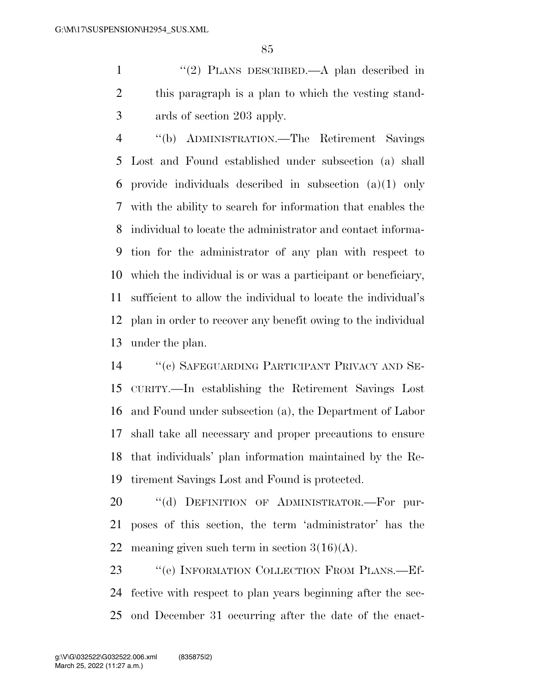1 "(2) PLANS DESCRIBED.—A plan described in this paragraph is a plan to which the vesting stand-ards of section 203 apply.

 ''(b) ADMINISTRATION.—The Retirement Savings Lost and Found established under subsection (a) shall provide individuals described in subsection (a)(1) only with the ability to search for information that enables the individual to locate the administrator and contact informa- tion for the administrator of any plan with respect to which the individual is or was a participant or beneficiary, sufficient to allow the individual to locate the individual's plan in order to recover any benefit owing to the individual under the plan.

 ''(c) SAFEGUARDING PARTICIPANT PRIVACY AND SE- CURITY.—In establishing the Retirement Savings Lost and Found under subsection (a), the Department of Labor shall take all necessary and proper precautions to ensure that individuals' plan information maintained by the Re-tirement Savings Lost and Found is protected.

20 "(d) DEFINITION OF ADMINISTRATOR.-For pur- poses of this section, the term 'administrator' has the 22 meaning given such term in section  $3(16)(A)$ .

23 "(e) INFORMATION COLLECTION FROM PLANS.—Ef- fective with respect to plan years beginning after the sec-ond December 31 occurring after the date of the enact-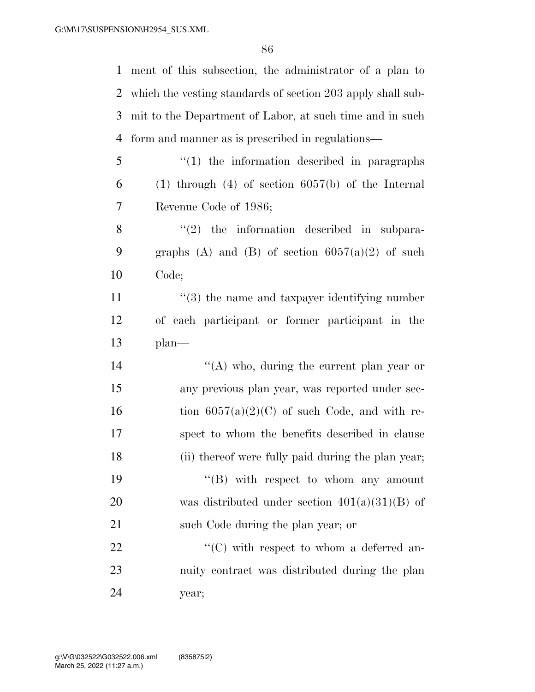ment of this subsection, the administrator of a plan to

 which the vesting standards of section 203 apply shall sub- mit to the Department of Labor, at such time and in such form and manner as is prescribed in regulations— ''(1) the information described in paragraphs (1) through (4) of section  $6057(b)$  of the Internal Revenue Code of 1986; ''(2) the information described in subpara-9 graphs (A) and (B) of section  $6057(a)(2)$  of such Code; 11 ''(3) the name and taxpayer identifying number of each participant or former participant in the plan—  $\langle (A) \rangle$  who, during the current plan year or any previous plan year, was reported under sec-16 tion  $6057(a)(2)(C)$  of such Code, and with re- spect to whom the benefits described in clause (ii) thereof were fully paid during the plan year;  $\langle$  (B) with respect to whom any amount was distributed under section 401(a)(31)(B) of 21 such Code during the plan year; or  $\langle ^{\prime}(C) \rangle$  with respect to whom a deferred an- nuity contract was distributed during the plan year;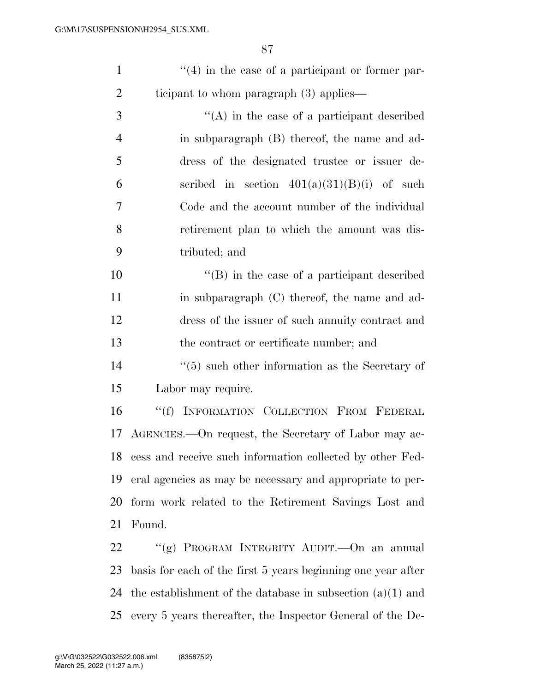| $\lq(4)$ in the case of a participant or former par- |
|------------------------------------------------------|
| ticipant to whom paragraph $(3)$ applies—            |

 ''(A) in the case of a participant described in subparagraph (B) thereof, the name and ad- dress of the designated trustee or issuer de-6 section  $401(a)(31)(B)(i)$  of such Code and the account number of the individual retirement plan to which the amount was dis-tributed; and

 ''(B) in the case of a participant described 11 in subparagraph (C) thereof, the name and ad- dress of the issuer of such annuity contract and the contract or certificate number; and

14 ''(5) such other information as the Secretary of Labor may require.

 ''(f) INFORMATION COLLECTION FROM FEDERAL AGENCIES.—On request, the Secretary of Labor may ac- cess and receive such information collected by other Fed- eral agencies as may be necessary and appropriate to per- form work related to the Retirement Savings Lost and Found.

 ''(g) PROGRAM INTEGRITY AUDIT.—On an annual basis for each of the first 5 years beginning one year after the establishment of the database in subsection (a)(1) and every 5 years thereafter, the Inspector General of the De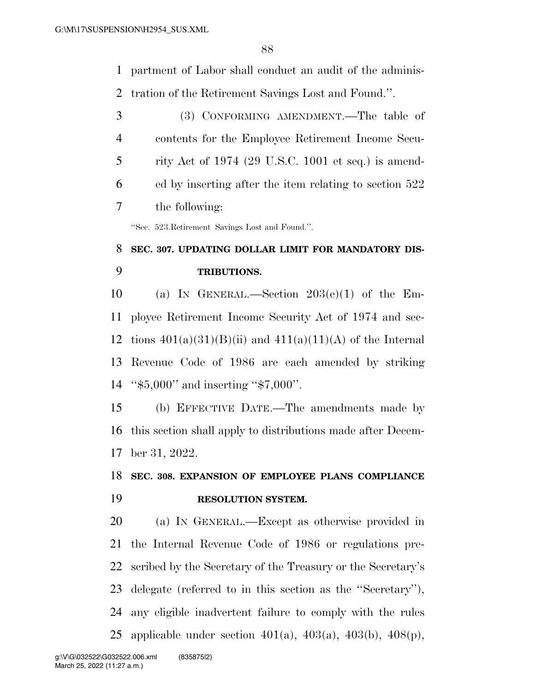partment of Labor shall conduct an audit of the adminis-tration of the Retirement Savings Lost and Found.''.

 (3) CONFORMING AMENDMENT.—The table of contents for the Employee Retirement Income Secu- rity Act of 1974 (29 U.S.C. 1001 et seq.) is amend- ed by inserting after the item relating to section 522 the following:

''Sec. 523.Retirement Savings Lost and Found.''.

# **SEC. 307. UPDATING DOLLAR LIMIT FOR MANDATORY DIS-TRIBUTIONS.**

 (a) IN GENERAL.—Section 203(e)(1) of the Em- ployee Retirement Income Security Act of 1974 and sec-12 tions  $401(a)(31)(B)(ii)$  and  $411(a)(11)(A)$  of the Internal Revenue Code of 1986 are each amended by striking ''\$5,000'' and inserting ''\$7,000''.

 (b) EFFECTIVE DATE.—The amendments made by this section shall apply to distributions made after Decem-ber 31, 2022.

### **SEC. 308. EXPANSION OF EMPLOYEE PLANS COMPLIANCE RESOLUTION SYSTEM.**

 (a) IN GENERAL.—Except as otherwise provided in the Internal Revenue Code of 1986 or regulations pre- scribed by the Secretary of the Treasury or the Secretary's delegate (referred to in this section as the ''Secretary''), any eligible inadvertent failure to comply with the rules applicable under section 401(a), 403(a), 403(b), 408(p),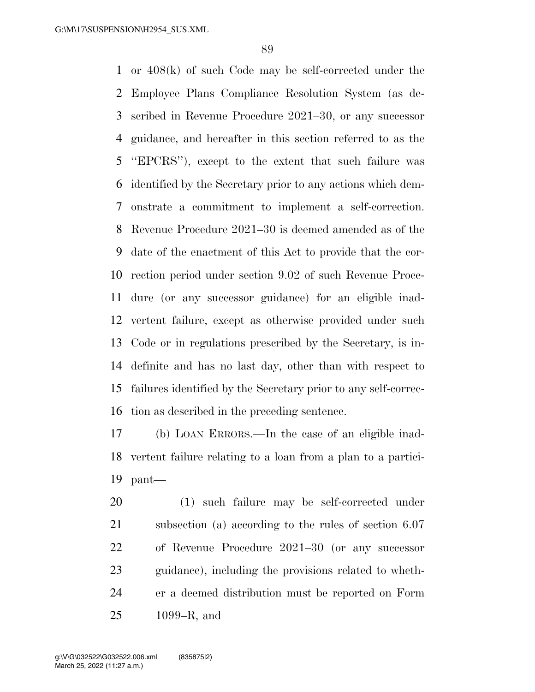or 408(k) of such Code may be self-corrected under the Employee Plans Compliance Resolution System (as de- scribed in Revenue Procedure 2021–30, or any successor guidance, and hereafter in this section referred to as the ''EPCRS''), except to the extent that such failure was identified by the Secretary prior to any actions which dem- onstrate a commitment to implement a self-correction. Revenue Procedure 2021–30 is deemed amended as of the date of the enactment of this Act to provide that the cor- rection period under section 9.02 of such Revenue Proce- dure (or any successor guidance) for an eligible inad- vertent failure, except as otherwise provided under such Code or in regulations prescribed by the Secretary, is in- definite and has no last day, other than with respect to failures identified by the Secretary prior to any self-correc-tion as described in the preceding sentence.

 (b) LOAN ERRORS.—In the case of an eligible inad- vertent failure relating to a loan from a plan to a partici-pant—

 (1) such failure may be self-corrected under subsection (a) according to the rules of section 6.07 of Revenue Procedure 2021–30 (or any successor guidance), including the provisions related to wheth- er a deemed distribution must be reported on Form 1099–R, and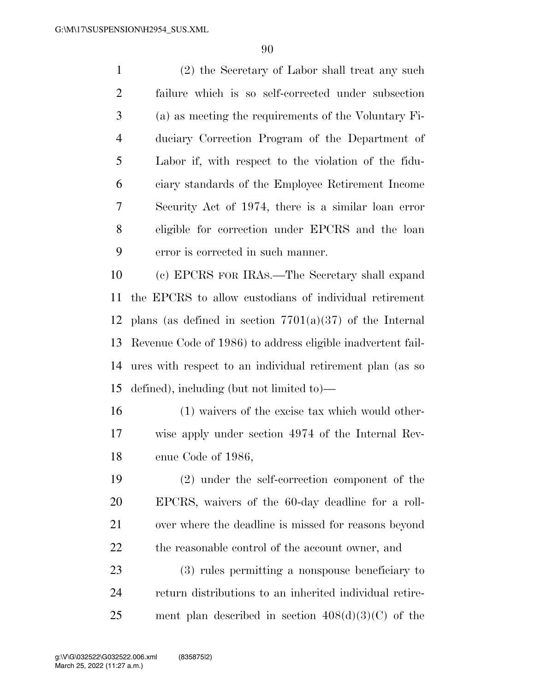(2) the Secretary of Labor shall treat any such failure which is so self-corrected under subsection (a) as meeting the requirements of the Voluntary Fi- duciary Correction Program of the Department of Labor if, with respect to the violation of the fidu- ciary standards of the Employee Retirement Income Security Act of 1974, there is a similar loan error eligible for correction under EPCRS and the loan error is corrected in such manner.

 (c) EPCRS FOR IRAS.—The Secretary shall expand the EPCRS to allow custodians of individual retirement 12 plans (as defined in section  $7701(a)(37)$  of the Internal Revenue Code of 1986) to address eligible inadvertent fail- ures with respect to an individual retirement plan (as so defined), including (but not limited to)—

 (1) waivers of the excise tax which would other- wise apply under section 4974 of the Internal Rev-enue Code of 1986,

 (2) under the self-correction component of the EPCRS, waivers of the 60-day deadline for a roll- over where the deadline is missed for reasons beyond 22 the reasonable control of the account owner, and

 (3) rules permitting a nonspouse beneficiary to return distributions to an inherited individual retire-25 ment plan described in section  $408(d)(3)(C)$  of the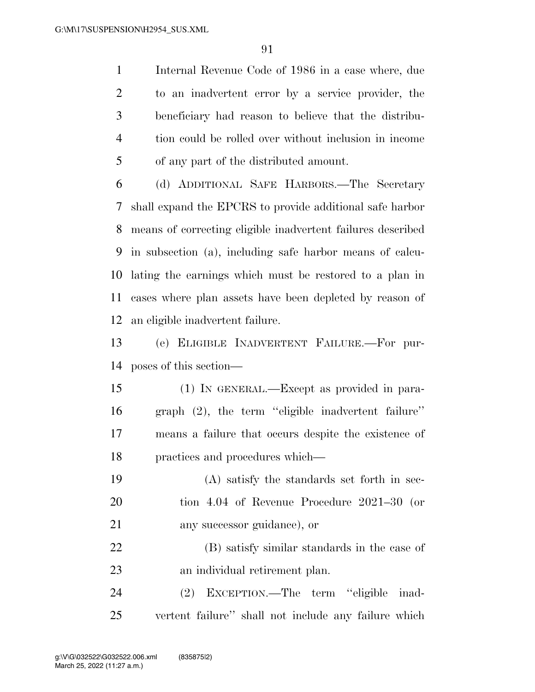Internal Revenue Code of 1986 in a case where, due to an inadvertent error by a service provider, the beneficiary had reason to believe that the distribu- tion could be rolled over without inclusion in income of any part of the distributed amount.

 (d) ADDITIONAL SAFE HARBORS.—The Secretary shall expand the EPCRS to provide additional safe harbor means of correcting eligible inadvertent failures described in subsection (a), including safe harbor means of calcu- lating the earnings which must be restored to a plan in cases where plan assets have been depleted by reason of an eligible inadvertent failure.

 (e) ELIGIBLE INADVERTENT FAILURE.—For pur-poses of this section—

 (1) IN GENERAL.—Except as provided in para- graph (2), the term ''eligible inadvertent failure'' means a failure that occurs despite the existence of practices and procedures which—

 (A) satisfy the standards set forth in sec- tion 4.04 of Revenue Procedure 2021–30 (or any successor guidance), or

 (B) satisfy similar standards in the case of an individual retirement plan.

 (2) EXCEPTION.—The term ''eligible inad-vertent failure'' shall not include any failure which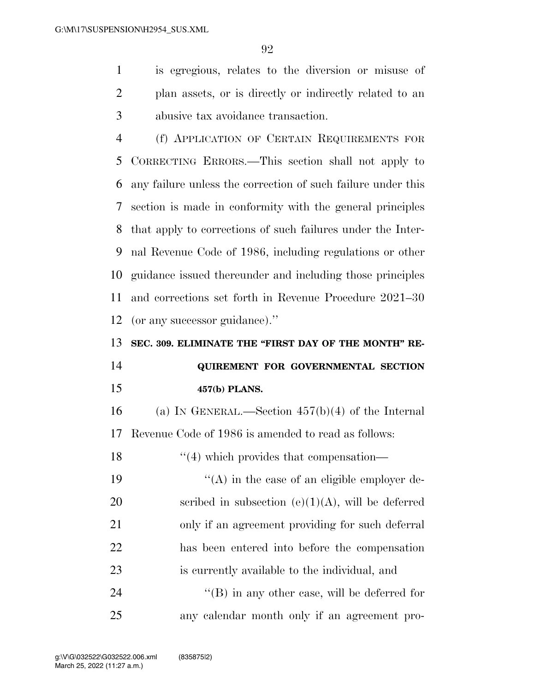is egregious, relates to the diversion or misuse of plan assets, or is directly or indirectly related to an abusive tax avoidance transaction.

 (f) APPLICATION OF CERTAIN REQUIREMENTS FOR CORRECTING ERRORS.—This section shall not apply to any failure unless the correction of such failure under this section is made in conformity with the general principles that apply to corrections of such failures under the Inter- nal Revenue Code of 1986, including regulations or other guidance issued thereunder and including those principles and corrections set forth in Revenue Procedure 2021–30 (or any successor guidance).''

**SEC. 309. ELIMINATE THE "FIRST DAY OF THE MONTH" RE-**

# **QUIREMENT FOR GOVERNMENTAL SECTION 457(b) PLANS.**

 (a) IN GENERAL.—Section 457(b)(4) of the Internal Revenue Code of 1986 is amended to read as follows:

18 ''(4) which provides that compensation-

 $((A)$  in the case of an eligible employer de-20 scribed in subsection  $(e)(1)(A)$ , will be deferred only if an agreement providing for such deferral has been entered into before the compensation is currently available to the individual, and

24  $\langle$  (B) in any other case, will be deferred for any calendar month only if an agreement pro-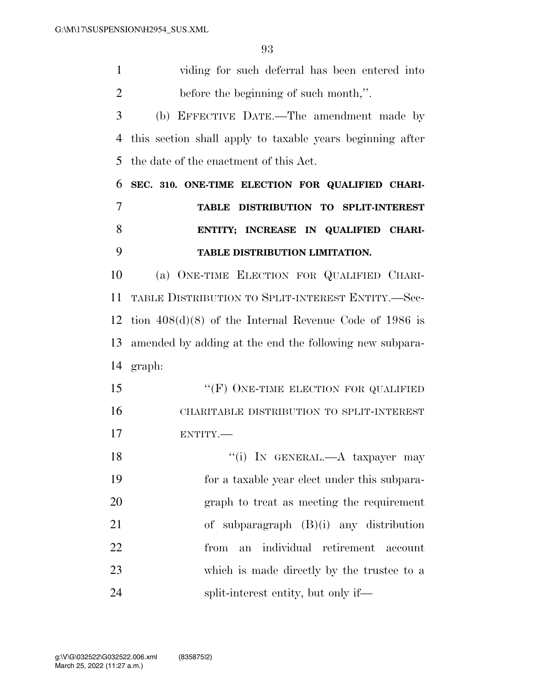| 1              | viding for such deferral has been entered into            |
|----------------|-----------------------------------------------------------|
| $\overline{2}$ | before the beginning of such month,".                     |
| 3              | (b) EFFECTIVE DATE.—The amendment made by                 |
| 4              | this section shall apply to taxable years beginning after |
| 5              | the date of the enactment of this Act.                    |
| 6              | SEC. 310. ONE-TIME ELECTION FOR QUALIFIED CHARI-          |
| 7              | TABLE DISTRIBUTION TO SPLIT-INTEREST                      |
| 8              | ENTITY; INCREASE IN QUALIFIED CHARI-                      |
| 9              | TABLE DISTRIBUTION LIMITATION.                            |
| 10             | (a) ONE-TIME ELECTION FOR QUALIFIED CHARI-                |
| 11             | TABLE DISTRIBUTION TO SPLIT-INTEREST ENTITY.-Sec-         |
| 12             | tion $408(d)(8)$ of the Internal Revenue Code of 1986 is  |
| 13             | amended by adding at the end the following new subpara-   |
|                | 14 graph:                                                 |
| 15             | "(F) ONE-TIME ELECTION FOR QUALIFIED                      |
| 16             | CHARITABLE DISTRIBUTION TO SPLIT-INTEREST                 |
| 17             | ENTITY.                                                   |
| 18             | "(i) IN GENERAL.— $A$ taxpayer may                        |
| 19             | for a taxable year elect under this subpara-              |
| 20             | graph to treat as meeting the requirement                 |
| 21             | of subparagraph $(B)(i)$ any distribution                 |
| 22             | individual retirement<br>from<br>an<br>account            |
| 23             | which is made directly by the trustee to a                |
| 24             | split-interest entity, but only if—                       |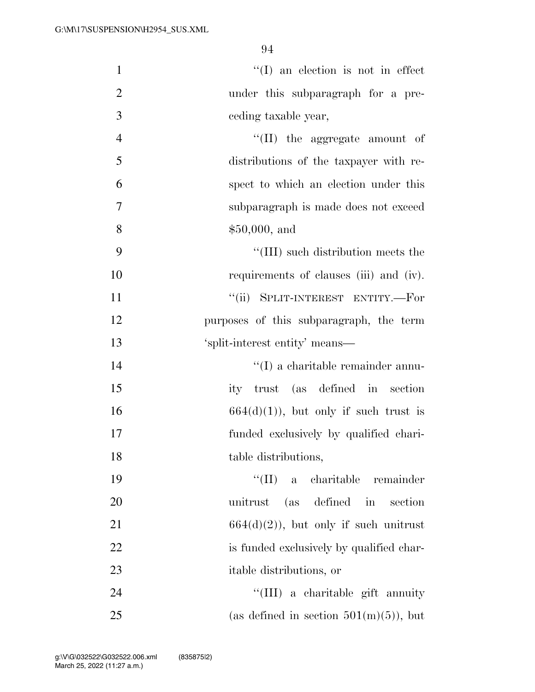| $\mathbf{1}$   | $\lq\lq$ (I) an election is not in effect |
|----------------|-------------------------------------------|
| $\overline{2}$ | under this subparagraph for a pre-        |
| 3              | ceding taxable year,                      |
| $\overline{4}$ | $\lq\lq$ (II) the aggregate amount of     |
| 5              | distributions of the taxpayer with re-    |
| 6              | spect to which an election under this     |
| 7              | subparagraph is made does not exceed      |
| 8              | \$50,000, and                             |
| 9              | "(III) such distribution meets the        |
| 10             | requirements of clauses (iii) and (iv).   |
| 11             | "(ii) SPLIT-INTEREST ENTITY.-For          |
| 12             | purposes of this subparagraph, the term   |
| 13             | 'split-interest entity' means—            |
| 14             | $\lq\lq$ (I) a charitable remainder annu- |
| 15             | ity trust (as defined in section          |
| 16             | $664(d)(1)$ , but only if such trust is   |
| 17             | funded exclusively by qualified chari-    |
| 18             | table distributions,                      |
| 19             | "(II) a charitable remainder              |
| 20             | unitrust (as defined in<br>section        |
| 21             | $664(d)(2)$ , but only if such unitrust   |
| 22             | is funded exclusively by qualified char-  |
| 23             | itable distributions, or                  |
| 24             | "(III) a charitable gift annuity          |
| 25             | (as defined in section $501(m)(5)$ ), but |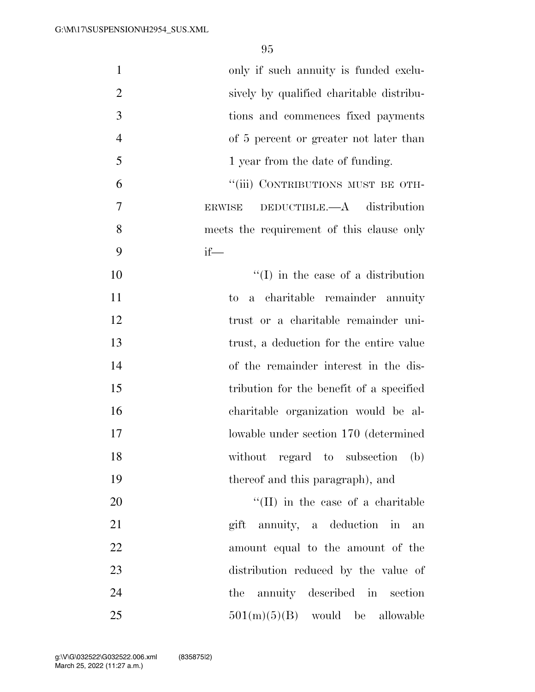| only if such annuity is funded exclu-          | $\mathbf{1}$   |
|------------------------------------------------|----------------|
| sively by qualified charitable distribu-       | $\overline{2}$ |
| tions and commences fixed payments             | 3              |
| of 5 percent or greater not later than         | $\overline{4}$ |
| 1 year from the date of funding.               | 5              |
| "(iii) CONTRIBUTIONS MUST BE OTH-              | 6              |
| DEDUCTIBLE. $-A$ distribution<br><b>ERWISE</b> | 7              |
| meets the requirement of this clause only      | 8              |
| $if$ —                                         | 9              |
| $\lq (I)$ in the case of a distribution        | 10             |
| a charitable remainder annuity<br>to           | 11             |
| trust or a charitable remainder uni-           | 12             |
| trust, a deduction for the entire value        | 13             |
| of the remainder interest in the dis-          | 14             |
| tribution for the benefit of a specified       | 15             |
| charitable organization would be al-           | 16             |
| lowable under section 170 (determined          | 17             |
| without regard to subsection<br>(b)            | 18             |
| thereof and this paragraph), and               | 19             |
| $\lq\lq$ (II) in the case of a charitable      | 20             |
| gift annuity, a deduction in<br>an             | 21             |
| amount equal to the amount of the              | 22             |
| distribution reduced by the value of           | 23             |
| the annuity described in section               | 24             |
| $501(m)(5)(B)$ would be allowable              | 25             |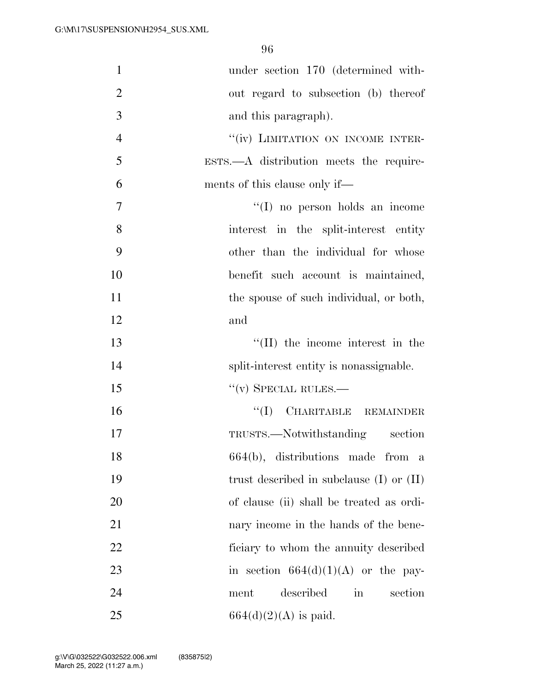| $\mathbf{1}$   | under section 170 (determined with-                 |
|----------------|-----------------------------------------------------|
| $\overline{2}$ | out regard to subsection (b) thereof                |
| 3              | and this paragraph).                                |
| $\overline{4}$ | "(iv) LIMITATION ON INCOME INTER-                   |
| 5              | $ESTS. - A$ distribution meets the require-         |
| 6              | ments of this clause only if—                       |
| 7              | $\lq\lq$ (I) no person holds an income              |
| 8              | interest in the split-interest entity               |
| 9              | other than the individual for whose                 |
| 10             | benefit such account is maintained,                 |
| 11             | the spouse of such individual, or both,             |
| 12             | and                                                 |
| 13             | $\lq\lq$ (II) the income interest in the            |
| 14             | split-interest entity is nonassignable.             |
| 15             | $``(v)$ SPECIAL RULES.—                             |
| 16             | "(I) CHARITABLE REMAINDER                           |
| 17             | TRUSTS.—Notwithstanding section                     |
| 18             | 664(b), distributions made from a                   |
| 19             | trust described in subclause $(I)$ or $(II)$        |
| 20             | of clause (ii) shall be treated as ordi-            |
| 21             | nary income in the hands of the bene-               |
| 22             | ficiary to whom the annuity described               |
| 23             | in section $664(d)(1)(A)$ or the pay-               |
| 24             | described<br>$\operatorname{in}$<br>section<br>ment |
| 25             | $664(d)(2)(A)$ is paid.                             |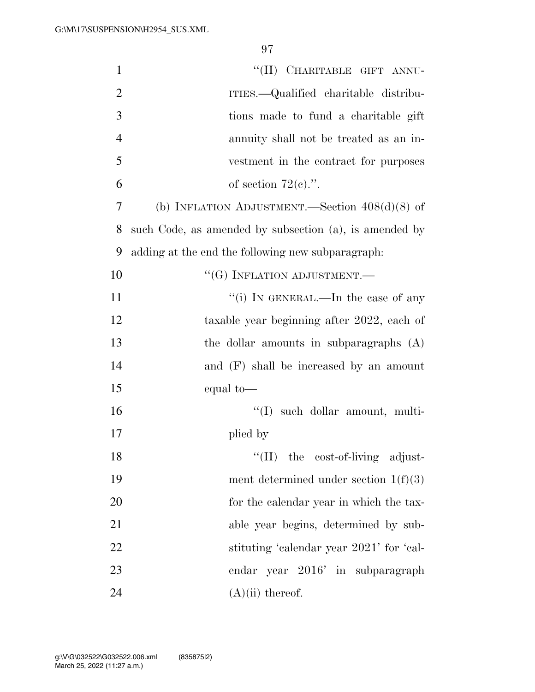| $\mathbf{1}$   | "(II) CHARITABLE GIFT ANNU-                            |
|----------------|--------------------------------------------------------|
|                |                                                        |
| $\overline{2}$ | ITIES.—Qualified charitable distribu-                  |
| 3              | tions made to fund a charitable gift                   |
| $\overline{4}$ | annuity shall not be treated as an in-                 |
| 5              | vestment in the contract for purposes                  |
| 6              | of section $72(e)$ .".                                 |
| 7              | (b) INFLATION ADJUSTMENT.—Section $408(d)(8)$ of       |
| 8              | such Code, as amended by subsection (a), is amended by |
| 9              | adding at the end the following new subparagraph:      |
| 10             | $``(G)$ INFLATION ADJUSTMENT.—                         |
| 11             | "(i) IN GENERAL.—In the case of any                    |
| 12             | taxable year beginning after 2022, each of             |
| 13             | the dollar amounts in subparagraphs (A)                |
| 14             | and (F) shall be increased by an amount                |
| 15             | equal to-                                              |
| 16             | "(I) such dollar amount, multi-                        |
| 17             | plied by                                               |
| 18             | ``(II)<br>the cost-of-living adjust-                   |
| 19             | ment determined under section $1(f)(3)$                |
| 20             | for the calendar year in which the tax-                |
| 21             | able year begins, determined by sub-                   |
| 22             | stituting 'calendar year 2021' for 'cal-               |
| 23             | endar year 2016' in subparagraph                       |
| 24             | $(A)(ii)$ thereof.                                     |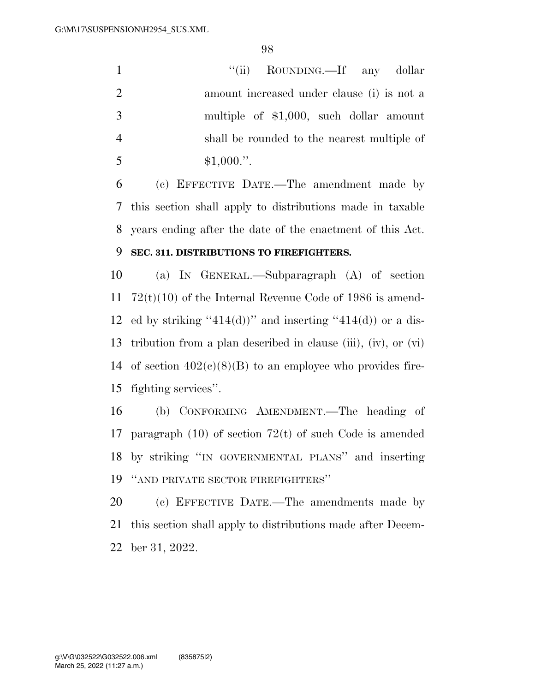1 ''(ii) ROUNDING.—If any dollar amount increased under clause (i) is not a multiple of \$1,000, such dollar amount shall be rounded to the nearest multiple of  $$1,000."$ 

 (c) EFFECTIVE DATE.—The amendment made by this section shall apply to distributions made in taxable years ending after the date of the enactment of this Act.

### **SEC. 311. DISTRIBUTIONS TO FIREFIGHTERS.**

 (a) IN GENERAL.—Subparagraph (A) of section 72(t)(10) of the Internal Revenue Code of 1986 is amend-12 ed by striking "414(d))" and inserting "414(d)) or a dis- tribution from a plan described in clause (iii), (iv), or (vi) 14 of section  $402(c)(8)(B)$  to an employee who provides fire-fighting services''.

 (b) CONFORMING AMENDMENT.—The heading of paragraph (10) of section 72(t) of such Code is amended by striking ''IN GOVERNMENTAL PLANS'' and inserting ''AND PRIVATE SECTOR FIREFIGHTERS''

 (c) EFFECTIVE DATE.—The amendments made by this section shall apply to distributions made after Decem-ber 31, 2022.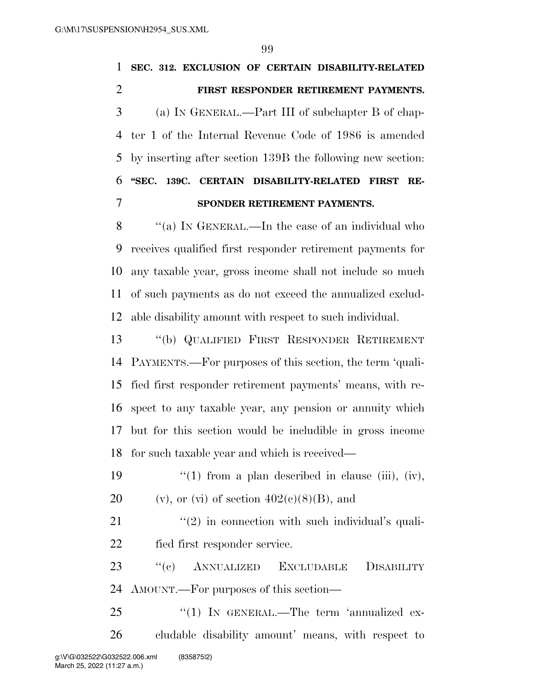| $\mathbf{1}$   | SEC. 312. EXCLUSION OF CERTAIN DISABILITY-RELATED             |
|----------------|---------------------------------------------------------------|
| $\overline{2}$ | FIRST RESPONDER RETIREMENT PAYMENTS.                          |
| 3              | (a) IN GENERAL.—Part III of subchapter B of chap-             |
| 4              | ter 1 of the Internal Revenue Code of 1986 is amended         |
| 5              | by inserting after section 139B the following new section:    |
| 6              | "SEC. 139C. CERTAIN DISABILITY-RELATED<br><b>FIRST</b><br>RE- |
| 7              | SPONDER RETIREMENT PAYMENTS.                                  |
| 8              | "(a) IN GENERAL.—In the case of an individual who             |
| 9              | receives qualified first responder retirement payments for    |
| 10             | any taxable year, gross income shall not include so much      |
| 11             | of such payments as do not exceed the annualized exclud-      |
| 12             | able disability amount with respect to such individual.       |
| 13             | "(b) QUALIFIED FIRST RESPONDER RETIREMENT                     |
| 14             | PAYMENTS.—For purposes of this section, the term 'quali-      |
| 15             | fied first responder retirement payments' means, with re-     |
| 16             | spect to any taxable year, any pension or annuity which       |
| 17             | but for this section would be includible in gross income      |
|                | 18 for such taxable year and which is received-               |
| 19             | "(1) from a plan described in clause (iii), (iv),             |
| 20             | (v), or (vi) of section $402(e)(8)(B)$ , and                  |
| 21             | $\lq(2)$ in connection with such individual's quali-          |
| 22             | fied first responder service.                                 |
| 23             | "(c) ANNUALIZED EXCLUDABLE<br><b>DISABILITY</b>               |
| 24             | AMOUNT.—For purposes of this section—                         |
| 25             | "(1) IN GENERAL.—The term 'annualized ex-                     |
| 26             | cludable disability amount' means, with respect to            |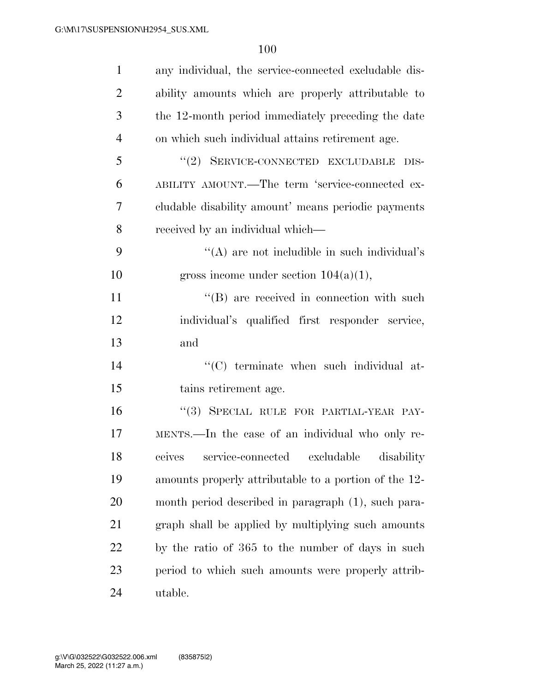| $\mathbf{1}$   | any individual, the service-connected excludable dis- |
|----------------|-------------------------------------------------------|
| $\overline{2}$ | ability amounts which are properly attributable to    |
| 3              | the 12-month period immediately preceding the date    |
| $\overline{4}$ | on which such individual attains retirement age.      |
| 5              | "(2) SERVICE-CONNECTED EXCLUDABLE DIS-                |
| 6              | ABILITY AMOUNT.—The term 'service-connected ex-       |
| 7              | cludable disability amount' means periodic payments   |
| 8              | received by an individual which—                      |
| 9              | "(A) are not includible in such individual's          |
| 10             | gross income under section $104(a)(1)$ ,              |
| 11             | $\lq\lq (B)$ are received in connection with such     |
| 12             | individual's qualified first responder service,       |
| 13             | and                                                   |
| 14             | "(C) terminate when such individual at-               |
| 15             | tains retirement age.                                 |
| 16             | "(3) SPECIAL RULE FOR PARTIAL-YEAR PAY-               |
| 17             | MENTS.—In the case of an individual who only re-      |
| 18             | ceives service-connected excludable disability        |
| 19             | amounts properly attributable to a portion of the 12- |
| 20             | month period described in paragraph (1), such para-   |
| 21             | graph shall be applied by multiplying such amounts    |
| 22             | by the ratio of 365 to the number of days in such     |
| 23             | period to which such amounts were properly attrib-    |
| 24             | utable.                                               |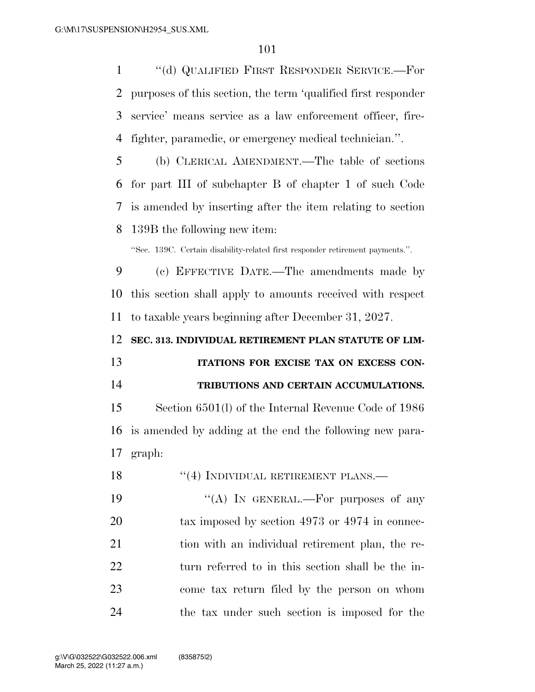''(d) QUALIFIED FIRST RESPONDER SERVICE.—For purposes of this section, the term 'qualified first responder service' means service as a law enforcement officer, fire-fighter, paramedic, or emergency medical technician.''.

 (b) CLERICAL AMENDMENT.—The table of sections for part III of subchapter B of chapter 1 of such Code is amended by inserting after the item relating to section 139B the following new item:

''Sec. 139C. Certain disability-related first responder retirement payments.''.

 (c) EFFECTIVE DATE.—The amendments made by this section shall apply to amounts received with respect to taxable years beginning after December 31, 2027.

**SEC. 313. INDIVIDUAL RETIREMENT PLAN STATUTE OF LIM-**

 **ITATIONS FOR EXCISE TAX ON EXCESS CON-TRIBUTIONS AND CERTAIN ACCUMULATIONS.** 

 Section 6501(l) of the Internal Revenue Code of 1986 is amended by adding at the end the following new para-graph:

18 "(4) INDIVIDUAL RETIREMENT PLANS.—

 $((A)$  In GENERAL.—For purposes of any 20 tax imposed by section 4973 or 4974 in connec-21 tion with an individual retirement plan, the re- turn referred to in this section shall be the in- come tax return filed by the person on whom the tax under such section is imposed for the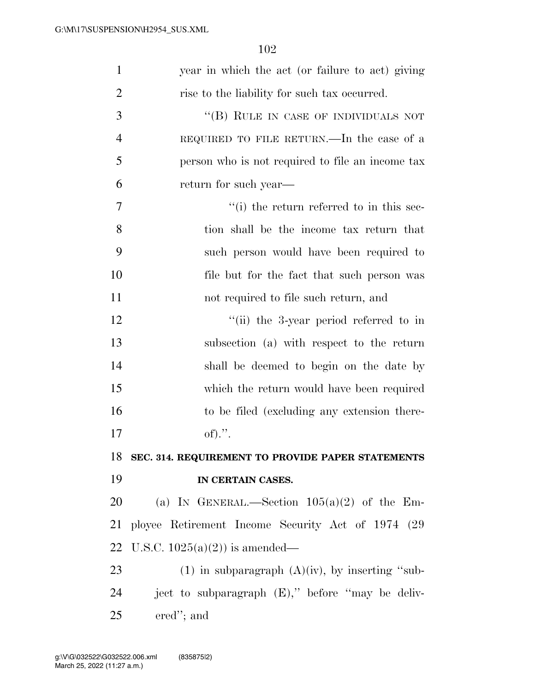| $\mathbf{1}$   | year in which the act (or failure to act) giving     |
|----------------|------------------------------------------------------|
| $\overline{2}$ | rise to the liability for such tax occurred.         |
| 3              | "(B) RULE IN CASE OF INDIVIDUALS NOT                 |
| $\overline{4}$ | REQUIRED TO FILE RETURN.—In the case of a            |
| 5              | person who is not required to file an income tax     |
| 6              | return for such year—                                |
| 7              | "(i) the return referred to in this sec-             |
| 8              | tion shall be the income tax return that             |
| 9              | such person would have been required to              |
| 10             | file but for the fact that such person was           |
| 11             | not required to file such return, and                |
| 12             | "(ii) the 3-year period referred to in               |
| 13             | subsection (a) with respect to the return            |
| 14             | shall be deemed to begin on the date by              |
| 15             | which the return would have been required            |
| 16             | to be filed (excluding any extension there-          |
| 17             | of).".                                               |
| 18             | SEC. 314. REQUIREMENT TO PROVIDE PAPER STATEMENTS    |
| 19             | IN CERTAIN CASES.                                    |
| 20             | (a) IN GENERAL.—Section $105(a)(2)$ of the Em-       |
| 21             | ployee Retirement Income Security Act of 1974 (29)   |
| 22             | U.S.C. $1025(a)(2)$ is amended—                      |
| 23             | $(1)$ in subparagraph $(A)(iv)$ , by inserting "sub- |
| 24             | ject to subparagraph (E)," before "may be deliv-     |
| 25             | ered"; and                                           |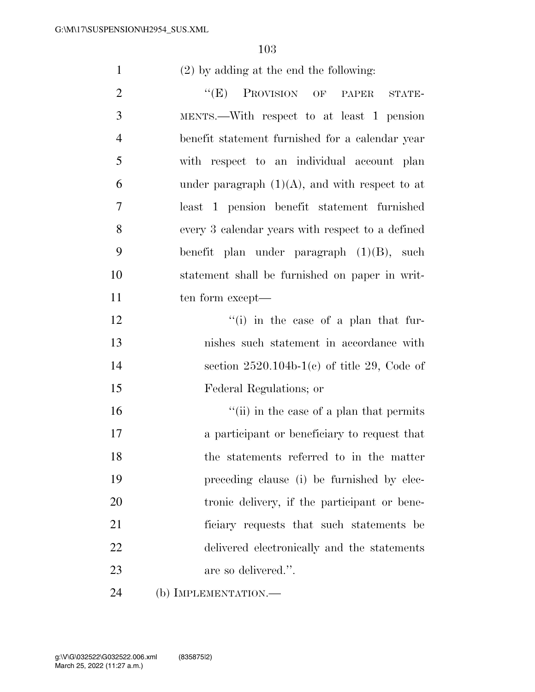(2) by adding at the end the following:

2 "(E) PROVISION OF PAPER STATE- MENTS.—With respect to at least 1 pension benefit statement furnished for a calendar year with respect to an individual account plan 6 under paragraph  $(1)(A)$ , and with respect to at least 1 pension benefit statement furnished every 3 calendar years with respect to a defined benefit plan under paragraph (1)(B), such statement shall be furnished on paper in writ-11 ten form except— 12 ''(i) in the case of a plan that fur- nishes such statement in accordance with section 2520.104b-1(c) of title 29, Code of Federal Regulations; or 16 ''(ii) in the case of a plan that permits a participant or beneficiary to request that the statements referred to in the matter preceding clause (i) be furnished by elec- tronic delivery, if the participant or bene- ficiary requests that such statements be delivered electronically and the statements

- are so delivered.''.
- (b) IMPLEMENTATION.—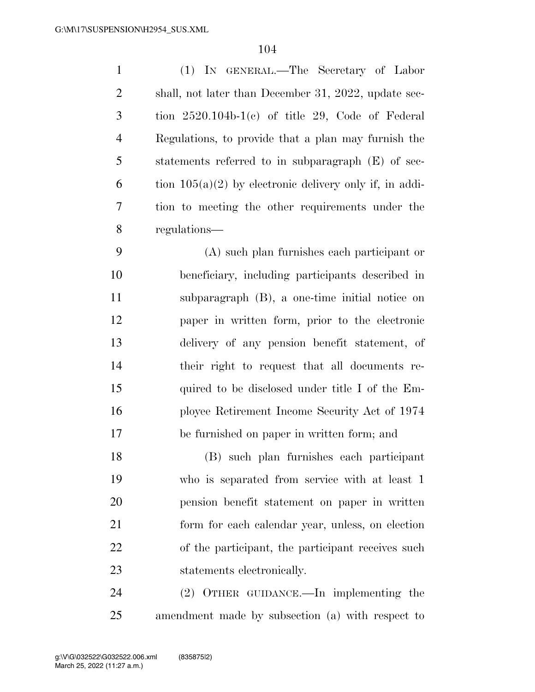| $\mathbf{1}$   | (1) IN GENERAL.—The Secretary of Labor                    |
|----------------|-----------------------------------------------------------|
| $\overline{2}$ | shall, not later than December 31, 2022, update sec-      |
| 3              | tion $2520.104b-1(c)$ of title 29, Code of Federal        |
| $\overline{4}$ | Regulations, to provide that a plan may furnish the       |
| 5              | statements referred to in subparagraph (E) of sec-        |
| 6              | tion $105(a)(2)$ by electronic delivery only if, in addi- |
| 7              | tion to meeting the other requirements under the          |
| 8              | regulations—                                              |
|                |                                                           |

 (A) such plan furnishes each participant or beneficiary, including participants described in subparagraph (B), a one-time initial notice on paper in written form, prior to the electronic delivery of any pension benefit statement, of their right to request that all documents re- quired to be disclosed under title I of the Em- ployee Retirement Income Security Act of 1974 be furnished on paper in written form; and

 (B) such plan furnishes each participant who is separated from service with at least 1 pension benefit statement on paper in written form for each calendar year, unless, on election of the participant, the participant receives such statements electronically.

 (2) OTHER GUIDANCE.—In implementing the amendment made by subsection (a) with respect to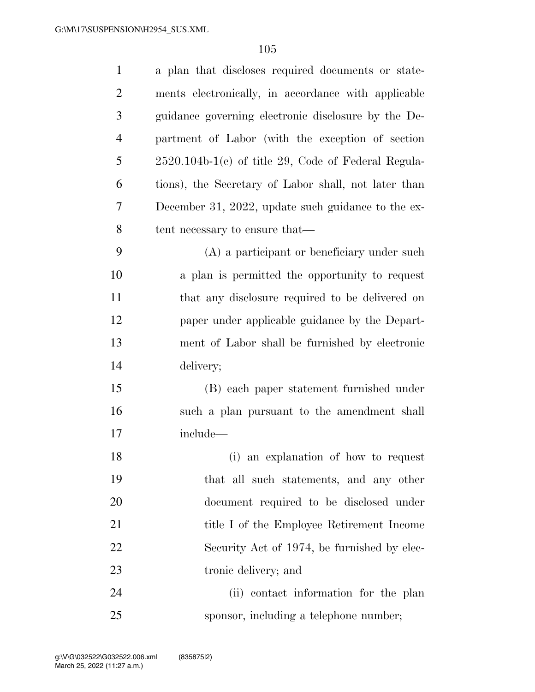| $\mathbf{1}$   | a plan that discloses required documents or state-    |
|----------------|-------------------------------------------------------|
| $\overline{2}$ | ments electronically, in accordance with applicable   |
| 3              | guidance governing electronic disclosure by the De-   |
| $\overline{4}$ | partment of Labor (with the exception of section      |
| 5              | $2520.104b-1(c)$ of title 29, Code of Federal Regula- |
| 6              | tions), the Secretary of Labor shall, not later than  |
| 7              | December 31, 2022, update such guidance to the ex-    |
| 8              | tent necessary to ensure that—                        |
| 9              | (A) a participant or beneficiary under such           |
| 10             | a plan is permitted the opportunity to request        |
| 11             | that any disclosure required to be delivered on       |
| 12             | paper under applicable guidance by the Depart-        |
| 13             | ment of Labor shall be furnished by electronic        |
| 14             | delivery;                                             |
| 15             | (B) each paper statement furnished under              |
| 16             | such a plan pursuant to the amendment shall           |
| 17             | include—                                              |
| 18             | (i) an explanation of how to request                  |
| 19             | that all such statements, and any other               |
| 20             | document required to be disclosed under               |
| 21             | title I of the Employee Retirement Income             |
| 22             | Security Act of 1974, be furnished by elec-           |
| 23             | tronic delivery; and                                  |
| 24             | (ii) contact information for the plan                 |
| 25             | sponsor, including a telephone number;                |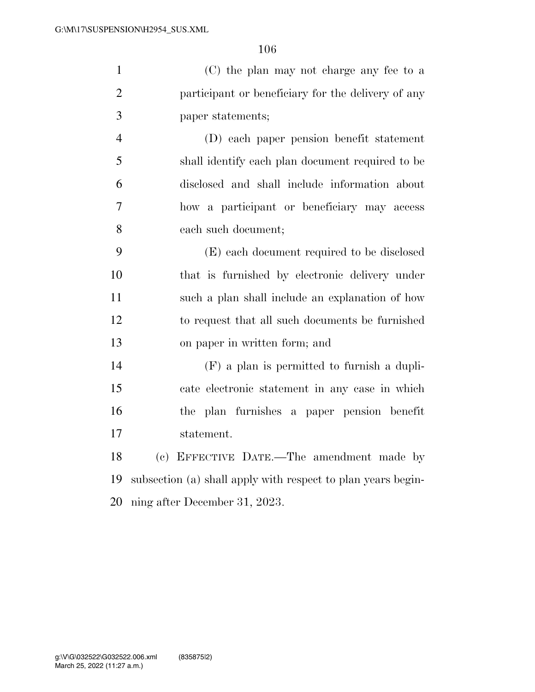|               | (C) the plan may not charge any fee to a           |
|---------------|----------------------------------------------------|
|               | participant or beneficiary for the delivery of any |
| $\mathcal{R}$ | paper statements;                                  |

 (D) each paper pension benefit statement shall identify each plan document required to be disclosed and shall include information about how a participant or beneficiary may access each such document;

 (E) each document required to be disclosed that is furnished by electronic delivery under such a plan shall include an explanation of how to request that all such documents be furnished on paper in written form; and

 (F) a plan is permitted to furnish a dupli- cate electronic statement in any case in which the plan furnishes a paper pension benefit statement.

 (c) EFFECTIVE DATE.—The amendment made by subsection (a) shall apply with respect to plan years begin-ning after December 31, 2023.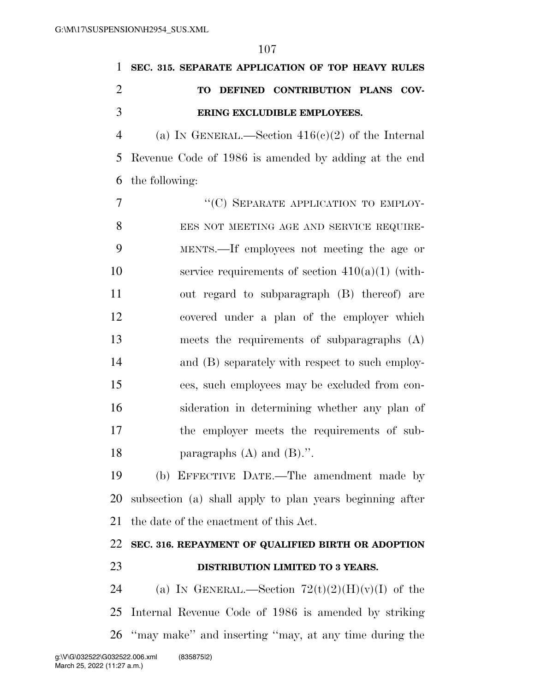| 1              | SEC. 315. SEPARATE APPLICATION OF TOP HEAVY RULES        |
|----------------|----------------------------------------------------------|
| $\overline{2}$ | DEFINED CONTRIBUTION PLANS COV-<br><b>TO</b>             |
| 3              | ERING EXCLUDIBLE EMPLOYEES.                              |
| 4              | (a) IN GENERAL.—Section $416(c)(2)$ of the Internal      |
| 5              | Revenue Code of 1986 is amended by adding at the end     |
| 6              | the following:                                           |
| 7              | "(C) SEPARATE APPLICATION TO EMPLOY-                     |
| 8              | EES NOT MEETING AGE AND SERVICE REQUIRE-                 |
| 9              | MENTS.—If employees not meeting the age or               |
| 10             | service requirements of section $410(a)(1)$ (with-       |
| 11             | out regard to subparagraph (B) thereof) are              |
| 12             | covered under a plan of the employer which               |
| 13             | meets the requirements of subparagraphs $(A)$            |
| 14             | and (B) separately with respect to such employ-          |
| 15             | ees, such employees may be excluded from con-            |
| 16             | sideration in determining whether any plan of            |
| 17             | the employer meets the requirements of sub-              |
| 18             | paragraphs $(A)$ and $(B)$ .".                           |
| 19             | (b) EFFECTIVE DATE.—The amendment made by                |
| 20             | subsection (a) shall apply to plan years beginning after |
| 21             | the date of the enactment of this Act.                   |
| 22             | SEC. 316. REPAYMENT OF QUALIFIED BIRTH OR ADOPTION       |
| 23             | DISTRIBUTION LIMITED TO 3 YEARS.                         |
| 24             | (a) IN GENERAL.—Section $72(t)(2)(H)(v)(I)$ of the       |
| 25             | Internal Revenue Code of 1986 is amended by striking     |
| 26             | "may make" and inserting "may, at any time during the    |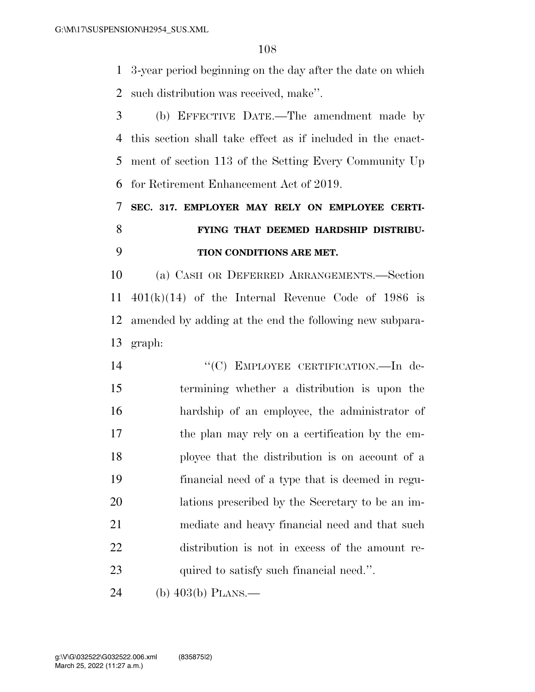3-year period beginning on the day after the date on which such distribution was received, make''.

 (b) EFFECTIVE DATE.—The amendment made by this section shall take effect as if included in the enact- ment of section 113 of the Setting Every Community Up for Retirement Enhancement Act of 2019.

 **SEC. 317. EMPLOYER MAY RELY ON EMPLOYEE CERTI- FYING THAT DEEMED HARDSHIP DISTRIBU-TION CONDITIONS ARE MET.** 

 (a) CASH OR DEFERRED ARRANGEMENTS.—Section  $401(k)(14)$  of the Internal Revenue Code of 1986 is amended by adding at the end the following new subpara-graph:

14 "(C) EMPLOYEE CERTIFICATION.—In de- termining whether a distribution is upon the hardship of an employee, the administrator of the plan may rely on a certification by the em- ployee that the distribution is on account of a financial need of a type that is deemed in regu- lations prescribed by the Secretary to be an im- mediate and heavy financial need and that such distribution is not in excess of the amount re-23 quired to satisfy such financial need.".

(b) 403(b) PLANS.—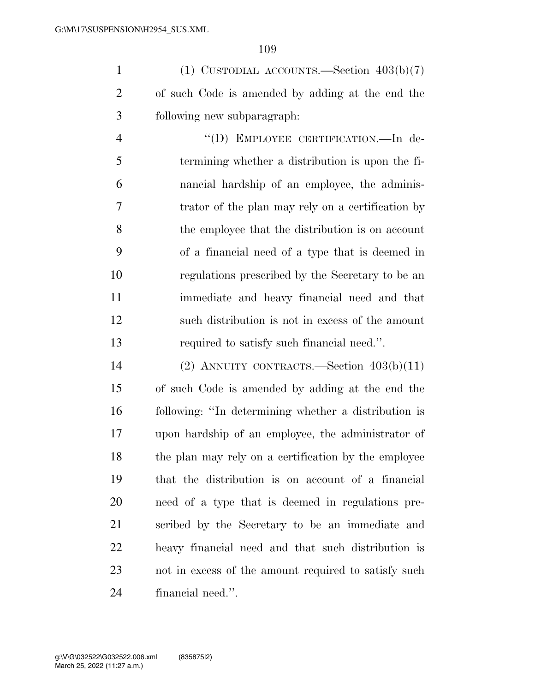1 (1) CUSTODIAL ACCOUNTS.—Section  $403(b)(7)$  of such Code is amended by adding at the end the following new subparagraph:

 ''(D) EMPLOYEE CERTIFICATION.—In de- termining whether a distribution is upon the fi- nancial hardship of an employee, the adminis- trator of the plan may rely on a certification by the employee that the distribution is on account of a financial need of a type that is deemed in regulations prescribed by the Secretary to be an immediate and heavy financial need and that such distribution is not in excess of the amount required to satisfy such financial need.''.

 (2) ANNUITY CONTRACTS.—Section 403(b)(11) of such Code is amended by adding at the end the following: ''In determining whether a distribution is upon hardship of an employee, the administrator of the plan may rely on a certification by the employee that the distribution is on account of a financial need of a type that is deemed in regulations pre- scribed by the Secretary to be an immediate and heavy financial need and that such distribution is not in excess of the amount required to satisfy such financial need.''.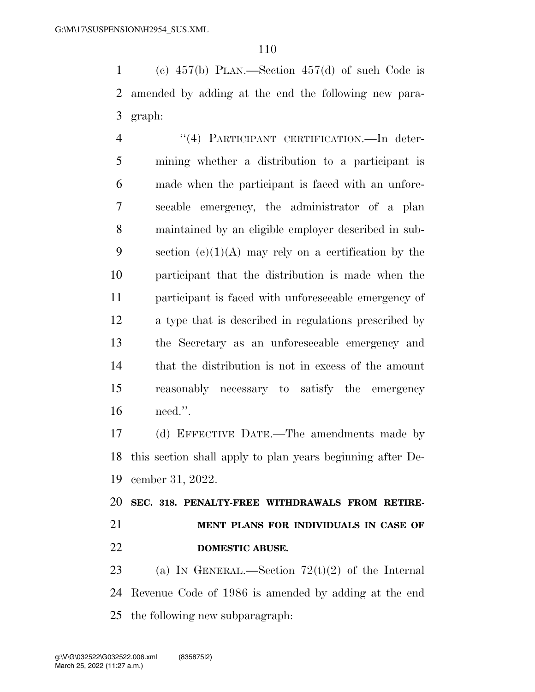(c) 457(b) PLAN.—Section 457(d) of such Code is amended by adding at the end the following new para-graph:

4 "(4) PARTICIPANT CERTIFICATION.—In deter- mining whether a distribution to a participant is made when the participant is faced with an unfore- seeable emergency, the administrator of a plan maintained by an eligible employer described in sub-9 section  $(e)(1)(A)$  may rely on a certification by the participant that the distribution is made when the participant is faced with unforeseeable emergency of a type that is described in regulations prescribed by the Secretary as an unforeseeable emergency and that the distribution is not in excess of the amount reasonably necessary to satisfy the emergency need.''.

 (d) EFFECTIVE DATE.—The amendments made by this section shall apply to plan years beginning after De-cember 31, 2022.

 **SEC. 318. PENALTY-FREE WITHDRAWALS FROM RETIRE- MENT PLANS FOR INDIVIDUALS IN CASE OF DOMESTIC ABUSE.** 

23 (a) IN GENERAL.—Section  $72(t)(2)$  of the Internal Revenue Code of 1986 is amended by adding at the end the following new subparagraph: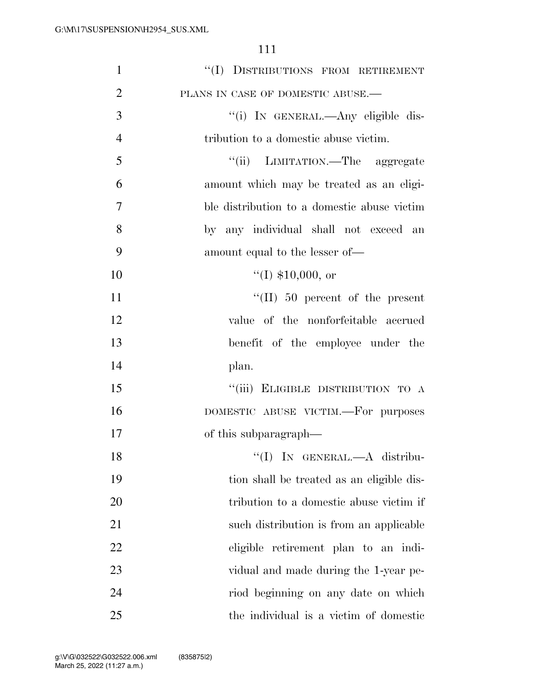| $\mathbf{1}$   | "(I) DISTRIBUTIONS FROM RETIREMENT          |
|----------------|---------------------------------------------|
| $\overline{2}$ | PLANS IN CASE OF DOMESTIC ABUSE.-           |
| 3              | "(i) IN GENERAL.—Any eligible dis-          |
| $\overline{4}$ | tribution to a domestic abuse victim.       |
| 5              | "(ii) LIMITATION.—The aggregate             |
| 6              | amount which may be treated as an eligi-    |
| $\overline{7}$ | ble distribution to a domestic abuse victim |
| 8              | by any individual shall not exceed an       |
| 9              | amount equal to the lesser of—              |
| 10             | $(1)$ \$10,000, or                          |
| 11             | $\lq\lq$ (II) 50 percent of the present     |
| 12             | value of the nonforfeitable accrued         |
| 13             | benefit of the employee under the           |
| 14             | plan.                                       |
| 15             | "(iii) ELIGIBLE DISTRIBUTION TO A           |
| 16             | DOMESTIC ABUSE VICTIM.—For purposes         |
| 17             | of this subparagraph—                       |
| 18             | "(I) IN GENERAL.-A distribu-                |
| 19             | tion shall be treated as an eligible dis-   |
| 20             | tribution to a domestic abuse victim if     |
| 21             | such distribution is from an applicable     |
| 22             | eligible retirement plan to an indi-        |
| 23             | vidual and made during the 1-year pe-       |
| 24             | riod beginning on any date on which         |
| 25             | the individual is a victim of domestic      |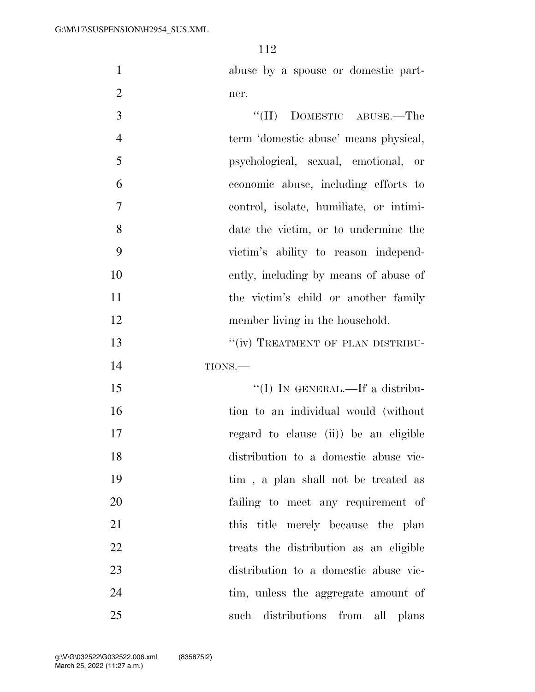abuse by a spouse or domestic part-ner.

| 3              | $``(II)$ DOMESTIC ABUSE.—The            |
|----------------|-----------------------------------------|
| $\overline{4}$ | term 'domestic abuse' means physical,   |
| 5              | psychological, sexual, emotional, or    |
| 6              | economic abuse, including efforts to    |
| 7              | control, isolate, humiliate, or intimi- |
| 8              | date the victim, or to undermine the    |
| 9              | victim's ability to reason independ-    |
| 10             | ently, including by means of abuse of   |
| 11             | the victim's child or another family    |
| 12             | member living in the household.         |
| 13             | "(iv) TREATMENT OF PLAN DISTRIBU-       |
| 14             | TIONS.                                  |
| 15             | "(I) IN GENERAL.—If a distribu-         |
| 16             | tion to an individual would (without    |
| 17             | regard to clause (ii)) be an eligible   |
| 18             | distribution to a domestic abuse vic-   |
| 19             | tim, a plan shall not be treated as     |
| 20             | failing to meet any requirement of      |
| 21             | this title merely because the plan      |
| 22             | treats the distribution as an eligible  |
| 23             | distribution to a domestic abuse vic-   |
| 24             | tim, unless the aggregate amount of     |
| 25             | distributions from<br>such<br>all plans |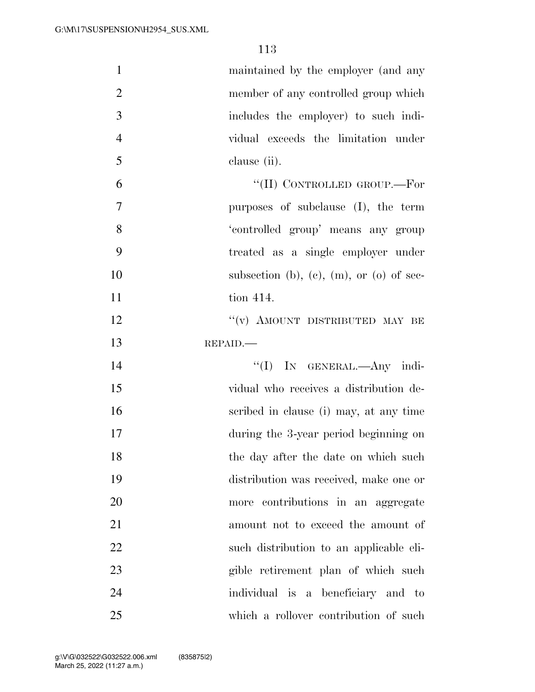| $\mathbf{1}$   | maintained by the employer (and any      |
|----------------|------------------------------------------|
| $\overline{2}$ | member of any controlled group which     |
| 3              | includes the employer) to such indi-     |
| $\overline{4}$ | vidual exceeds the limitation under      |
| 5              | clause (ii).                             |
| 6              | "(II) CONTROLLED GROUP.—For              |
| $\overline{7}$ | purposes of subclause (I), the term      |
| 8              | 'controlled group' means any group       |
| 9              | treated as a single employer under       |
| 10             | subsection (b), (c), (m), or (o) of sec- |
| 11             | tion 414.                                |
| 12             | "(v) AMOUNT DISTRIBUTED MAY BE           |
| 13             | REPAID.                                  |
| 14             | "(I) IN GENERAL.—Any indi-               |
| 15             | vidual who receives a distribution de-   |
| 16             | scribed in clause (i) may, at any time   |
| 17             | during the 3-year period beginning on    |
| 18             | the day after the date on which such     |
| 19             | distribution was received, make one or   |
| 20             | more contributions in an aggregate       |
| 21             | amount not to exceed the amount of       |
| 22             | such distribution to an applicable eli-  |
| 23             | gible retirement plan of which such      |
| 24             | individual is a beneficiary and to       |
| 25             | which a rollover contribution of such    |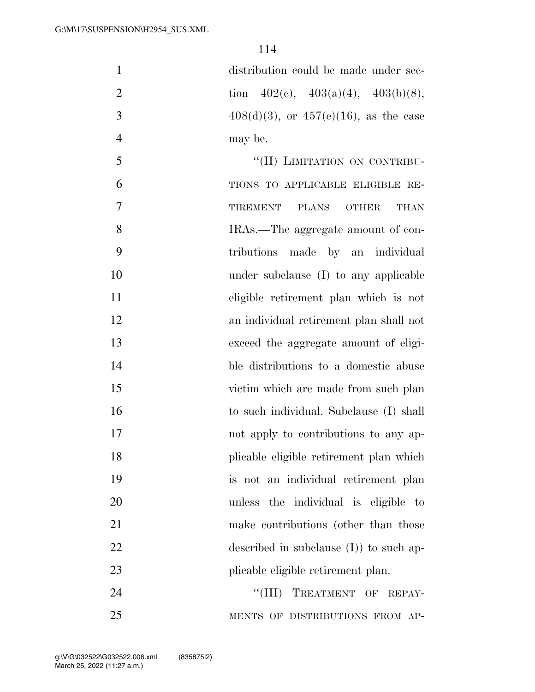| $\mathbf{1}$   | distribution could be made under sec-         |
|----------------|-----------------------------------------------|
| $\overline{2}$ | tion $402(c)$ , $403(a)(4)$ , $403(b)(8)$ ,   |
| 3              | $408(d)(3)$ , or $457(e)(16)$ , as the case   |
| $\overline{4}$ | may be.                                       |
| 5              | "(II) LIMITATION ON CONTRIBU-                 |
| 6              | TIONS TO APPLICABLE ELIGIBLE RE-              |
| 7              | <b>TIREMENT</b><br>PLANS OTHER<br><b>THAN</b> |
| 8              | IRAs.—The aggregate amount of con-            |
| 9              | tributions made by an individual              |
| 10             | under subclause (I) to any applicable         |
| 11             | eligible retirement plan which is not         |
| 12             | an individual retirement plan shall not       |
| 13             | exceed the aggregate amount of eligi-         |
| 14             | ble distributions to a domestic abuse         |
| 15             | victim which are made from such plan          |
| 16             | to such individual. Subclause (I) shall       |
| 17             | not apply to contributions to any ap-         |
| 18             | plicable eligible retirement plan which       |
| 19             | is not an individual retirement plan          |
| 20             | unless the individual is eligible to          |
| 21             | make contributions (other than those          |
| 22             | described in subclause $(I)$ to such ap-      |
| 23             | plicable eligible retirement plan.            |
| 24             | "(III) TREATMENT OF REPAY-                    |
| 25             | MENTS OF DISTRIBUTIONS FROM AP-               |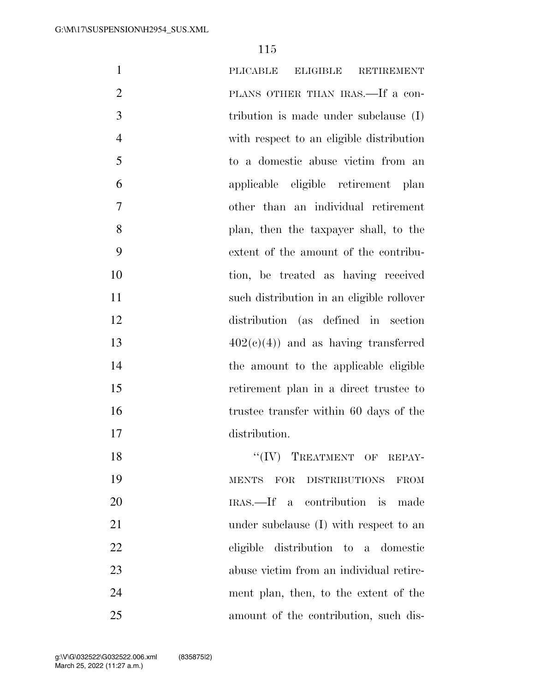| $\mathbf{1}$   | PLICABLE<br><b>ELIGIBLE</b><br><b>RETIREMENT</b>                            |
|----------------|-----------------------------------------------------------------------------|
| $\overline{2}$ | PLANS OTHER THAN IRAS.—If a con-                                            |
| 3              | tribution is made under subclause $(I)$                                     |
| $\overline{4}$ | with respect to an eligible distribution                                    |
| 5              | to a domestic abuse victim from an                                          |
| 6              | applicable eligible retirement plan                                         |
| 7              | other than an individual retirement                                         |
| 8              | plan, then the taxpayer shall, to the                                       |
| 9              | extent of the amount of the contribu-                                       |
| 10             | tion, be treated as having received                                         |
| 11             | such distribution in an eligible rollover                                   |
| 12             | distribution (as defined in section                                         |
| 13             | $402(c)(4)$ and as having transferred                                       |
| 14             | the amount to the applicable eligible                                       |
| 15             | retirement plan in a direct trustee to                                      |
| 16             | trustee transfer within 60 days of the                                      |
| 17             | distribution.                                                               |
| 18             | $``(IV)$ TREATMENT OF REPAY-                                                |
| 19             | <b>DISTRIBUTIONS</b><br>$\operatorname{MENTS}$<br><b>FOR</b><br><b>FROM</b> |
| 20             | IRAS.—If a contribution is made                                             |
| 21             | under subclause (I) with respect to an                                      |
| 22             | eligible distribution to a domestic                                         |
| 23             | abuse victim from an individual retire-                                     |
| 24             | ment plan, then, to the extent of the                                       |
| 25             | amount of the contribution, such dis-                                       |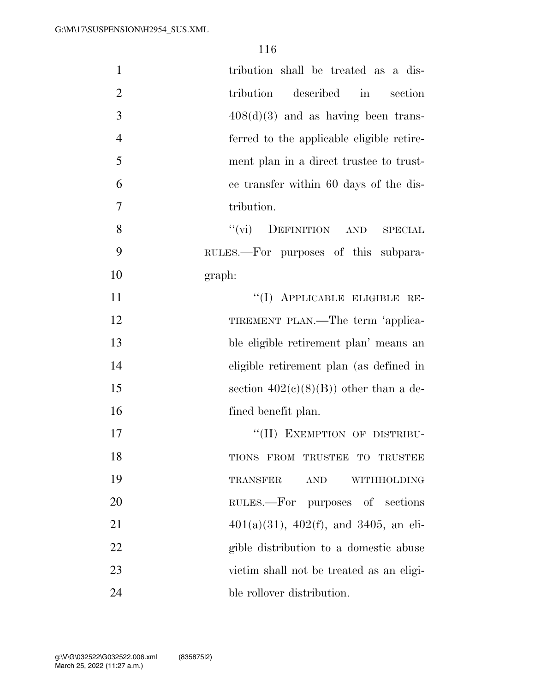| $\mathbf{1}$   | tribution shall be treated as a dis-           |
|----------------|------------------------------------------------|
| $\overline{2}$ | described in<br>tribution<br>section           |
| 3              | $408(d)(3)$ and as having been trans-          |
| $\overline{4}$ | ferred to the applicable eligible retire-      |
| 5              | ment plan in a direct trustee to trust-        |
| 6              | ee transfer within 60 days of the dis-         |
| 7              | tribution.                                     |
| 8              | ``(vi)<br>DEFINITION AND<br><b>SPECIAL</b>     |
| 9              | RULES.—For purposes of this subpara-           |
| 10             | graph:                                         |
| 11             | "(I) APPLICABLE ELIGIBLE RE-                   |
| 12             | TIREMENT PLAN.—The term 'applica-              |
| 13             | ble eligible retirement plan' means an         |
| 14             | eligible retirement plan (as defined in        |
| 15             | section $402(c)(8)(B)$ other than a de-        |
| 16             | fined benefit plan.                            |
| 17             | "(II) EXEMPTION OF DISTRIBU-                   |
| 18             | TIONS FROM TRUSTEE TO TRUSTEE                  |
| 19             | <b>TRANSFER</b><br><b>AND</b><br>WITHHOLDING   |
| 20             | RULES.—For purposes of sections                |
| 21             | $401(a)(31)$ , $402(f)$ , and $3405$ , an eli- |
| 22             | gible distribution to a domestic abuse         |
| 23             | victim shall not be treated as an eligi-       |
| 24             | ble rollover distribution.                     |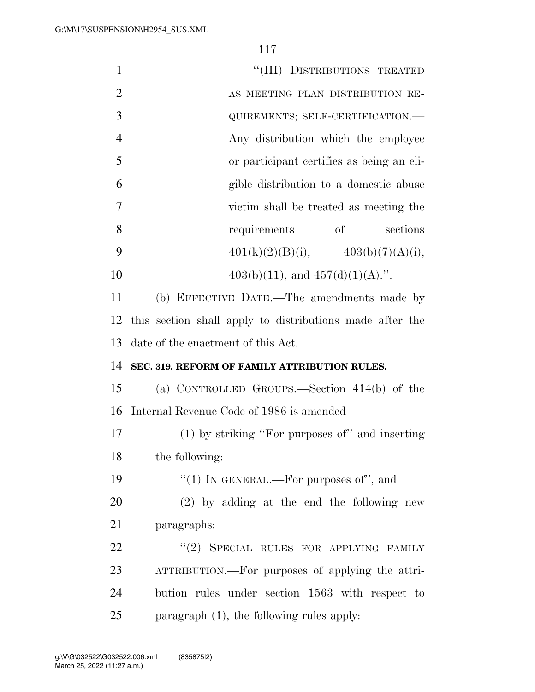| $\mathbf{1}$   | "(III) DISTRIBUTIONS TREATED                             |
|----------------|----------------------------------------------------------|
| $\overline{2}$ | AS MEETING PLAN DISTRIBUTION RE-                         |
| 3              | QUIREMENTS; SELF-CERTIFICATION.-                         |
| $\overline{4}$ | Any distribution which the employee                      |
| 5              | or participant certifies as being an eli-                |
| 6              | gible distribution to a domestic abuse                   |
| $\overline{7}$ | victim shall be treated as meeting the                   |
| 8              | <sub>of</sub><br>requirements<br>sections                |
| 9              | $401(k)(2)(B)(i),$ $403(b)(7)(A)(i),$                    |
| 10             | $403(b)(11)$ , and $457(d)(1)(A)$ .".                    |
| 11             | (b) EFFECTIVE DATE.—The amendments made by               |
| 12             | this section shall apply to distributions made after the |
| 13             | date of the enactment of this Act.                       |
| 14             | SEC. 319. REFORM OF FAMILY ATTRIBUTION RULES.            |
| 15             | (a) CONTROLLED GROUPS.—Section $414(b)$ of the           |
| 16             | Internal Revenue Code of 1986 is amended—                |
| 17             | $(1)$ by striking "For purposes of" and inserting        |
| 18             | the following:                                           |
| 19             | " $(1)$ IN GENERAL.—For purposes of", and                |
| 20             | $(2)$ by adding at the end the following new             |
| 21             | paragraphs:                                              |
| 22             | "(2) SPECIAL RULES FOR APPLYING FAMILY                   |
| 23             | ATTRIBUTION.—For purposes of applying the attri-         |
| 24             | bution rules under section 1563 with respect to          |
| 25             | paragraph $(1)$ , the following rules apply:             |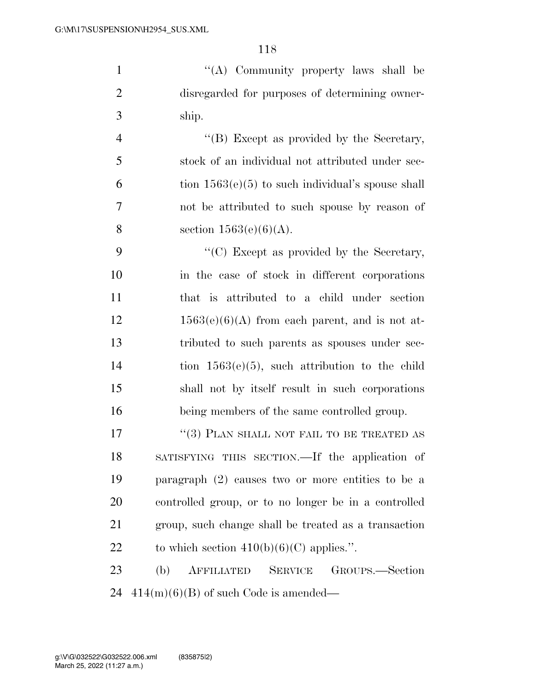''(A) Community property laws shall be disregarded for purposes of determining owner-ship.

4 ''(B) Except as provided by the Secretary, stock of an individual not attributed under sec- $6 \t{ion} 1563(e)(5)$  to such individual's spouse shall not be attributed to such spouse by reason of 8 section  $1563(e)(6)(A)$ .

9 ''(C) Except as provided by the Secretary, in the case of stock in different corporations that is attributed to a child under section  $12 \t 1563(e)(6)(A)$  from each parent, and is not at- tributed to such parents as spouses under sec- tion 1563(e)(5), such attribution to the child shall not by itself result in such corporations being members of the same controlled group.

17 ''(3) PLAN SHALL NOT FAIL TO BE TREATED AS SATISFYING THIS SECTION.—If the application of paragraph (2) causes two or more entities to be a controlled group, or to no longer be in a controlled group, such change shall be treated as a transaction 22 to which section  $410(b)(6)(C)$  applies.".

 (b) AFFILIATED SERVICE GROUPS.—Section 24  $414(m)(6)(B)$  of such Code is amended—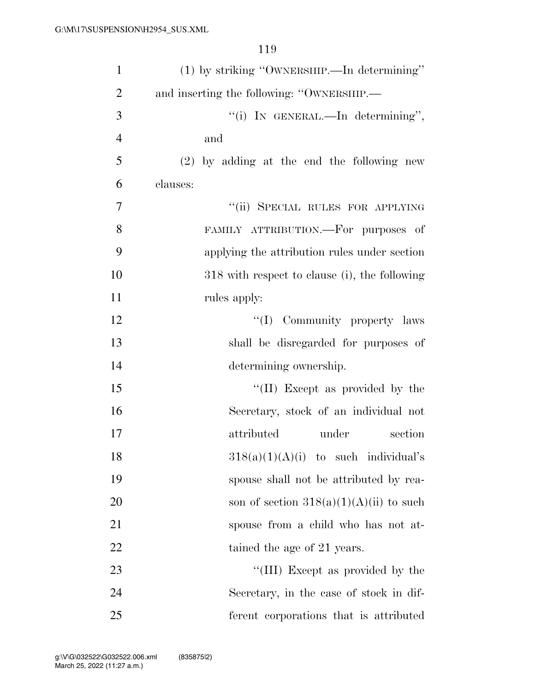| $\mathbf{1}$   | (1) by striking "OWNERSHIP.—In determining"   |
|----------------|-----------------------------------------------|
| $\overline{2}$ | and inserting the following: "OWNERSHIP.—     |
| 3              | "(i) IN GENERAL.—In determining",             |
| $\overline{4}$ | and                                           |
| 5              | $(2)$ by adding at the end the following new  |
| 6              | clauses:                                      |
| 7              | "(ii) SPECIAL RULES FOR APPLYING              |
| 8              | FAMILY ATTRIBUTION.—For purposes of           |
| 9              | applying the attribution rules under section  |
| 10             | 318 with respect to clause (i), the following |
| 11             | rules apply:                                  |
| 12             | "(I) Community property laws                  |
| 13             | shall be disregarded for purposes of          |
| 14             | determining ownership.                        |
| 15             | "(II) Except as provided by the               |
| 16             | Secretary, stock of an individual not         |
| 17             | attributed<br>under<br>section                |
| 18             | $318(a)(1)(A)(i)$ to such individual's        |
| 19             | spouse shall not be attributed by rea-        |
| 20             | son of section $318(a)(1)(A)(ii)$ to such     |
| 21             | spouse from a child who has not at-           |
| 22             | tained the age of 21 years.                   |
| 23             | "(III) Except as provided by the              |
| 24             | Secretary, in the case of stock in dif-       |
| 25             | ferent corporations that is attributed        |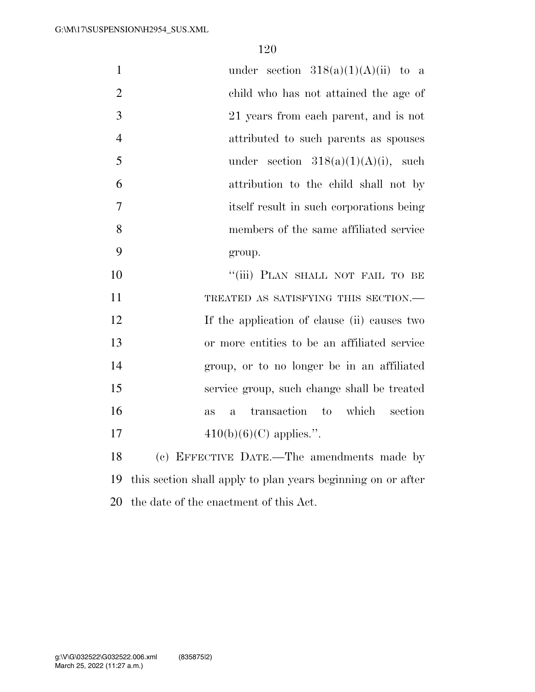| $\mathbf{1}$   | under section $318(a)(1)(A)(ii)$ to a                        |
|----------------|--------------------------------------------------------------|
| $\overline{2}$ | child who has not attained the age of                        |
| 3              | 21 years from each parent, and is not                        |
| $\overline{4}$ | attributed to such parents as spouses                        |
| 5              | under section $318(a)(1)(A)(i)$ , such                       |
| 6              | attribution to the child shall not by                        |
| 7              | itself result in such corporations being                     |
| 8              | members of the same affiliated service                       |
| 9              | group.                                                       |
| 10             | "(iii) PLAN SHALL NOT FAIL TO BE                             |
| 11             | TREATED AS SATISFYING THIS SECTION.-                         |
| 12             | If the application of clause (ii) causes two                 |
| 13             | or more entities to be an affiliated service                 |
| 14             | group, or to no longer be in an affiliated                   |
| 15             | service group, such change shall be treated                  |
| 16             | transaction to which<br>section<br>as<br>$\mathbf{a}$        |
| 17             | $410(b)(6)(C)$ applies.".                                    |
| 18             | (c) EFFECTIVE DATE.—The amendments made by                   |
| 19             | this section shall apply to plan years beginning on or after |

the date of the enactment of this Act.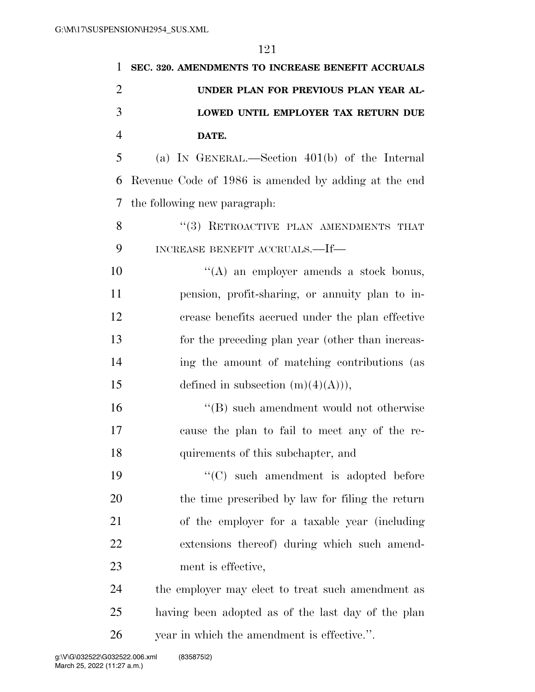| 1              | SEC. 320. AMENDMENTS TO INCREASE BENEFIT ACCRUALS    |
|----------------|------------------------------------------------------|
| $\overline{2}$ | UNDER PLAN FOR PREVIOUS PLAN YEAR AL-                |
| 3              | LOWED UNTIL EMPLOYER TAX RETURN DUE                  |
| $\overline{4}$ | DATE.                                                |
| 5              | (a) IN GENERAL.—Section $401(b)$ of the Internal     |
| 6              | Revenue Code of 1986 is amended by adding at the end |
| 7              | the following new paragraph:                         |
| 8              | "(3) RETROACTIVE PLAN AMENDMENTS THAT                |
| 9              | INCREASE BENEFIT ACCRUALS.—If—                       |
| 10             | "(A) an employer amends a stock bonus,               |
| 11             | pension, profit-sharing, or annuity plan to in-      |
| 12             | crease benefits accrued under the plan effective     |
| 13             | for the preceding plan year (other than increas-     |
| 14             | ing the amount of matching contributions (as         |
| 15             | defined in subsection $(m)(4)(A)),$                  |
| 16             | "(B) such amendment would not otherwise              |
| 17             | cause the plan to fail to meet any of the re-        |
| 18             | quirements of this subchapter, and                   |
| 19             | "(C) such amendment is adopted before                |
| 20             | the time prescribed by law for filing the return     |
| 21             | of the employer for a taxable year (including        |
| 22             | extensions thereof) during which such amend-         |
| 23             | ment is effective,                                   |
| 24             | the employer may elect to treat such amendment as    |
| 25             | having been adopted as of the last day of the plan   |
| 26             | year in which the amendment is effective.".          |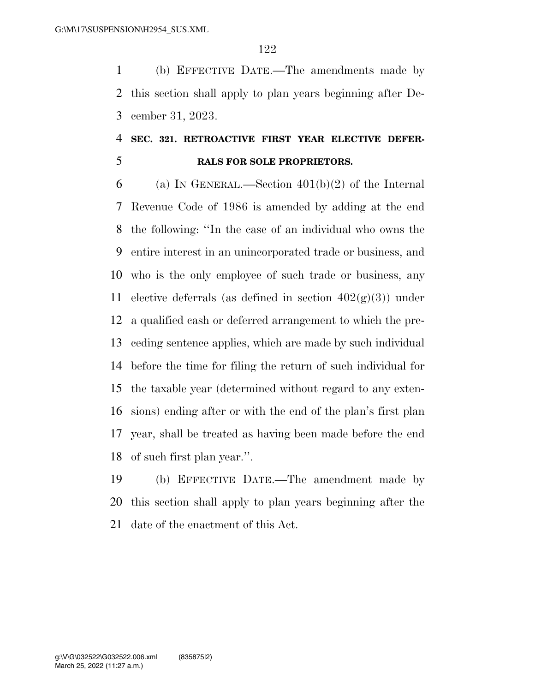(b) EFFECTIVE DATE.—The amendments made by this section shall apply to plan years beginning after De-cember 31, 2023.

## **SEC. 321. RETROACTIVE FIRST YEAR ELECTIVE DEFER-RALS FOR SOLE PROPRIETORS.**

6 (a) IN GENERAL.—Section  $401(b)(2)$  of the Internal Revenue Code of 1986 is amended by adding at the end the following: ''In the case of an individual who owns the entire interest in an unincorporated trade or business, and who is the only employee of such trade or business, any 11 elective deferrals (as defined in section  $402(g)(3)$ ) under a qualified cash or deferred arrangement to which the pre- ceding sentence applies, which are made by such individual before the time for filing the return of such individual for the taxable year (determined without regard to any exten- sions) ending after or with the end of the plan's first plan year, shall be treated as having been made before the end of such first plan year.''.

 (b) EFFECTIVE DATE.—The amendment made by this section shall apply to plan years beginning after the date of the enactment of this Act.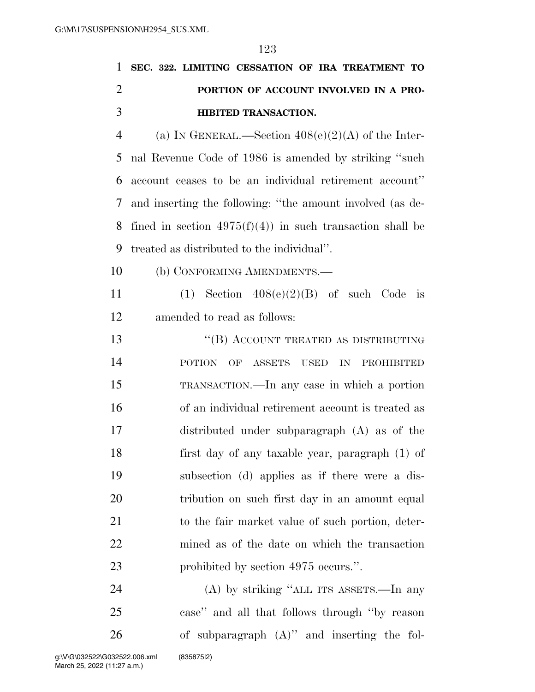|                | 1 SEC. 322. LIMITING CESSATION OF IRA TREATMENT TO      |
|----------------|---------------------------------------------------------|
| 2              | PORTION OF ACCOUNT INVOLVED IN A PRO-                   |
| -3             | <b>HIBITED TRANSACTION.</b>                             |
| $\overline{4}$ | (a) IN GENERAL.—Section $408(e)(2)(A)$ of the Inter-    |
|                | 5 nal Revenue Code of 1986 is amended by striking "such |

 account ceases to be an individual retirement account'' and inserting the following: ''the amount involved (as de-8 fined in section  $4975(f)(4)$  in such transaction shall be treated as distributed to the individual''.

(b) CONFORMING AMENDMENTS.—

11 (1) Section  $408(e)(2)(B)$  of such Code is amended to read as follows:

13 "(B) ACCOUNT TREATED AS DISTRIBUTING POTION OF ASSETS USED IN PROHIBITED TRANSACTION.—In any case in which a portion of an individual retirement account is treated as distributed under subparagraph (A) as of the first day of any taxable year, paragraph (1) of subsection (d) applies as if there were a dis-20 tribution on such first day in an amount equal to the fair market value of such portion, deter- mined as of the date on which the transaction 23 prohibited by section 4975 occurs.".

 (A) by striking ''ALL ITS ASSETS.—In any case'' and all that follows through ''by reason of subparagraph (A)'' and inserting the fol-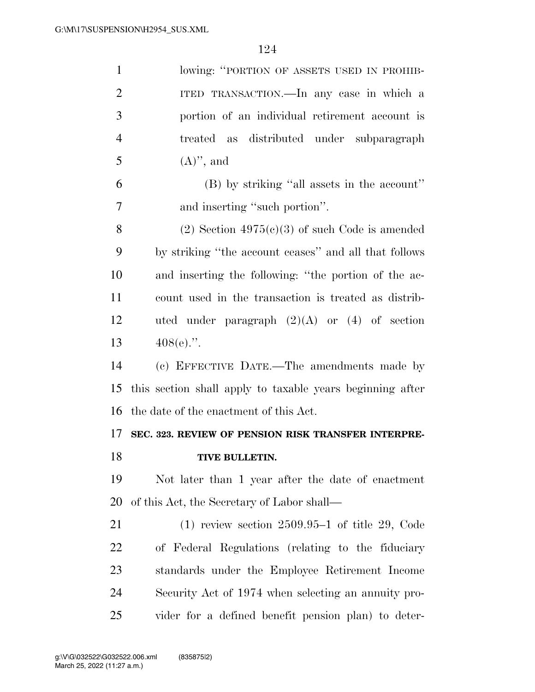| $\mathbf{1}$   | lowing: "PORTION OF ASSETS USED IN PROHIB-                |
|----------------|-----------------------------------------------------------|
| $\overline{2}$ | ITED TRANSACTION.—In any case in which a                  |
| 3              | portion of an individual retirement account is            |
| $\overline{4}$ | treated as distributed under subparagraph                 |
| 5              | $(A)$ , and                                               |
| 6              | (B) by striking "all assets in the account"               |
| 7              | and inserting "such portion".                             |
| 8              | $(2)$ Section 4975 $(e)(3)$ of such Code is amended       |
| 9              | by striking "the account ceases" and all that follows     |
| 10             | and inserting the following: "the portion of the ac-      |
| 11             | count used in the transaction is treated as distrib-      |
| 12             | uted under paragraph $(2)(A)$ or $(4)$ of section         |
| 13             | $408(e)$ .".                                              |
|                |                                                           |
| 14             | (c) EFFECTIVE DATE.—The amendments made by                |
| 15             | this section shall apply to taxable years beginning after |
| 16             | the date of the enactment of this Act.                    |
| 17             | SEC. 323. REVIEW OF PENSION RISK TRANSFER INTERPRE-       |
| 18             | TIVE BULLETIN.                                            |
| 19             | Not later than 1 year after the date of enactment         |
| 20             | of this Act, the Secretary of Labor shall—                |
| 21             | $(1)$ review section 2509.95–1 of title 29, Code          |
| 22             | of Federal Regulations (relating to the fiduciary         |
| 23             | standards under the Employee Retirement Income            |
| 24             | Security Act of 1974 when selecting an annuity pro-       |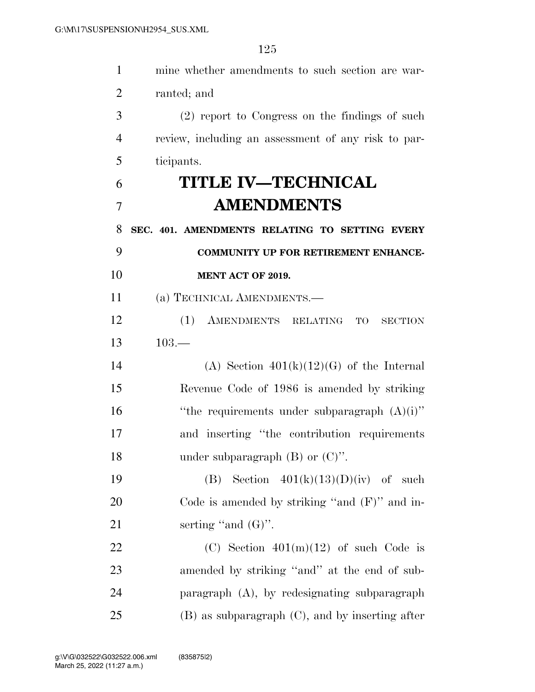| $\mathbf{1}$   | mine whether amendments to such section are war-     |
|----------------|------------------------------------------------------|
| $\overline{2}$ | ranted; and                                          |
| 3              | (2) report to Congress on the findings of such       |
| 4              | review, including an assessment of any risk to par-  |
| 5              | ticipants.                                           |
| 6              | <b>TITLE IV—TECHNICAL</b>                            |
| 7              | <b>AMENDMENTS</b>                                    |
| 8              | SEC. 401. AMENDMENTS RELATING TO SETTING EVERY       |
| 9              | <b>COMMUNITY UP FOR RETIREMENT ENHANCE-</b>          |
| 10             | MENT ACT OF 2019.                                    |
| 11             | (a) TECHNICAL AMENDMENTS.—                           |
| 12             | (1)<br>AMENDMENTS RELATING<br>TO<br><b>SECTION</b>   |
| 13             | $103 -$                                              |
| 14             | (A) Section $401(k)(12)(G)$ of the Internal          |
| 15             | Revenue Code of 1986 is amended by striking          |
| 16             | "the requirements under subparagraph $(A)(i)$ "      |
| 17             | and inserting "the contribution requirements         |
| 18             | under subparagraph $(B)$ or $(C)$ .                  |
| 19             | Section $401(k)(13)(D)(iv)$ of such<br>(B)           |
| 20             | Code is amended by striking "and $(F)$ " and in-     |
| 21             | serting "and $(G)$ ".                                |
| 22             | (C) Section $401(m)(12)$ of such Code is             |
| 23             | amended by striking "and" at the end of sub-         |
| 24             | paragraph (A), by redesignating subparagraph         |
| 25             | $(B)$ as subparagraph $(C)$ , and by inserting after |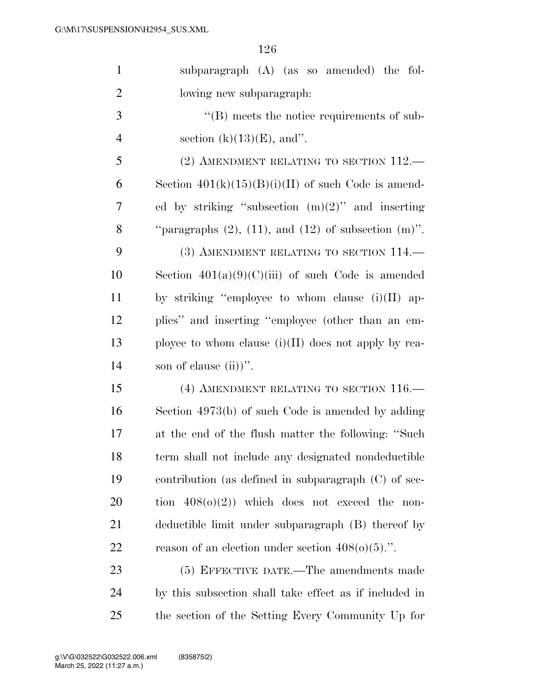| $\mathbf{1}$   | subparagraph (A) (as so amended) the fol-                      |
|----------------|----------------------------------------------------------------|
| $\overline{2}$ | lowing new subparagraph:                                       |
| 3              | $\lq\lq (B)$ meets the notice requirements of sub-             |
| $\overline{4}$ | section $(k)(13)(E)$ , and".                                   |
| 5              | $(2)$ AMENDMENT RELATING TO SECTION $112$ .                    |
| 6              | Section $401(k)(15)(B)(i)(II)$ of such Code is amend-          |
| 7              | ed by striking "subsection $(m)(2)$ " and inserting            |
| 8              | "paragraphs $(2)$ , $(11)$ , and $(12)$ of subsection $(m)$ ". |
| 9              | (3) AMENDMENT RELATING TO SECTION 114.                         |
| 10             | Section $401(a)(9)(C)(iii)$ of such Code is amended            |
| 11             | by striking "employee to whom clause $(i)(II)$ ap-             |
| 12             | plies" and inserting "employee (other than an em-              |
| 13             | ployee to whom clause $(i)(II)$ does not apply by rea-         |
| 14             | son of clause $(ii)$ .                                         |
| 15             | (4) AMENDMENT RELATING TO SECTION $116$ .                      |
| 16             | Section 4973(b) of such Code is amended by adding              |
| 17             | at the end of the flush matter the following: "Such            |
| 18             | term shall not include any designated nondeductible            |
| 19             | contribution (as defined in subparagraph $(C)$ of sec-         |
| 20             | tion $408(0)(2)$ ) which does not exceed the non-              |
| 21             | deductible limit under subparagraph (B) thereof by             |
| 22             | reason of an election under section $408(0)(5)$ .".            |
| 23             | (5) EFFECTIVE DATE.—The amendments made                        |
| 24             | by this subsection shall take effect as if included in         |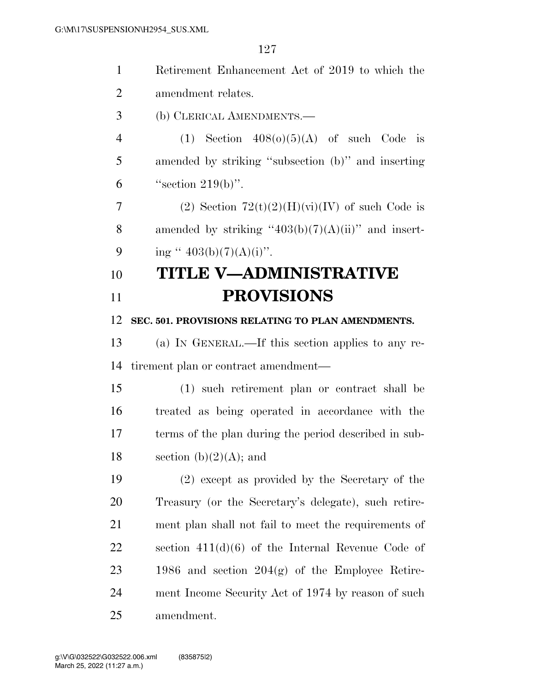| $\mathbf{1}$   | Retirement Enhancement Act of 2019 to which the        |
|----------------|--------------------------------------------------------|
| $\overline{2}$ | amendment relates.                                     |
| 3              | (b) CLERICAL AMENDMENTS.                               |
| $\overline{4}$ | (1) Section $408(0)(5)(A)$ of such Code is             |
| 5              | amended by striking "subsection (b)" and inserting     |
| 6              | "section $219(b)$ ".                                   |
| 7              | (2) Section $72(t)(2)(H)(vi)(IV)$ of such Code is      |
| 8              | amended by striking " $403(b)(7)(A)(ii)$ " and insert- |
| 9              | ing " $403(b)(7)(A)(i)$ ".                             |
| 10             | TITLE V—ADMINISTRATIVE                                 |
| 11             | <b>PROVISIONS</b>                                      |
| 12             | SEC. 501. PROVISIONS RELATING TO PLAN AMENDMENTS.      |
| 13             | (a) IN GENERAL.—If this section applies to any re-     |
| 14             | tirement plan or contract amendment—                   |
| 15             | (1) such retirement plan or contract shall be          |
| 16             | treated as being operated in accordance with the       |
| 17             | terms of the plan during the period described in sub-  |
| 18             | section $(b)(2)(A)$ ; and                              |
| 19             | (2) except as provided by the Secretary of the         |
| 20             | Treasury (or the Secretary's delegate), such retire-   |
| 21             | ment plan shall not fail to meet the requirements of   |
| 22             | section $411(d)(6)$ of the Internal Revenue Code of    |
| 23             | 1986 and section $204(g)$ of the Employee Retire-      |
| 24             | ment Income Security Act of 1974 by reason of such     |
| 25             | amendment.                                             |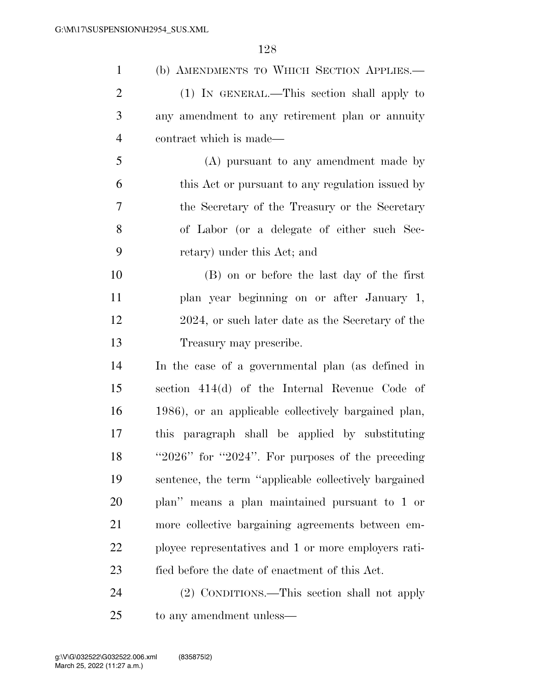| $\mathbf{1}$   | (b) AMENDMENTS TO WHICH SECTION APPLIES.-                |
|----------------|----------------------------------------------------------|
| $\overline{2}$ | (1) IN GENERAL.—This section shall apply to              |
| 3              | any amendment to any retirement plan or annuity          |
| $\overline{4}$ | contract which is made—                                  |
| 5              | (A) pursuant to any amendment made by                    |
| 6              | this Act or pursuant to any regulation issued by         |
| 7              | the Secretary of the Treasury or the Secretary           |
| 8              | of Labor (or a delegate of either such Sec-              |
| 9              | retary) under this Act; and                              |
| 10             | (B) on or before the last day of the first               |
| 11             | plan year beginning on or after January 1,               |
| 12             | 2024, or such later date as the Secretary of the         |
| 13             | Treasury may prescribe.                                  |
| 14             | In the case of a governmental plan (as defined in        |
| 15             | section 414(d) of the Internal Revenue Code of           |
| 16             | 1986), or an applicable collectively bargained plan,     |
| 17             | this paragraph shall be applied by substituting          |
| 18             | " $2026$ " for " $2024$ ". For purposes of the preceding |
| 19             | sentence, the term "applicable collectively bargained    |
| 20             | plan" means a plan maintained pursuant to 1 or           |
| 21             | more collective bargaining agreements between em-        |
| 22             | ployee representatives and 1 or more employers rati-     |
| 23             | fied before the date of enactment of this Act.           |
| 24             | (2) CONDITIONS.—This section shall not apply             |
|                |                                                          |

to any amendment unless—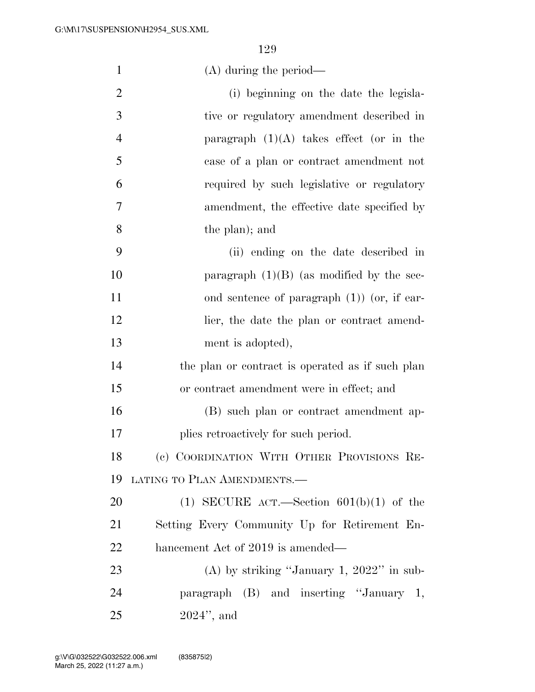| $\mathbf{1}$   | $(A)$ during the period—                         |
|----------------|--------------------------------------------------|
| $\mathbf{2}$   | (i) beginning on the date the legisla-           |
| $\overline{3}$ | tive or regulatory amendment described in        |
| $\overline{4}$ | paragraph $(1)(A)$ takes effect (or in the       |
| 5              | case of a plan or contract amendment not         |
| 6              | required by such legislative or regulatory       |
| $\overline{7}$ | amendment, the effective date specified by       |
| 8              | the plan); and                                   |
| 9              | (ii) ending on the date described in             |
| 10             | paragraph $(1)(B)$ (as modified by the sec-      |
| 11             | ond sentence of paragraph $(1)$ (or, if ear-     |
| 12             | lier, the date the plan or contract amend-       |
| 13             | ment is adopted),                                |
| 14             | the plan or contract is operated as if such plan |
| 15             | or contract amendment were in effect; and        |
| 16             | (B) such plan or contract amendment ap-          |
| 17             | plies retroactively for such period.             |
| 18             | (c) COORDINATION WITH OTHER PROVISIONS RE-       |
| 19             | LATING TO PLAN AMENDMENTS.-                      |
| 20             | (1) SECURE ACT.—Section $601(b)(1)$ of the       |
| 21             | Setting Every Community Up for Retirement En-    |
| 22             | hancement Act of 2019 is amended—                |
| 23             | (A) by striking "January 1, $2022$ " in sub-     |
| 24             | paragraph (B) and inserting "January 1,          |
| 25             | $2024$ ", and                                    |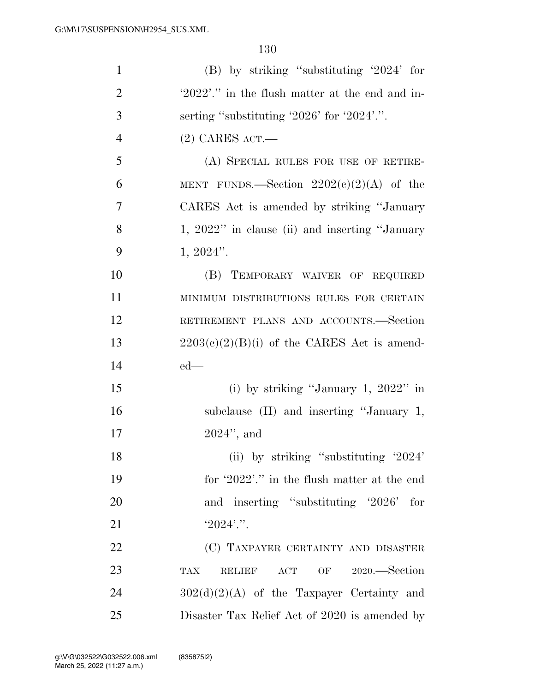| $\mathbf{1}$   | $(B)$ by striking "substituting '2024' for             |
|----------------|--------------------------------------------------------|
| $\overline{2}$ | '2022'." in the flush matter at the end and in-        |
| 3              | serting "substituting $2026$ " for $2024$ ".           |
| $\overline{4}$ | $(2)$ CARES ACT.—                                      |
| 5              | (A) SPECIAL RULES FOR USE OF RETIRE-                   |
| 6              | MENT FUNDS.—Section $2202(c)(2)(A)$ of the             |
| 7              | CARES Act is amended by striking "January"             |
| 8              | 1, 2022" in clause (ii) and inserting "January         |
| 9              | $1, 2024$ ".                                           |
| 10             | (B) TEMPORARY WAIVER OF REQUIRED                       |
| 11             | MINIMUM DISTRIBUTIONS RULES FOR CERTAIN                |
| 12             | RETIREMENT PLANS AND ACCOUNTS.-Section                 |
| 13             | $2203(e)(2)(B)(i)$ of the CARES Act is amend-          |
| 14             | $ed$ —                                                 |
| 15             | (i) by striking "January 1, $2022$ " in                |
| 16             | subclause (II) and inserting "January 1,               |
| 17             | $2024$ ", and                                          |
| 18             | (ii) by striking "substituting $'2024'$                |
| 19             | for '2022'." in the flush matter at the end            |
| 20             | and inserting "substituting '2026'<br>for              |
| 21             | $'2024'$ .".                                           |
| 22             | (C) TAXPAYER CERTAINTY AND DISASTER                    |
| 23             | OF 2020.—Section<br><b>TAX</b><br><b>RELIEF</b><br>ACT |
| 24             | $302(d)(2)(A)$ of the Taxpayer Certainty and           |
| 25             | Disaster Tax Relief Act of 2020 is amended by          |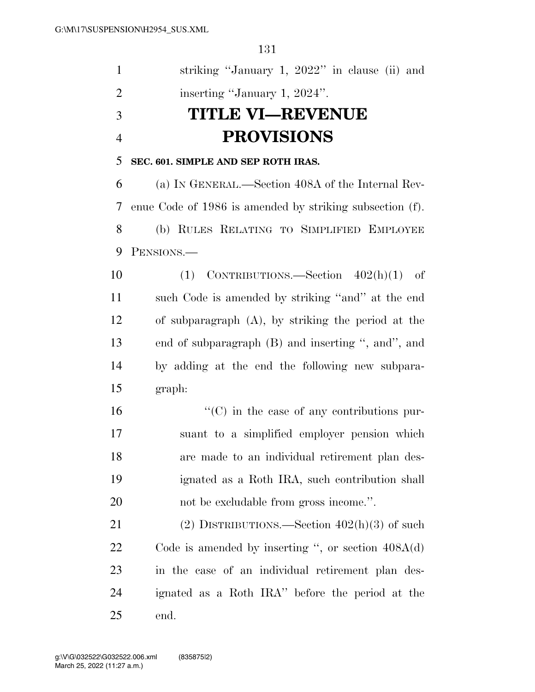| $\mathbf{1}$   | striking "January 1, 2022" in clause (ii) and            |
|----------------|----------------------------------------------------------|
| $\overline{2}$ | inserting "January 1, 2024".                             |
| 3              | <b>TITLE VI—REVENUE</b>                                  |
| $\overline{4}$ | <b>PROVISIONS</b>                                        |
| 5              | SEC. 601. SIMPLE AND SEP ROTH IRAS.                      |
| 6              | (a) IN GENERAL.—Section 408A of the Internal Rev-        |
| 7              | enue Code of 1986 is amended by striking subsection (f). |
| 8              | (b) RULES RELATING TO SIMPLIFIED EMPLOYEE                |
| 9              | PENSIONS.-                                               |
| 10             | $(1)$ CONTRIBUTIONS.—Section $402(h)(1)$ of              |
| 11             | such Code is amended by striking "and" at the end        |
| 12             | of subparagraph $(A)$ , by striking the period at the    |
| 13             | end of subparagraph (B) and inserting ", and", and       |
| 14             | by adding at the end the following new subpara-          |
| 15             | graph:                                                   |
| 16             | $\lq\lq$ (C) in the case of any contributions pur-       |
| 17             | suant to a simplified employer pension which             |
| 18             | are made to an individual retirement plan des-           |
| 19             | ignated as a Roth IRA, such contribution shall           |
| 20             | not be excludable from gross income.".                   |
| 21             | (2) DISTRIBUTIONS.—Section $402(h)(3)$ of such           |
| <u>22</u>      | Code is amended by inserting ", or section $408A(d)$     |
| 23             | in the case of an individual retirement plan des-        |
| 24             | ignated as a Roth IRA" before the period at the          |
| 25             | end.                                                     |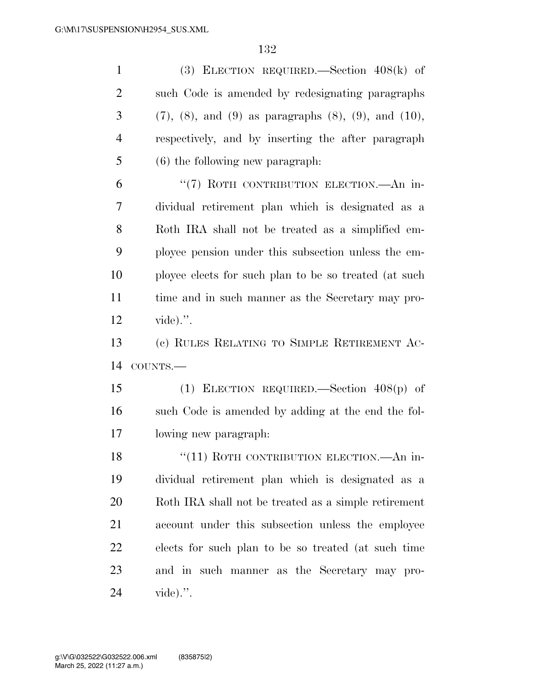(3) ELECTION REQUIRED.—Section 408(k) of such Code is amended by redesignating paragraphs (7), (8), and (9) as paragraphs (8), (9), and (10), respectively, and by inserting the after paragraph (6) the following new paragraph: 6 "(7) ROTH CONTRIBUTION ELECTION.—An in- dividual retirement plan which is designated as a Roth IRA shall not be treated as a simplified em- ployee pension under this subsection unless the em- ployee elects for such plan to be so treated (at such time and in such manner as the Secretary may pro- vide).''. (c) RULES RELATING TO SIMPLE RETIREMENT AC- COUNTS.— (1) ELECTION REQUIRED.—Section 408(p) of such Code is amended by adding at the end the fol- lowing new paragraph: 18 "(11) ROTH CONTRIBUTION ELECTION.—An in- dividual retirement plan which is designated as a Roth IRA shall not be treated as a simple retirement

 account under this subsection unless the employee elects for such plan to be so treated (at such time and in such manner as the Secretary may pro-vide).''.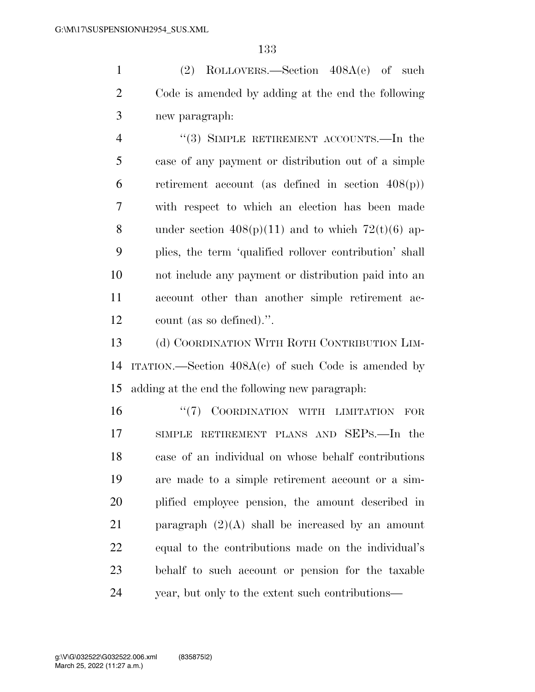(2) ROLLOVERS.—Section 408A(e) of such Code is amended by adding at the end the following new paragraph:

4 "(3) SIMPLE RETIREMENT ACCOUNTS.—In the case of any payment or distribution out of a simple 6 retirement account (as defined in section  $408(p)$ ) with respect to which an election has been made 8 under section  $408(p)(11)$  and to which  $72(t)(6)$  ap- plies, the term 'qualified rollover contribution' shall not include any payment or distribution paid into an account other than another simple retirement ac-count (as so defined).''.

13 (d) COORDINATION WITH ROTH CONTRIBUTION LIM- ITATION.—Section 408A(c) of such Code is amended by adding at the end the following new paragraph:

16 "(7) COORDINATION WITH LIMITATION FOR SIMPLE RETIREMENT PLANS AND SEPS.—In the case of an individual on whose behalf contributions are made to a simple retirement account or a sim- plified employee pension, the amount described in 21 paragraph  $(2)(A)$  shall be increased by an amount equal to the contributions made on the individual's behalf to such account or pension for the taxable year, but only to the extent such contributions—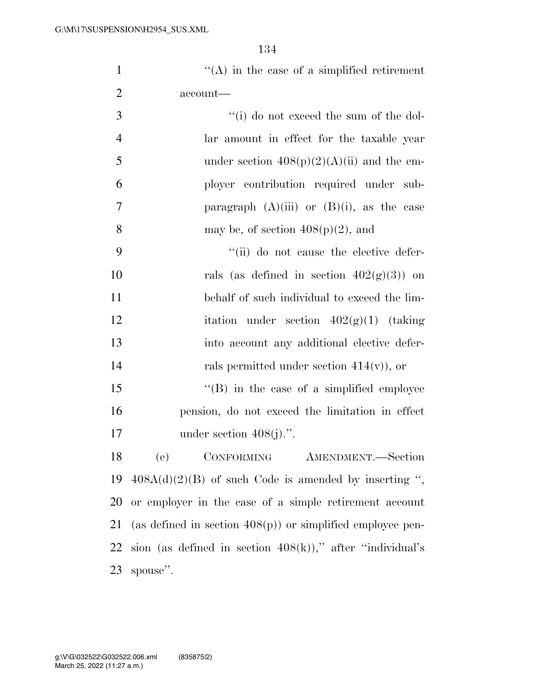1  $"({\rm A})$  in the case of a simplified retirement account—

| 3 | $f'(i)$ do not exceed the sum of the dol-      |
|---|------------------------------------------------|
| 4 | lar amount in effect for the taxable year      |
| 5 | under section $408(p)(2)(A)(ii)$ and the em-   |
| 6 | ployer contribution required under sub-        |
| 7 | paragraph $(A)(iii)$ or $(B)(i)$ , as the case |
| 8 | may be, of section $408(p)(2)$ , and           |

 ''(ii) do not cause the elective defer-10 rals (as defined in section  $402(g)(3)$ ) on behalf of such individual to exceed the lim-12 itation under section  $402(g)(1)$  (taking into account any additional elective defer-rals permitted under section 414(v)), or

15 "(B) in the case of a simplified employee pension, do not exceed the limitation in effect 17 under section  $408(i)$ .".

 (e) CONFORMING AMENDMENT.—Section  $408A(d)(2)(B)$  of such Code is amended by inserting ", or employer in the case of a simple retirement account (as defined in section 408(p)) or simplified employee pen-22 sion (as defined in section  $408(k)$ )," after "individual's spouse''.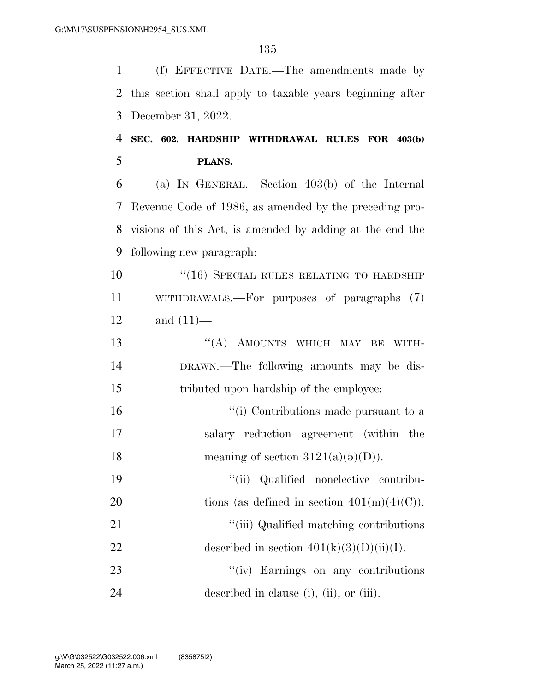(f) EFFECTIVE DATE.—The amendments made by this section shall apply to taxable years beginning after December 31, 2022.

### **SEC. 602. HARDSHIP WITHDRAWAL RULES FOR 403(b) PLANS.**

 (a) IN GENERAL.—Section 403(b) of the Internal Revenue Code of 1986, as amended by the preceding pro- visions of this Act, is amended by adding at the end the following new paragraph:

10 "(16) SPECIAL RULES RELATING TO HARDSHIP WITHDRAWALS.—For purposes of paragraphs (7) and (11)—

13 "(A) AMOUNTS WHICH MAY BE WITH- DRAWN.—The following amounts may be dis-tributed upon hardship of the employee:

16  $\frac{1}{10}$  Contributions made pursuant to a salary reduction agreement (within the 18 meaning of section  $3121(a)(5)(D)$ .

 ''(ii) Qualified nonelective contribu-20 tions (as defined in section  $401(m)(4)(C)$ ).

21 ''(iii) Qualified matching contributions 22 described in section  $401(k)(3)(D)(ii)(I)$ .

23 "(iv) Earnings on any contributions described in clause (i), (ii), or (iii).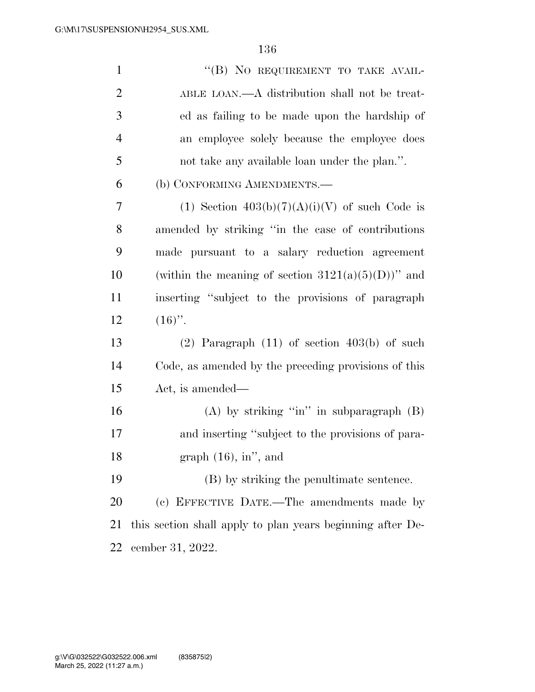| $\mathbf{1}$   | "(B) NO REQUIREMENT TO TAKE AVAIL-                         |
|----------------|------------------------------------------------------------|
| $\overline{2}$ | ABLE LOAN.—A distribution shall not be treat-              |
| 3              | ed as failing to be made upon the hardship of              |
| 4              | an employee solely because the employee does               |
| 5              | not take any available loan under the plan.".              |
| 6              | (b) CONFORMING AMENDMENTS.—                                |
| 7              | (1) Section $403(b)(7)(A)(i)(V)$ of such Code is           |
| 8              | amended by striking "in the case of contributions"         |
| 9              | made pursuant to a salary reduction agreement              |
| 10             | (within the meaning of section $3121(a)(5)(D)$ )" and      |
| 11             | inserting "subject to the provisions of paragraph          |
| 12             | $(16)$ ".                                                  |
| 13             | $(2)$ Paragraph $(11)$ of section $403(b)$ of such         |
| 14             | Code, as amended by the preceding provisions of this       |
| 15             | Act, is amended—                                           |
| 16             | (A) by striking "in" in subparagraph $(B)$                 |
| 17             | and inserting "subject to the provisions of para-          |
| 18             | graph $(16)$ , in", and                                    |
| 19             | (B) by striking the penultimate sentence.                  |
| 20             | (c) EFFECTIVE DATE.—The amendments made by                 |
| 21             | this section shall apply to plan years beginning after De- |
| 22             | cember 31, 2022.                                           |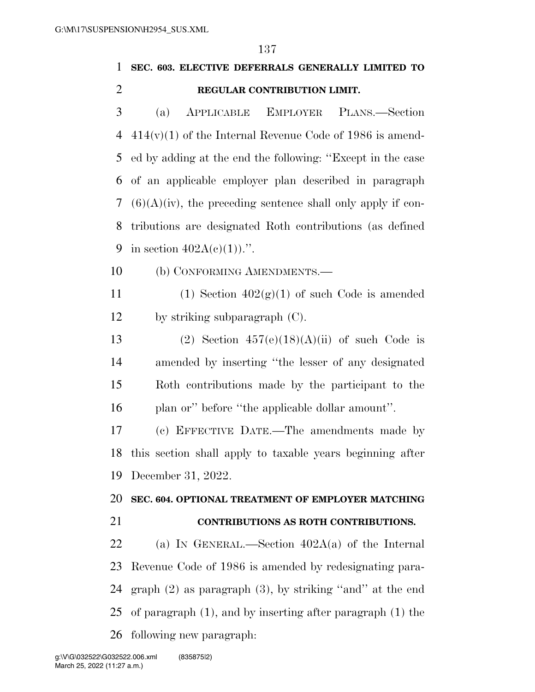# **SEC. 603. ELECTIVE DEFERRALS GENERALLY LIMITED TO REGULAR CONTRIBUTION LIMIT.**

 (a) APPLICABLE EMPLOYER PLANS.—Section 414(v)(1) of the Internal Revenue Code of 1986 is amend- ed by adding at the end the following: ''Except in the case of an applicable employer plan described in paragraph  $(6)(A)(iv)$ , the preceding sentence shall only apply if con- tributions are designated Roth contributions (as defined 9 in section  $402A(c)(1)$ .".

(b) CONFORMING AMENDMENTS.—

11 (1) Section  $402(g)(1)$  of such Code is amended by striking subparagraph (C).

13 (2) Section  $457(e)(18)(A)(ii)$  of such Code is amended by inserting ''the lesser of any designated Roth contributions made by the participant to the 16 plan or'' before "the applicable dollar amount".

 (c) EFFECTIVE DATE.—The amendments made by this section shall apply to taxable years beginning after December 31, 2022.

#### **SEC. 604. OPTIONAL TREATMENT OF EMPLOYER MATCHING**

#### **CONTRIBUTIONS AS ROTH CONTRIBUTIONS.**

 (a) IN GENERAL.—Section 402A(a) of the Internal Revenue Code of 1986 is amended by redesignating para- graph (2) as paragraph (3), by striking ''and'' at the end of paragraph (1), and by inserting after paragraph (1) the following new paragraph: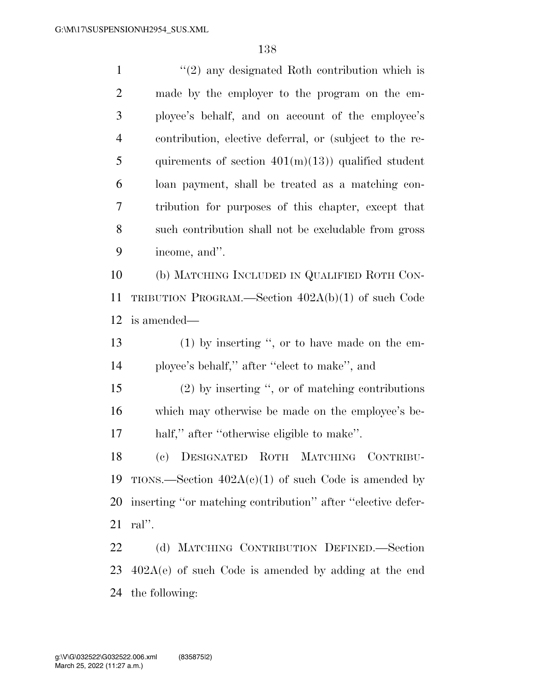1 ''(2) any designated Roth contribution which is made by the employer to the program on the em- ployee's behalf, and on account of the employee's contribution, elective deferral, or (subject to the re-5 quirements of section  $401(m)(13)$  qualified student loan payment, shall be treated as a matching con- tribution for purposes of this chapter, except that such contribution shall not be excludable from gross income, and''. (b) MATCHING INCLUDED IN QUALIFIED ROTH CON- TRIBUTION PROGRAM.—Section 402A(b)(1) of such Code is amended— (1) by inserting '', or to have made on the em- ployee's behalf,'' after ''elect to make'', and (2) by inserting '', or of matching contributions which may otherwise be made on the employee's be- half,'' after ''otherwise eligible to make''. (c) DESIGNATED ROTH MATCHING CONTRIBU-19 TIONS.—Section  $402A(c)(1)$  of such Code is amended by inserting ''or matching contribution'' after ''elective defer- ral''. (d) MATCHING CONTRIBUTION DEFINED.—Section 402A(e) of such Code is amended by adding at the end

the following: